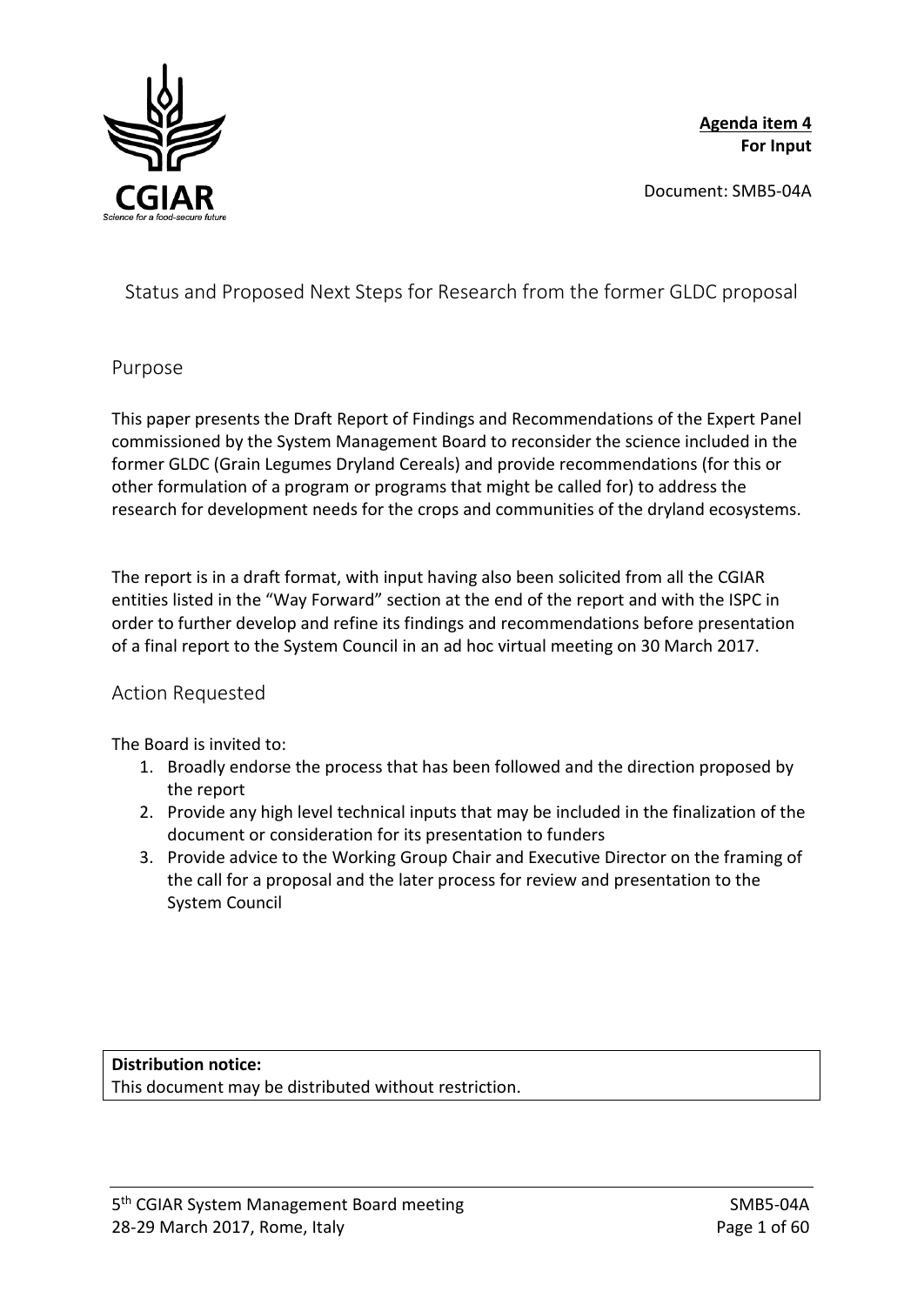

**Agenda item 4 For Input**

Document: SMB5-04A

Status and Proposed Next Steps for Research from the former GLDC proposal

## Purpose

This paper presents the Draft Report of Findings and Recommendations of the Expert Panel commissioned by the System Management Board to reconsider the science included in the former GLDC (Grain Legumes Dryland Cereals) and provide recommendations (for this or other formulation of a program or programs that might be called for) to address the research for development needs for the crops and communities of the dryland ecosystems.

The report is in a draft format, with input having also been solicited from all the CGIAR entities listed in the "Way Forward" section at the end of the report and with the ISPC in order to further develop and refine its findings and recommendations before presentation of a final report to the System Council in an ad hoc virtual meeting on 30 March 2017.

# Action Requested

The Board is invited to:

- 1. Broadly endorse the process that has been followed and the direction proposed by the report
- 2. Provide any high level technical inputs that may be included in the finalization of the document or consideration for its presentation to funders
- 3. Provide advice to the Working Group Chair and Executive Director on the framing of the call for a proposal and the later process for review and presentation to the System Council

**Distribution notice:** This document may be distributed without restriction.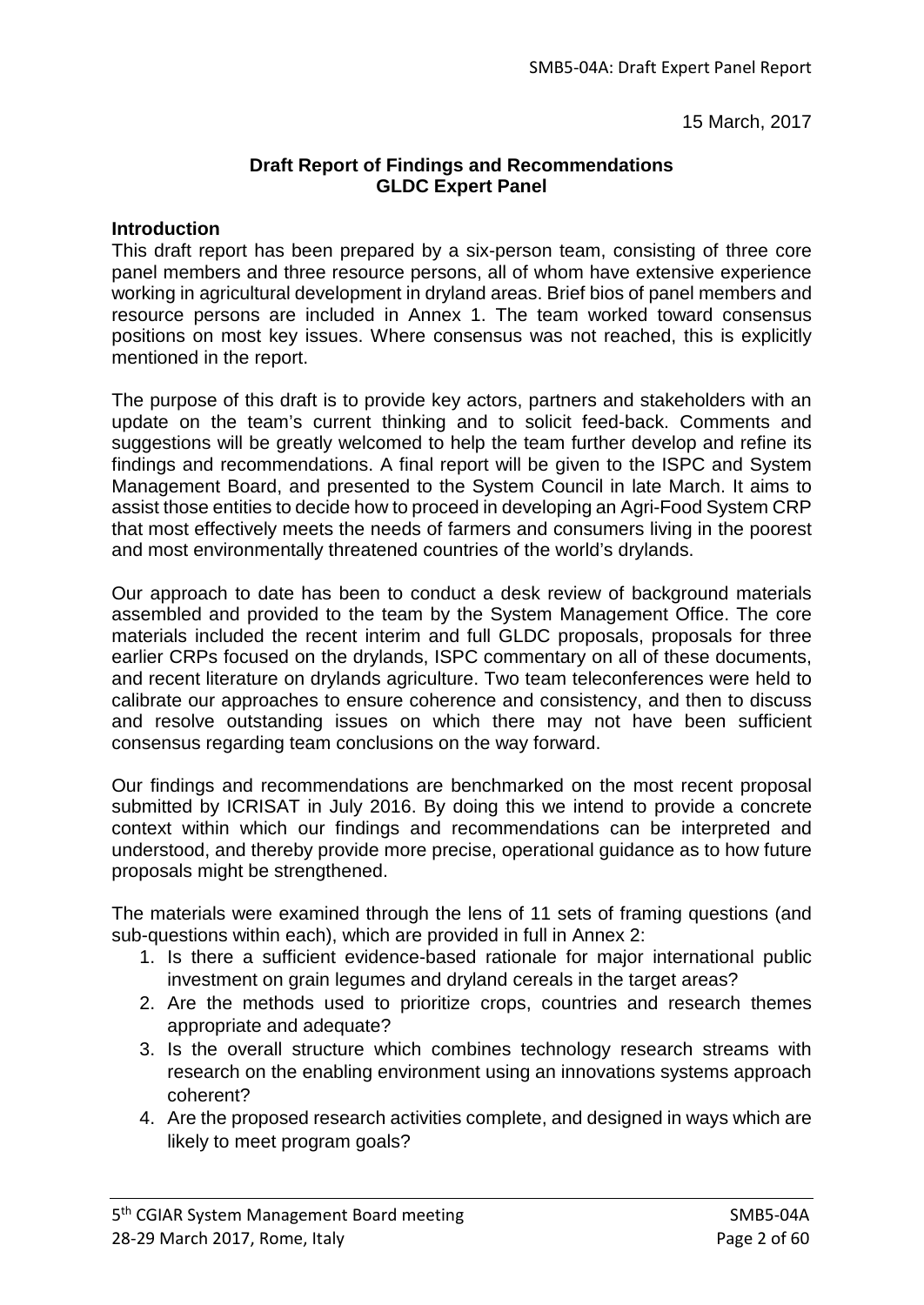15 March, 2017

#### **Draft Report of Findings and Recommendations GLDC Expert Panel**

#### **Introduction**

This draft report has been prepared by a six-person team, consisting of three core panel members and three resource persons, all of whom have extensive experience working in agricultural development in dryland areas. Brief bios of panel members and resource persons are included in Annex 1. The team worked toward consensus positions on most key issues. Where consensus was not reached, this is explicitly mentioned in the report.

The purpose of this draft is to provide key actors, partners and stakeholders with an update on the team's current thinking and to solicit feed-back. Comments and suggestions will be greatly welcomed to help the team further develop and refine its findings and recommendations. A final report will be given to the ISPC and System Management Board, and presented to the System Council in late March. It aims to assist those entities to decide how to proceed in developing an Agri-Food System CRP that most effectively meets the needs of farmers and consumers living in the poorest and most environmentally threatened countries of the world's drylands.

Our approach to date has been to conduct a desk review of background materials assembled and provided to the team by the System Management Office. The core materials included the recent interim and full GLDC proposals, proposals for three earlier CRPs focused on the drylands, ISPC commentary on all of these documents, and recent literature on drylands agriculture. Two team teleconferences were held to calibrate our approaches to ensure coherence and consistency, and then to discuss and resolve outstanding issues on which there may not have been sufficient consensus regarding team conclusions on the way forward.

Our findings and recommendations are benchmarked on the most recent proposal submitted by ICRISAT in July 2016. By doing this we intend to provide a concrete context within which our findings and recommendations can be interpreted and understood, and thereby provide more precise, operational guidance as to how future proposals might be strengthened.

The materials were examined through the lens of 11 sets of framing questions (and sub-questions within each), which are provided in full in Annex 2:

- 1. Is there a sufficient evidence-based rationale for major international public investment on grain legumes and dryland cereals in the target areas?
- 2. Are the methods used to prioritize crops, countries and research themes appropriate and adequate?
- 3. Is the overall structure which combines technology research streams with research on the enabling environment using an innovations systems approach coherent?
- 4. Are the proposed research activities complete, and designed in ways which are likely to meet program goals?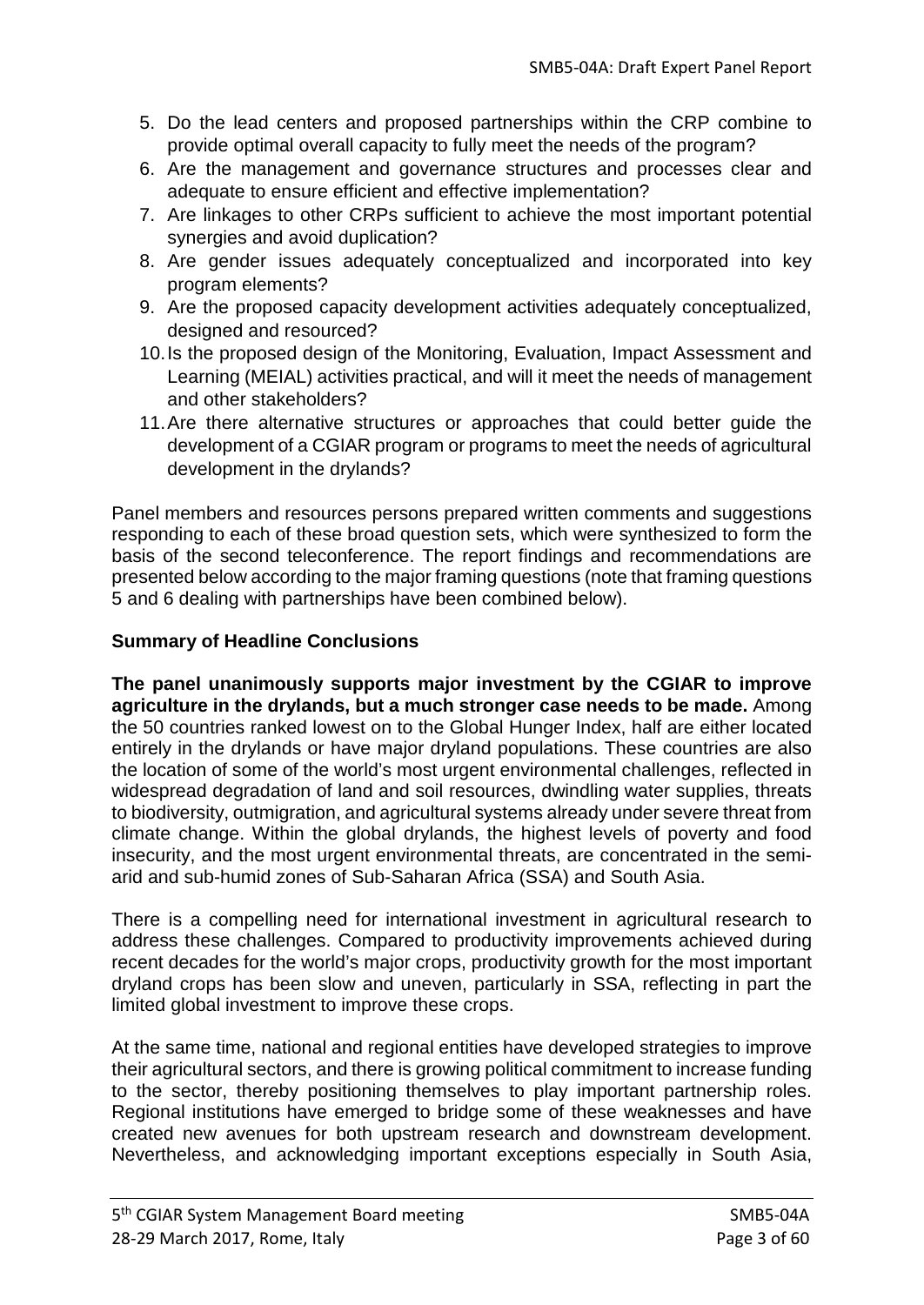- 5. Do the lead centers and proposed partnerships within the CRP combine to provide optimal overall capacity to fully meet the needs of the program?
- 6. Are the management and governance structures and processes clear and adequate to ensure efficient and effective implementation?
- 7. Are linkages to other CRPs sufficient to achieve the most important potential synergies and avoid duplication?
- 8. Are gender issues adequately conceptualized and incorporated into key program elements?
- 9. Are the proposed capacity development activities adequately conceptualized, designed and resourced?
- 10.Is the proposed design of the Monitoring, Evaluation, Impact Assessment and Learning (MEIAL) activities practical, and will it meet the needs of management and other stakeholders?
- 11.Are there alternative structures or approaches that could better guide the development of a CGIAR program or programs to meet the needs of agricultural development in the drylands?

Panel members and resources persons prepared written comments and suggestions responding to each of these broad question sets, which were synthesized to form the basis of the second teleconference. The report findings and recommendations are presented below according to the major framing questions (note that framing questions 5 and 6 dealing with partnerships have been combined below).

# **Summary of Headline Conclusions**

**The panel unanimously supports major investment by the CGIAR to improve agriculture in the drylands, but a much stronger case needs to be made.** Among the 50 countries ranked lowest on to the Global Hunger Index, half are either located entirely in the drylands or have major dryland populations. These countries are also the location of some of the world's most urgent environmental challenges, reflected in widespread degradation of land and soil resources, dwindling water supplies, threats to biodiversity, outmigration, and agricultural systems already under severe threat from climate change. Within the global drylands, the highest levels of poverty and food insecurity, and the most urgent environmental threats, are concentrated in the semiarid and sub-humid zones of Sub-Saharan Africa (SSA) and South Asia.

There is a compelling need for international investment in agricultural research to address these challenges. Compared to productivity improvements achieved during recent decades for the world's major crops, productivity growth for the most important dryland crops has been slow and uneven, particularly in SSA, reflecting in part the limited global investment to improve these crops.

At the same time, national and regional entities have developed strategies to improve their agricultural sectors, and there is growing political commitment to increase funding to the sector, thereby positioning themselves to play important partnership roles. Regional institutions have emerged to bridge some of these weaknesses and have created new avenues for both upstream research and downstream development. Nevertheless, and acknowledging important exceptions especially in South Asia,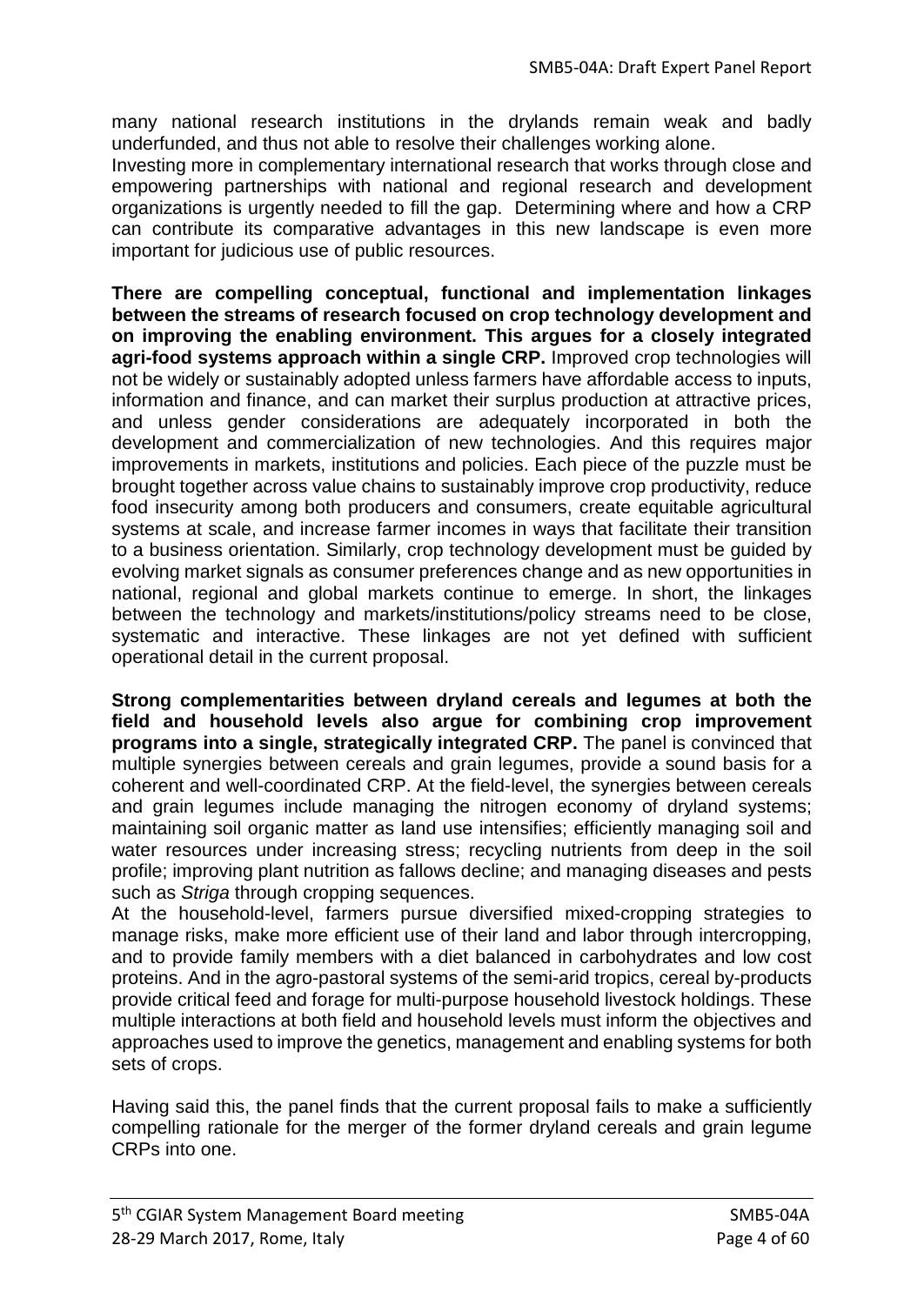many national research institutions in the drylands remain weak and badly underfunded, and thus not able to resolve their challenges working alone.

Investing more in complementary international research that works through close and empowering partnerships with national and regional research and development organizations is urgently needed to fill the gap. Determining where and how a CRP can contribute its comparative advantages in this new landscape is even more important for judicious use of public resources.

**There are compelling conceptual, functional and implementation linkages between the streams of research focused on crop technology development and on improving the enabling environment. This argues for a closely integrated agri-food systems approach within a single CRP.** Improved crop technologies will not be widely or sustainably adopted unless farmers have affordable access to inputs, information and finance, and can market their surplus production at attractive prices, and unless gender considerations are adequately incorporated in both the development and commercialization of new technologies. And this requires major improvements in markets, institutions and policies. Each piece of the puzzle must be brought together across value chains to sustainably improve crop productivity, reduce food insecurity among both producers and consumers, create equitable agricultural systems at scale, and increase farmer incomes in ways that facilitate their transition to a business orientation. Similarly, crop technology development must be guided by evolving market signals as consumer preferences change and as new opportunities in national, regional and global markets continue to emerge. In short, the linkages between the technology and markets/institutions/policy streams need to be close, systematic and interactive. These linkages are not yet defined with sufficient operational detail in the current proposal.

**Strong complementarities between dryland cereals and legumes at both the field and household levels also argue for combining crop improvement programs into a single, strategically integrated CRP.** The panel is convinced that multiple synergies between cereals and grain legumes, provide a sound basis for a coherent and well-coordinated CRP. At the field-level, the synergies between cereals and grain legumes include managing the nitrogen economy of dryland systems; maintaining soil organic matter as land use intensifies; efficiently managing soil and water resources under increasing stress; recycling nutrients from deep in the soil profile; improving plant nutrition as fallows decline; and managing diseases and pests such as *Striga* through cropping sequences.

At the household-level, farmers pursue diversified mixed-cropping strategies to manage risks, make more efficient use of their land and labor through intercropping, and to provide family members with a diet balanced in carbohydrates and low cost proteins. And in the agro-pastoral systems of the semi-arid tropics, cereal by-products provide critical feed and forage for multi-purpose household livestock holdings. These multiple interactions at both field and household levels must inform the objectives and approaches used to improve the genetics, management and enabling systems for both sets of crops.

Having said this, the panel finds that the current proposal fails to make a sufficiently compelling rationale for the merger of the former dryland cereals and grain legume CRPs into one.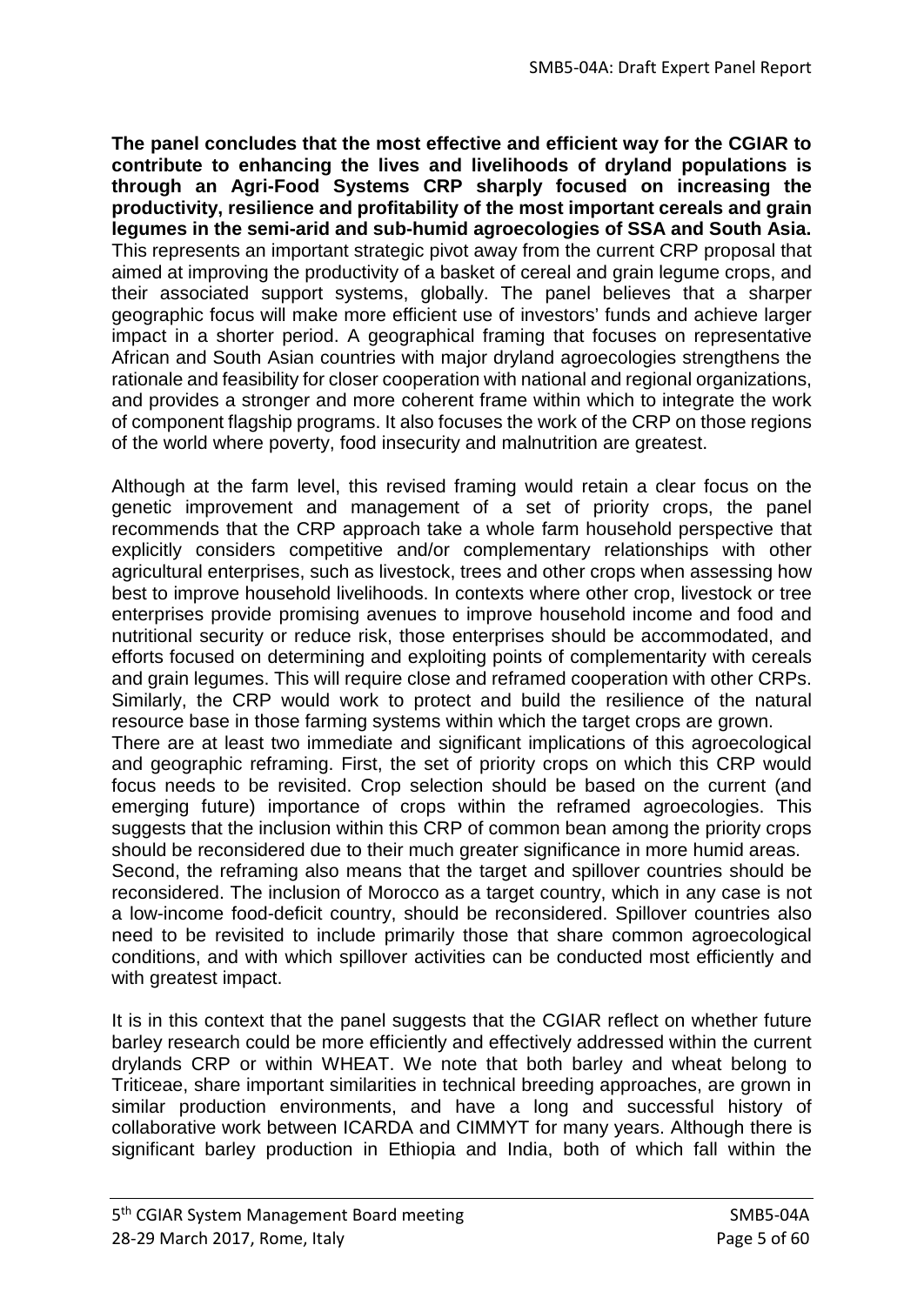**The panel concludes that the most effective and efficient way for the CGIAR to contribute to enhancing the lives and livelihoods of dryland populations is through an Agri-Food Systems CRP sharply focused on increasing the productivity, resilience and profitability of the most important cereals and grain legumes in the semi-arid and sub-humid agroecologies of SSA and South Asia.**  This represents an important strategic pivot away from the current CRP proposal that aimed at improving the productivity of a basket of cereal and grain legume crops, and their associated support systems, globally. The panel believes that a sharper geographic focus will make more efficient use of investors' funds and achieve larger impact in a shorter period. A geographical framing that focuses on representative African and South Asian countries with major dryland agroecologies strengthens the rationale and feasibility for closer cooperation with national and regional organizations, and provides a stronger and more coherent frame within which to integrate the work of component flagship programs. It also focuses the work of the CRP on those regions of the world where poverty, food insecurity and malnutrition are greatest.

Although at the farm level, this revised framing would retain a clear focus on the genetic improvement and management of a set of priority crops, the panel recommends that the CRP approach take a whole farm household perspective that explicitly considers competitive and/or complementary relationships with other agricultural enterprises, such as livestock, trees and other crops when assessing how best to improve household livelihoods. In contexts where other crop, livestock or tree enterprises provide promising avenues to improve household income and food and nutritional security or reduce risk, those enterprises should be accommodated, and efforts focused on determining and exploiting points of complementarity with cereals and grain legumes. This will require close and reframed cooperation with other CRPs. Similarly, the CRP would work to protect and build the resilience of the natural resource base in those farming systems within which the target crops are grown.

There are at least two immediate and significant implications of this agroecological and geographic reframing. First, the set of priority crops on which this CRP would focus needs to be revisited. Crop selection should be based on the current (and emerging future) importance of crops within the reframed agroecologies. This suggests that the inclusion within this CRP of common bean among the priority crops should be reconsidered due to their much greater significance in more humid areas.

Second, the reframing also means that the target and spillover countries should be reconsidered. The inclusion of Morocco as a target country, which in any case is not a low-income food-deficit country, should be reconsidered. Spillover countries also need to be revisited to include primarily those that share common agroecological conditions, and with which spillover activities can be conducted most efficiently and with greatest impact.

It is in this context that the panel suggests that the CGIAR reflect on whether future barley research could be more efficiently and effectively addressed within the current drylands CRP or within WHEAT. We note that both barley and wheat belong to Triticeae, share important similarities in technical breeding approaches, are grown in similar production environments, and have a long and successful history of collaborative work between ICARDA and CIMMYT for many years. Although there is significant barley production in Ethiopia and India, both of which fall within the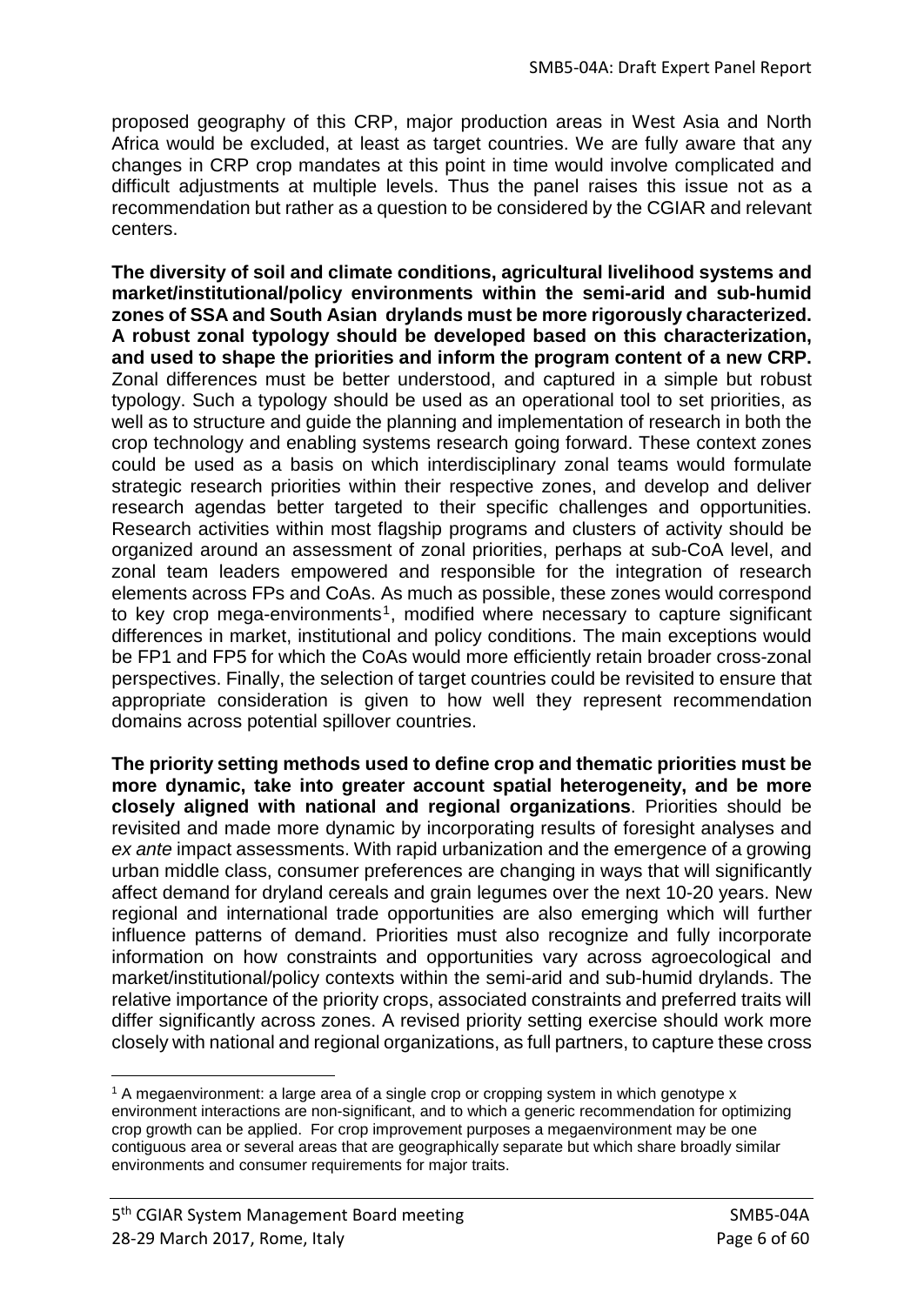proposed geography of this CRP, major production areas in West Asia and North Africa would be excluded, at least as target countries. We are fully aware that any changes in CRP crop mandates at this point in time would involve complicated and difficult adjustments at multiple levels. Thus the panel raises this issue not as a recommendation but rather as a question to be considered by the CGIAR and relevant centers.

**The diversity of soil and climate conditions, agricultural livelihood systems and market/institutional/policy environments within the semi-arid and sub-humid zones of SSA and South Asian drylands must be more rigorously characterized. A robust zonal typology should be developed based on this characterization, and used to shape the priorities and inform the program content of a new CRP.** Zonal differences must be better understood, and captured in a simple but robust typology. Such a typology should be used as an operational tool to set priorities, as well as to structure and guide the planning and implementation of research in both the crop technology and enabling systems research going forward. These context zones could be used as a basis on which interdisciplinary zonal teams would formulate strategic research priorities within their respective zones, and develop and deliver research agendas better targeted to their specific challenges and opportunities. Research activities within most flagship programs and clusters of activity should be organized around an assessment of zonal priorities, perhaps at sub-CoA level, and zonal team leaders empowered and responsible for the integration of research elements across FPs and CoAs. As much as possible, these zones would correspond to key crop mega-environments<sup>[1](#page-5-0)</sup>, modified where necessary to capture significant differences in market, institutional and policy conditions. The main exceptions would be FP1 and FP5 for which the CoAs would more efficiently retain broader cross-zonal perspectives. Finally, the selection of target countries could be revisited to ensure that appropriate consideration is given to how well they represent recommendation domains across potential spillover countries.

**The priority setting methods used to define crop and thematic priorities must be more dynamic, take into greater account spatial heterogeneity, and be more closely aligned with national and regional organizations**. Priorities should be revisited and made more dynamic by incorporating results of foresight analyses and *ex ante* impact assessments. With rapid urbanization and the emergence of a growing urban middle class, consumer preferences are changing in ways that will significantly affect demand for dryland cereals and grain legumes over the next 10-20 years. New regional and international trade opportunities are also emerging which will further influence patterns of demand. Priorities must also recognize and fully incorporate information on how constraints and opportunities vary across agroecological and market/institutional/policy contexts within the semi-arid and sub-humid drylands. The relative importance of the priority crops, associated constraints and preferred traits will differ significantly across zones. A revised priority setting exercise should work more closely with national and regional organizations, as full partners, to capture these cross

-

<span id="page-5-0"></span><sup>1</sup> A megaenvironment: a large area of a single crop or cropping system in which genotype x environment interactions are non-significant, and to which a generic recommendation for optimizing crop growth can be applied. For crop improvement purposes a megaenvironment may be one contiguous area or several areas that are geographically separate but which share broadly similar environments and consumer requirements for major traits.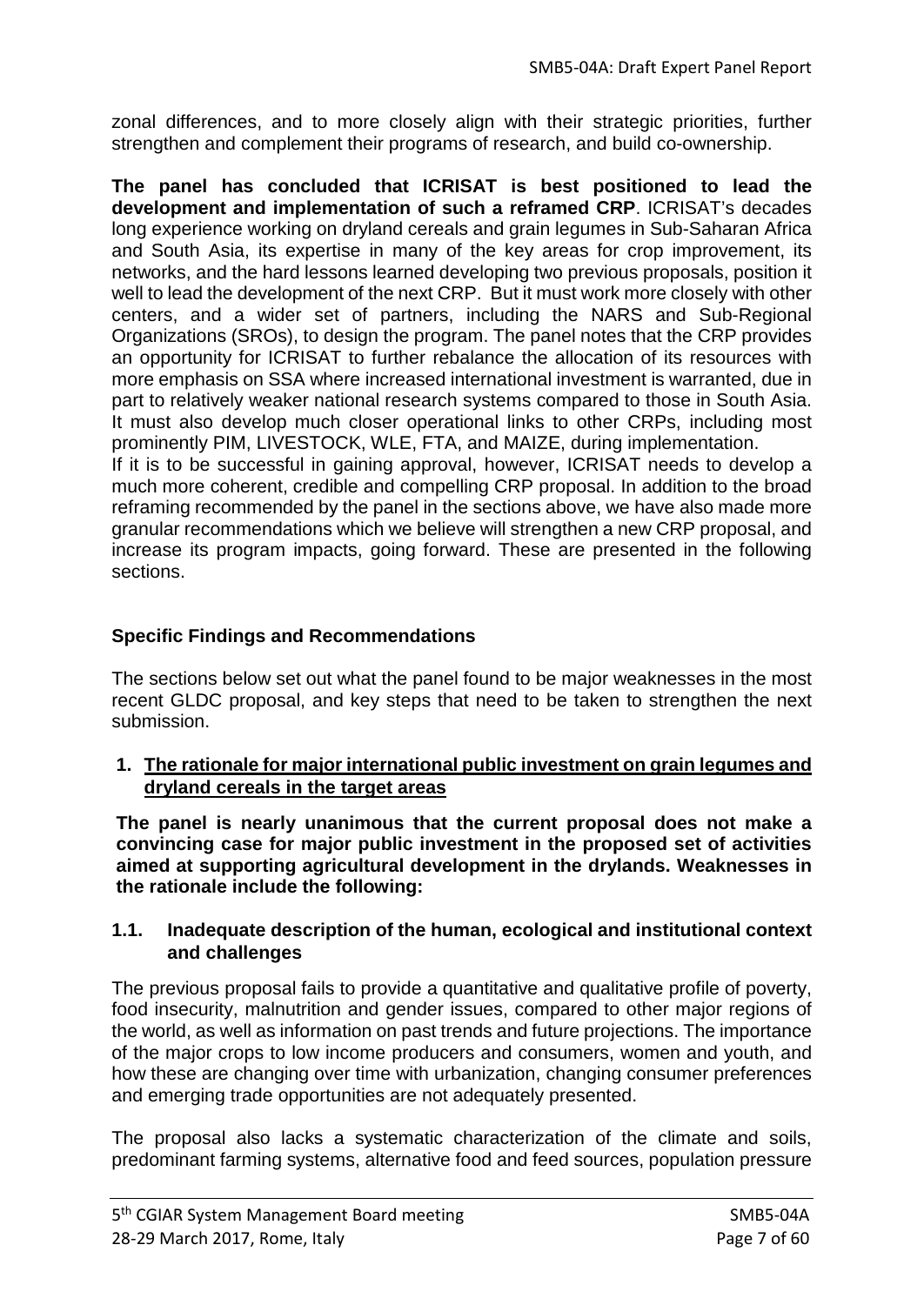zonal differences, and to more closely align with their strategic priorities, further strengthen and complement their programs of research, and build co-ownership.

**The panel has concluded that ICRISAT is best positioned to lead the development and implementation of such a reframed CRP**. ICRISAT's decades long experience working on dryland cereals and grain legumes in Sub-Saharan Africa and South Asia, its expertise in many of the key areas for crop improvement, its networks, and the hard lessons learned developing two previous proposals, position it well to lead the development of the next CRP. But it must work more closely with other centers, and a wider set of partners, including the NARS and Sub-Regional Organizations (SROs), to design the program. The panel notes that the CRP provides an opportunity for ICRISAT to further rebalance the allocation of its resources with more emphasis on SSA where increased international investment is warranted, due in part to relatively weaker national research systems compared to those in South Asia. It must also develop much closer operational links to other CRPs, including most prominently PIM, LIVESTOCK, WLE, FTA, and MAIZE, during implementation.

If it is to be successful in gaining approval, however, ICRISAT needs to develop a much more coherent, credible and compelling CRP proposal. In addition to the broad reframing recommended by the panel in the sections above, we have also made more granular recommendations which we believe will strengthen a new CRP proposal, and increase its program impacts, going forward. These are presented in the following sections.

## **Specific Findings and Recommendations**

The sections below set out what the panel found to be major weaknesses in the most recent GLDC proposal, and key steps that need to be taken to strengthen the next submission.

## **1. The rationale for major international public investment on grain legumes and dryland cereals in the target areas**

**The panel is nearly unanimous that the current proposal does not make a convincing case for major public investment in the proposed set of activities aimed at supporting agricultural development in the drylands. Weaknesses in the rationale include the following:**

## **1.1. Inadequate description of the human, ecological and institutional context and challenges**

The previous proposal fails to provide a quantitative and qualitative profile of poverty, food insecurity, malnutrition and gender issues, compared to other major regions of the world, as well as information on past trends and future projections. The importance of the major crops to low income producers and consumers, women and youth, and how these are changing over time with urbanization, changing consumer preferences and emerging trade opportunities are not adequately presented.

The proposal also lacks a systematic characterization of the climate and soils, predominant farming systems, alternative food and feed sources, population pressure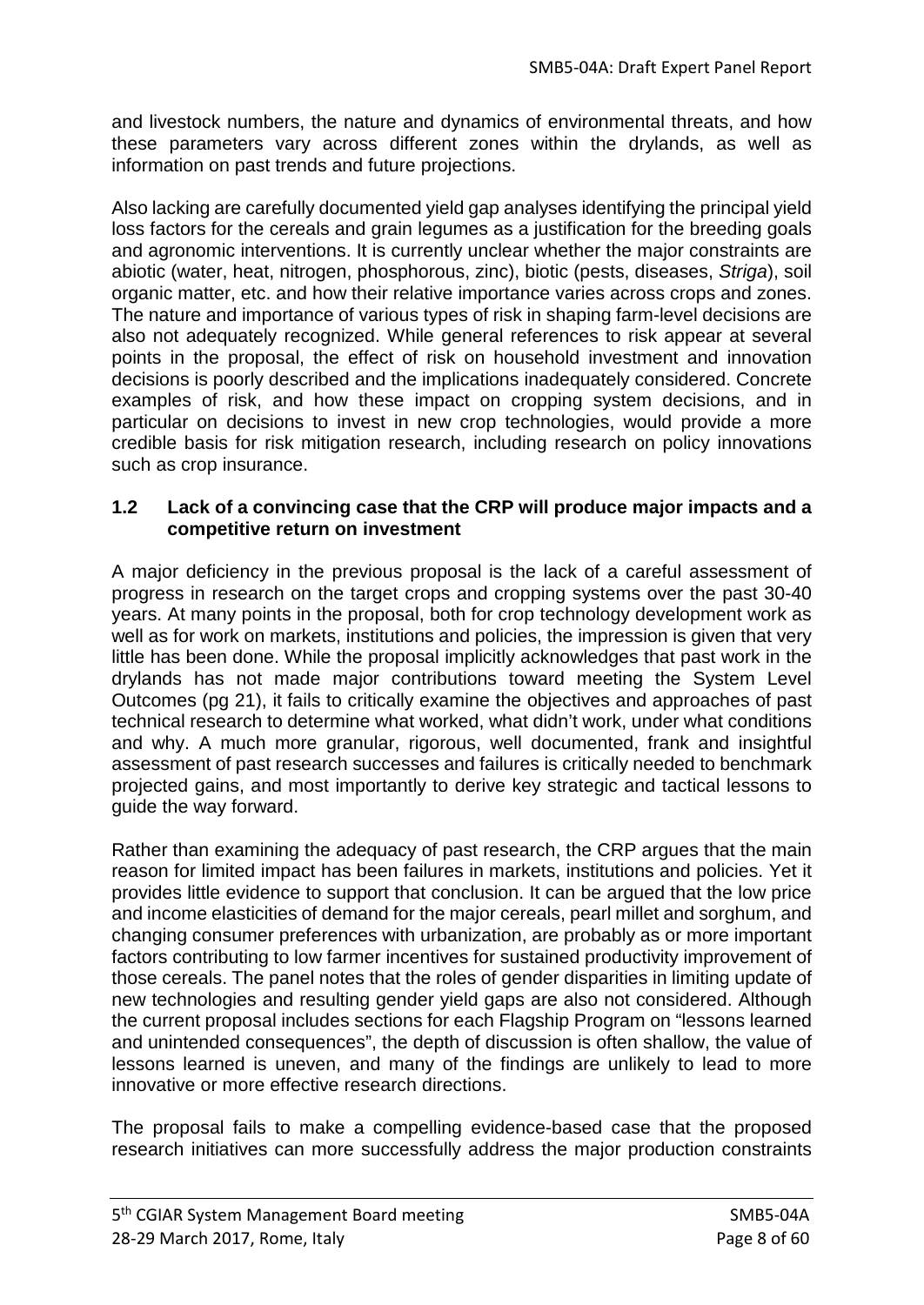and livestock numbers, the nature and dynamics of environmental threats, and how these parameters vary across different zones within the drylands, as well as information on past trends and future projections.

Also lacking are carefully documented yield gap analyses identifying the principal yield loss factors for the cereals and grain legumes as a justification for the breeding goals and agronomic interventions. It is currently unclear whether the major constraints are abiotic (water, heat, nitrogen, phosphorous, zinc), biotic (pests, diseases, *Striga*), soil organic matter, etc. and how their relative importance varies across crops and zones. The nature and importance of various types of risk in shaping farm-level decisions are also not adequately recognized. While general references to risk appear at several points in the proposal, the effect of risk on household investment and innovation decisions is poorly described and the implications inadequately considered. Concrete examples of risk, and how these impact on cropping system decisions, and in particular on decisions to invest in new crop technologies, would provide a more credible basis for risk mitigation research, including research on policy innovations such as crop insurance.

## **1.2 Lack of a convincing case that the CRP will produce major impacts and a competitive return on investment**

A major deficiency in the previous proposal is the lack of a careful assessment of progress in research on the target crops and cropping systems over the past 30-40 years. At many points in the proposal, both for crop technology development work as well as for work on markets, institutions and policies, the impression is given that very little has been done. While the proposal implicitly acknowledges that past work in the drylands has not made major contributions toward meeting the System Level Outcomes (pg 21), it fails to critically examine the objectives and approaches of past technical research to determine what worked, what didn't work, under what conditions and why. A much more granular, rigorous, well documented, frank and insightful assessment of past research successes and failures is critically needed to benchmark projected gains, and most importantly to derive key strategic and tactical lessons to guide the way forward.

Rather than examining the adequacy of past research, the CRP argues that the main reason for limited impact has been failures in markets, institutions and policies. Yet it provides little evidence to support that conclusion. It can be argued that the low price and income elasticities of demand for the major cereals, pearl millet and sorghum, and changing consumer preferences with urbanization, are probably as or more important factors contributing to low farmer incentives for sustained productivity improvement of those cereals. The panel notes that the roles of gender disparities in limiting update of new technologies and resulting gender yield gaps are also not considered. Although the current proposal includes sections for each Flagship Program on "lessons learned and unintended consequences", the depth of discussion is often shallow, the value of lessons learned is uneven, and many of the findings are unlikely to lead to more innovative or more effective research directions.

The proposal fails to make a compelling evidence-based case that the proposed research initiatives can more successfully address the major production constraints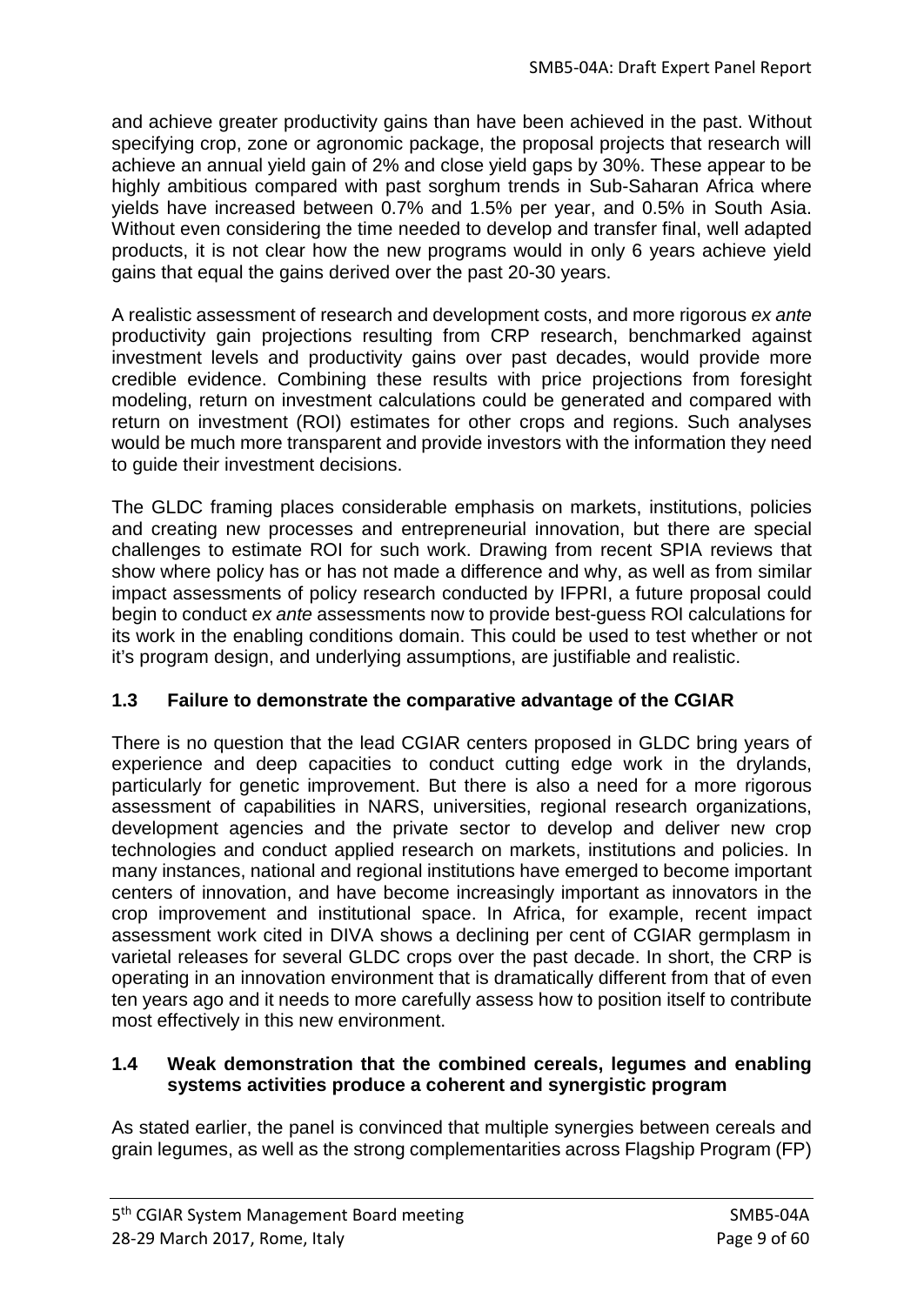and achieve greater productivity gains than have been achieved in the past. Without specifying crop, zone or agronomic package, the proposal projects that research will achieve an annual yield gain of 2% and close yield gaps by 30%. These appear to be highly ambitious compared with past sorghum trends in Sub-Saharan Africa where yields have increased between 0.7% and 1.5% per year, and 0.5% in South Asia. Without even considering the time needed to develop and transfer final, well adapted products, it is not clear how the new programs would in only 6 years achieve yield gains that equal the gains derived over the past 20-30 years.

A realistic assessment of research and development costs, and more rigorous *ex ante* productivity gain projections resulting from CRP research, benchmarked against investment levels and productivity gains over past decades, would provide more credible evidence. Combining these results with price projections from foresight modeling, return on investment calculations could be generated and compared with return on investment (ROI) estimates for other crops and regions. Such analyses would be much more transparent and provide investors with the information they need to guide their investment decisions.

The GLDC framing places considerable emphasis on markets, institutions, policies and creating new processes and entrepreneurial innovation, but there are special challenges to estimate ROI for such work. Drawing from recent SPIA reviews that show where policy has or has not made a difference and why, as well as from similar impact assessments of policy research conducted by IFPRI, a future proposal could begin to conduct *ex ante* assessments now to provide best-guess ROI calculations for its work in the enabling conditions domain. This could be used to test whether or not it's program design, and underlying assumptions, are justifiable and realistic.

# **1.3 Failure to demonstrate the comparative advantage of the CGIAR**

There is no question that the lead CGIAR centers proposed in GLDC bring years of experience and deep capacities to conduct cutting edge work in the drylands, particularly for genetic improvement. But there is also a need for a more rigorous assessment of capabilities in NARS, universities, regional research organizations, development agencies and the private sector to develop and deliver new crop technologies and conduct applied research on markets, institutions and policies. In many instances, national and regional institutions have emerged to become important centers of innovation, and have become increasingly important as innovators in the crop improvement and institutional space. In Africa, for example, recent impact assessment work cited in DIVA shows a declining per cent of CGIAR germplasm in varietal releases for several GLDC crops over the past decade. In short, the CRP is operating in an innovation environment that is dramatically different from that of even ten years ago and it needs to more carefully assess how to position itself to contribute most effectively in this new environment.

### **1.4 Weak demonstration that the combined cereals, legumes and enabling systems activities produce a coherent and synergistic program**

As stated earlier, the panel is convinced that multiple synergies between cereals and grain legumes, as well as the strong complementarities across Flagship Program (FP)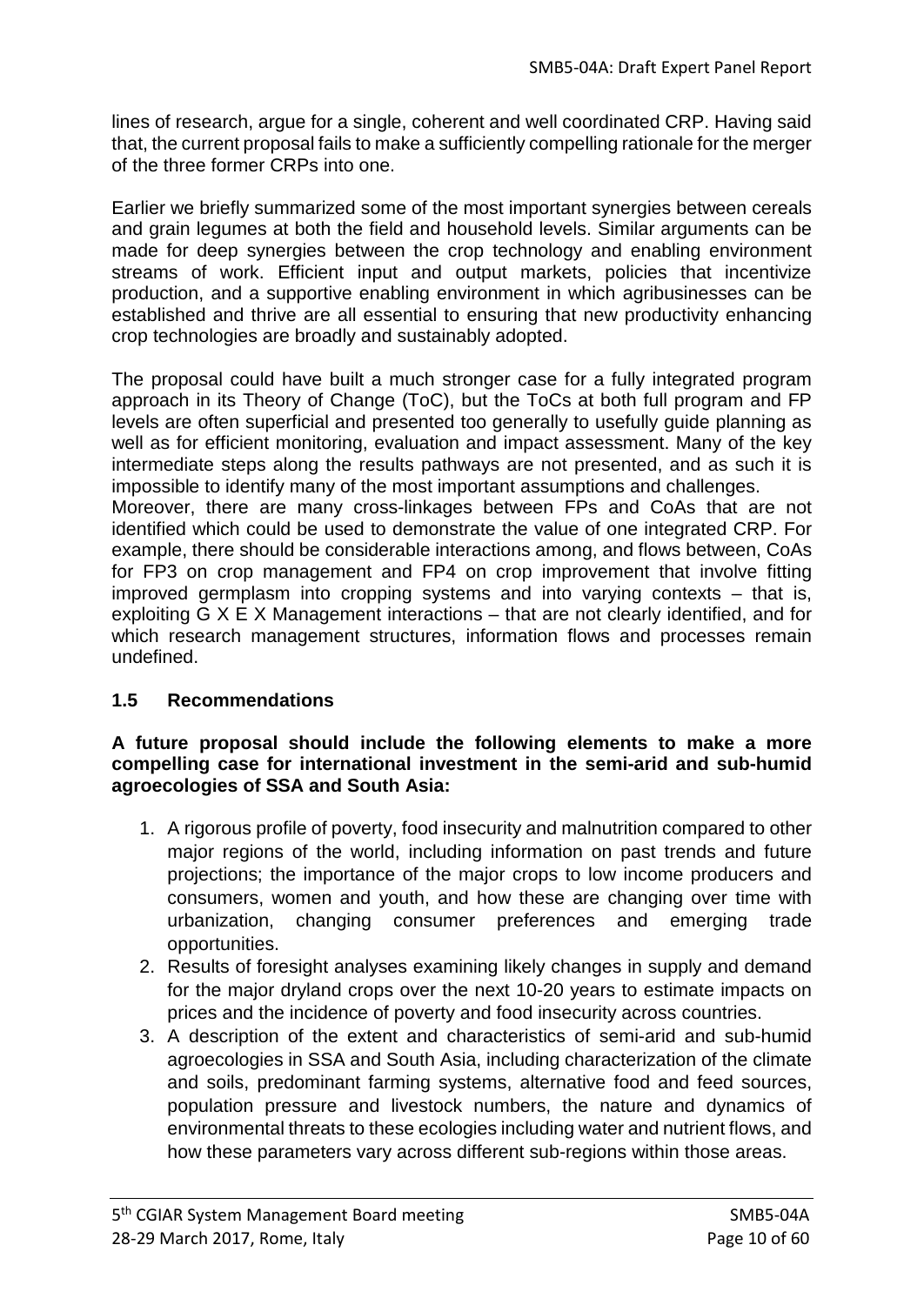lines of research, argue for a single, coherent and well coordinated CRP. Having said that, the current proposal fails to make a sufficiently compelling rationale for the merger of the three former CRPs into one.

Earlier we briefly summarized some of the most important synergies between cereals and grain legumes at both the field and household levels. Similar arguments can be made for deep synergies between the crop technology and enabling environment streams of work. Efficient input and output markets, policies that incentivize production, and a supportive enabling environment in which agribusinesses can be established and thrive are all essential to ensuring that new productivity enhancing crop technologies are broadly and sustainably adopted.

The proposal could have built a much stronger case for a fully integrated program approach in its Theory of Change (ToC), but the ToCs at both full program and FP levels are often superficial and presented too generally to usefully guide planning as well as for efficient monitoring, evaluation and impact assessment. Many of the key intermediate steps along the results pathways are not presented, and as such it is impossible to identify many of the most important assumptions and challenges.

Moreover, there are many cross-linkages between FPs and CoAs that are not identified which could be used to demonstrate the value of one integrated CRP. For example, there should be considerable interactions among, and flows between, CoAs for FP3 on crop management and FP4 on crop improvement that involve fitting improved germplasm into cropping systems and into varying contexts – that is, exploiting G X E X Management interactions – that are not clearly identified, and for which research management structures, information flows and processes remain undefined.

# **1.5 Recommendations**

### **A future proposal should include the following elements to make a more compelling case for international investment in the semi-arid and sub-humid agroecologies of SSA and South Asia:**

- 1. A rigorous profile of poverty, food insecurity and malnutrition compared to other major regions of the world, including information on past trends and future projections; the importance of the major crops to low income producers and consumers, women and youth, and how these are changing over time with urbanization, changing consumer preferences and emerging trade opportunities.
- 2. Results of foresight analyses examining likely changes in supply and demand for the major dryland crops over the next 10-20 years to estimate impacts on prices and the incidence of poverty and food insecurity across countries.
- 3. A description of the extent and characteristics of semi-arid and sub-humid agroecologies in SSA and South Asia, including characterization of the climate and soils, predominant farming systems, alternative food and feed sources, population pressure and livestock numbers, the nature and dynamics of environmental threats to these ecologies including water and nutrient flows, and how these parameters vary across different sub-regions within those areas.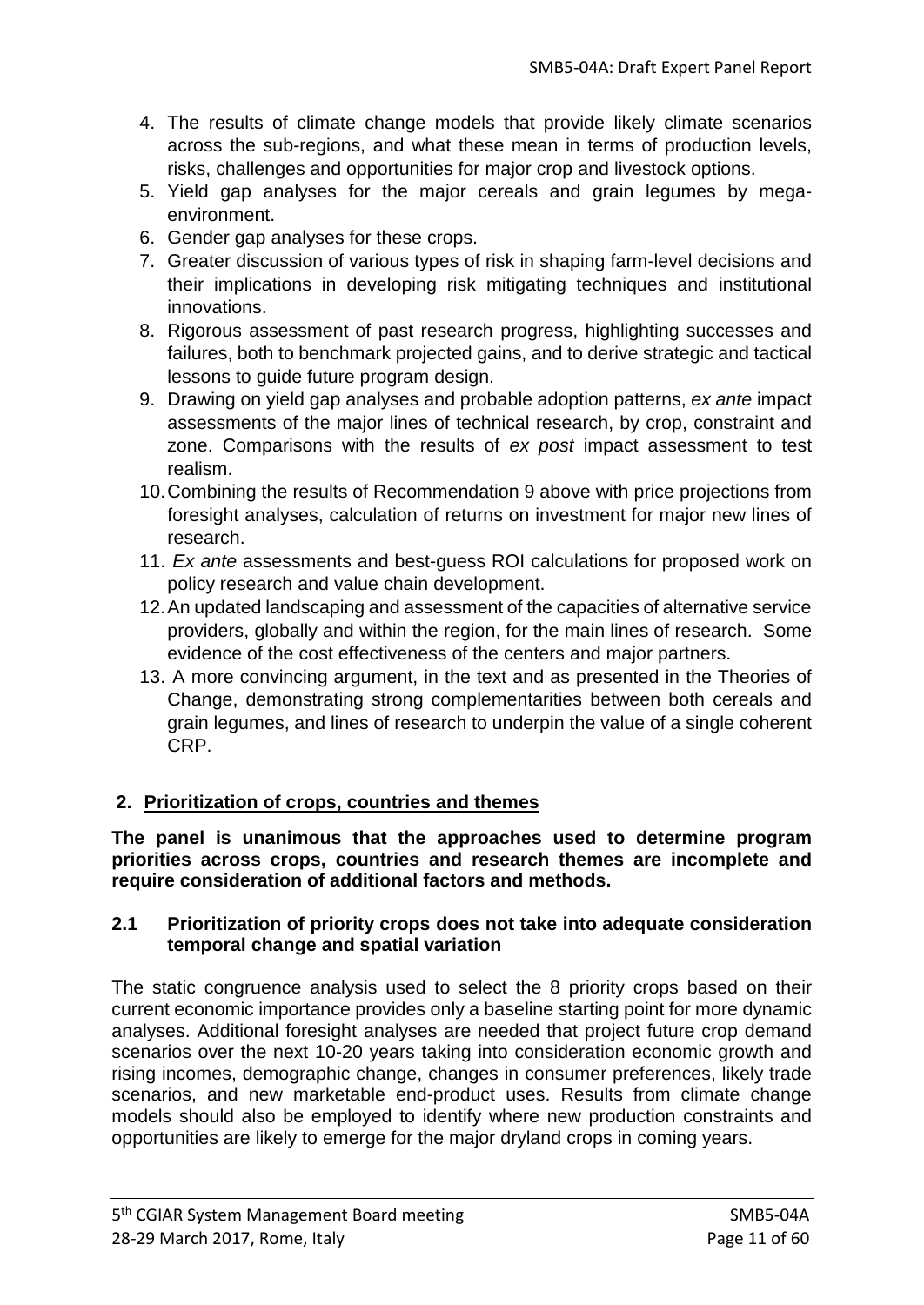- 4. The results of climate change models that provide likely climate scenarios across the sub-regions, and what these mean in terms of production levels, risks, challenges and opportunities for major crop and livestock options.
- 5. Yield gap analyses for the major cereals and grain legumes by megaenvironment.
- 6. Gender gap analyses for these crops.
- 7. Greater discussion of various types of risk in shaping farm-level decisions and their implications in developing risk mitigating techniques and institutional innovations.
- 8. Rigorous assessment of past research progress, highlighting successes and failures, both to benchmark projected gains, and to derive strategic and tactical lessons to guide future program design.
- 9. Drawing on yield gap analyses and probable adoption patterns, *ex ante* impact assessments of the major lines of technical research, by crop, constraint and zone. Comparisons with the results of *ex post* impact assessment to test realism.
- 10.Combining the results of Recommendation 9 above with price projections from foresight analyses, calculation of returns on investment for major new lines of research.
- 11. *Ex ante* assessments and best-guess ROI calculations for proposed work on policy research and value chain development.
- 12.An updated landscaping and assessment of the capacities of alternative service providers, globally and within the region, for the main lines of research. Some evidence of the cost effectiveness of the centers and major partners.
- 13. A more convincing argument, in the text and as presented in the Theories of Change, demonstrating strong complementarities between both cereals and grain legumes, and lines of research to underpin the value of a single coherent CRP.

# **2. Prioritization of crops, countries and themes**

**The panel is unanimous that the approaches used to determine program priorities across crops, countries and research themes are incomplete and require consideration of additional factors and methods.**

## **2.1 Prioritization of priority crops does not take into adequate consideration temporal change and spatial variation**

The static congruence analysis used to select the 8 priority crops based on their current economic importance provides only a baseline starting point for more dynamic analyses. Additional foresight analyses are needed that project future crop demand scenarios over the next 10-20 years taking into consideration economic growth and rising incomes, demographic change, changes in consumer preferences, likely trade scenarios, and new marketable end-product uses. Results from climate change models should also be employed to identify where new production constraints and opportunities are likely to emerge for the major dryland crops in coming years.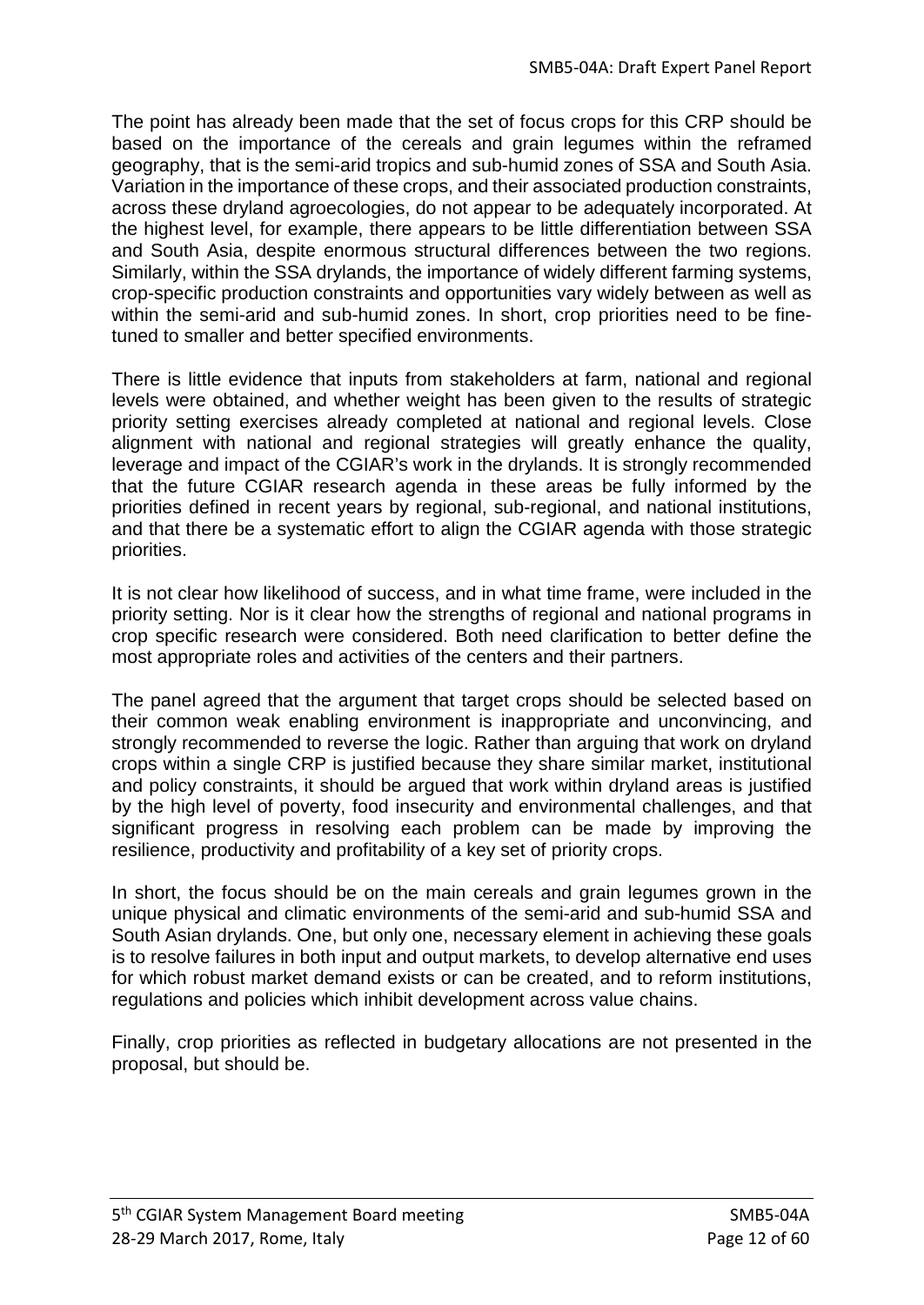The point has already been made that the set of focus crops for this CRP should be based on the importance of the cereals and grain legumes within the reframed geography, that is the semi-arid tropics and sub-humid zones of SSA and South Asia. Variation in the importance of these crops, and their associated production constraints, across these dryland agroecologies, do not appear to be adequately incorporated. At the highest level, for example, there appears to be little differentiation between SSA and South Asia, despite enormous structural differences between the two regions. Similarly, within the SSA drylands, the importance of widely different farming systems, crop-specific production constraints and opportunities vary widely between as well as within the semi-arid and sub-humid zones. In short, crop priorities need to be finetuned to smaller and better specified environments.

There is little evidence that inputs from stakeholders at farm, national and regional levels were obtained, and whether weight has been given to the results of strategic priority setting exercises already completed at national and regional levels. Close alignment with national and regional strategies will greatly enhance the quality, leverage and impact of the CGIAR's work in the drylands. It is strongly recommended that the future CGIAR research agenda in these areas be fully informed by the priorities defined in recent years by regional, sub-regional, and national institutions, and that there be a systematic effort to align the CGIAR agenda with those strategic priorities.

It is not clear how likelihood of success, and in what time frame, were included in the priority setting. Nor is it clear how the strengths of regional and national programs in crop specific research were considered. Both need clarification to better define the most appropriate roles and activities of the centers and their partners.

The panel agreed that the argument that target crops should be selected based on their common weak enabling environment is inappropriate and unconvincing, and strongly recommended to reverse the logic. Rather than arguing that work on dryland crops within a single CRP is justified because they share similar market, institutional and policy constraints, it should be argued that work within dryland areas is justified by the high level of poverty, food insecurity and environmental challenges, and that significant progress in resolving each problem can be made by improving the resilience, productivity and profitability of a key set of priority crops.

In short, the focus should be on the main cereals and grain legumes grown in the unique physical and climatic environments of the semi-arid and sub-humid SSA and South Asian drylands. One, but only one, necessary element in achieving these goals is to resolve failures in both input and output markets, to develop alternative end uses for which robust market demand exists or can be created, and to reform institutions, regulations and policies which inhibit development across value chains.

Finally, crop priorities as reflected in budgetary allocations are not presented in the proposal, but should be.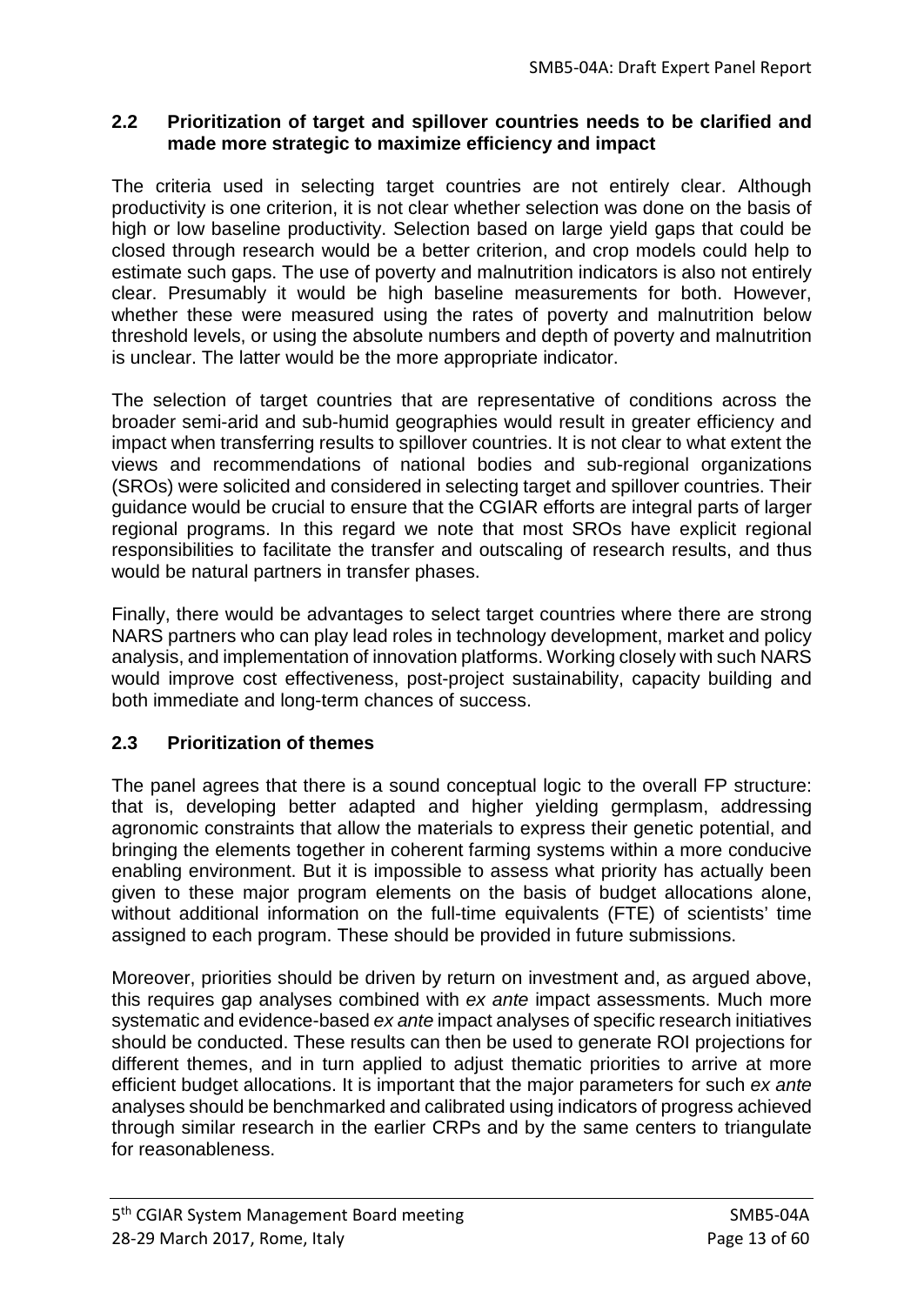## **2.2 Prioritization of target and spillover countries needs to be clarified and made more strategic to maximize efficiency and impact**

The criteria used in selecting target countries are not entirely clear. Although productivity is one criterion, it is not clear whether selection was done on the basis of high or low baseline productivity. Selection based on large yield gaps that could be closed through research would be a better criterion, and crop models could help to estimate such gaps. The use of poverty and malnutrition indicators is also not entirely clear. Presumably it would be high baseline measurements for both. However, whether these were measured using the rates of poverty and malnutrition below threshold levels, or using the absolute numbers and depth of poverty and malnutrition is unclear. The latter would be the more appropriate indicator.

The selection of target countries that are representative of conditions across the broader semi-arid and sub-humid geographies would result in greater efficiency and impact when transferring results to spillover countries. It is not clear to what extent the views and recommendations of national bodies and sub-regional organizations (SROs) were solicited and considered in selecting target and spillover countries. Their guidance would be crucial to ensure that the CGIAR efforts are integral parts of larger regional programs. In this regard we note that most SROs have explicit regional responsibilities to facilitate the transfer and outscaling of research results, and thus would be natural partners in transfer phases.

Finally, there would be advantages to select target countries where there are strong NARS partners who can play lead roles in technology development, market and policy analysis, and implementation of innovation platforms. Working closely with such NARS would improve cost effectiveness, post-project sustainability, capacity building and both immediate and long-term chances of success.

# **2.3 Prioritization of themes**

The panel agrees that there is a sound conceptual logic to the overall FP structure: that is, developing better adapted and higher yielding germplasm, addressing agronomic constraints that allow the materials to express their genetic potential, and bringing the elements together in coherent farming systems within a more conducive enabling environment. But it is impossible to assess what priority has actually been given to these major program elements on the basis of budget allocations alone, without additional information on the full-time equivalents (FTE) of scientists' time assigned to each program. These should be provided in future submissions.

Moreover, priorities should be driven by return on investment and, as argued above, this requires gap analyses combined with *ex ante* impact assessments. Much more systematic and evidence-based *ex ante* impact analyses of specific research initiatives should be conducted. These results can then be used to generate ROI projections for different themes, and in turn applied to adjust thematic priorities to arrive at more efficient budget allocations. It is important that the major parameters for such *ex ante* analyses should be benchmarked and calibrated using indicators of progress achieved through similar research in the earlier CRPs and by the same centers to triangulate for reasonableness.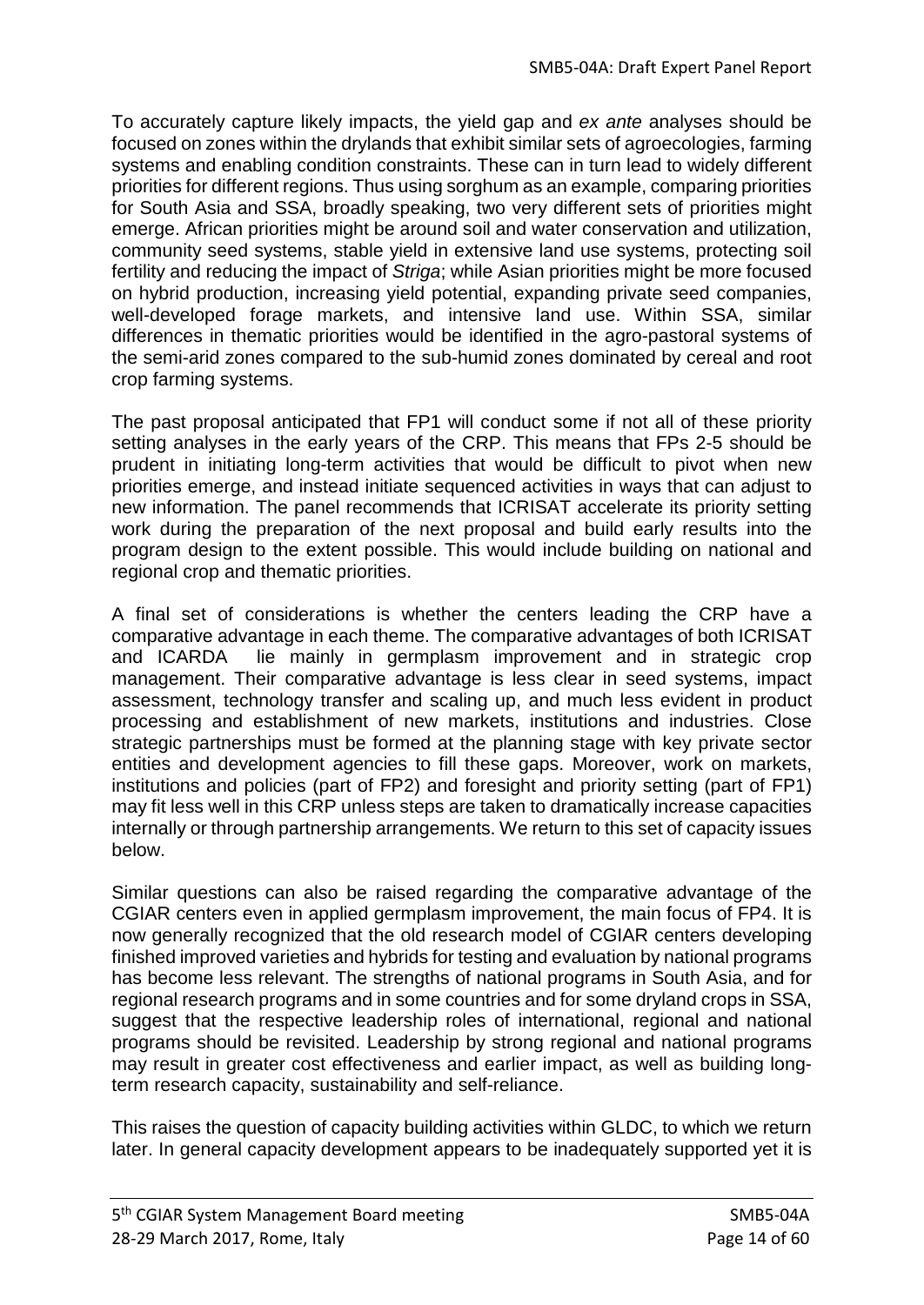To accurately capture likely impacts, the yield gap and *ex ante* analyses should be focused on zones within the drylands that exhibit similar sets of agroecologies, farming systems and enabling condition constraints. These can in turn lead to widely different priorities for different regions. Thus using sorghum as an example, comparing priorities for South Asia and SSA, broadly speaking, two very different sets of priorities might emerge. African priorities might be around soil and water conservation and utilization, community seed systems, stable yield in extensive land use systems, protecting soil fertility and reducing the impact of *Striga*; while Asian priorities might be more focused on hybrid production, increasing yield potential, expanding private seed companies, well-developed forage markets, and intensive land use. Within SSA, similar differences in thematic priorities would be identified in the agro-pastoral systems of the semi-arid zones compared to the sub-humid zones dominated by cereal and root crop farming systems.

The past proposal anticipated that FP1 will conduct some if not all of these priority setting analyses in the early years of the CRP. This means that FPs 2-5 should be prudent in initiating long-term activities that would be difficult to pivot when new priorities emerge, and instead initiate sequenced activities in ways that can adjust to new information. The panel recommends that ICRISAT accelerate its priority setting work during the preparation of the next proposal and build early results into the program design to the extent possible. This would include building on national and regional crop and thematic priorities.

A final set of considerations is whether the centers leading the CRP have a comparative advantage in each theme. The comparative advantages of both ICRISAT and ICARDA lie mainly in germplasm improvement and in strategic crop management. Their comparative advantage is less clear in seed systems, impact assessment, technology transfer and scaling up, and much less evident in product processing and establishment of new markets, institutions and industries. Close strategic partnerships must be formed at the planning stage with key private sector entities and development agencies to fill these gaps. Moreover, work on markets, institutions and policies (part of FP2) and foresight and priority setting (part of FP1) may fit less well in this CRP unless steps are taken to dramatically increase capacities internally or through partnership arrangements. We return to this set of capacity issues below.

Similar questions can also be raised regarding the comparative advantage of the CGIAR centers even in applied germplasm improvement, the main focus of FP4. It is now generally recognized that the old research model of CGIAR centers developing finished improved varieties and hybrids for testing and evaluation by national programs has become less relevant. The strengths of national programs in South Asia, and for regional research programs and in some countries and for some dryland crops in SSA, suggest that the respective leadership roles of international, regional and national programs should be revisited. Leadership by strong regional and national programs may result in greater cost effectiveness and earlier impact, as well as building longterm research capacity, sustainability and self-reliance.

This raises the question of capacity building activities within GLDC, to which we return later. In general capacity development appears to be inadequately supported yet it is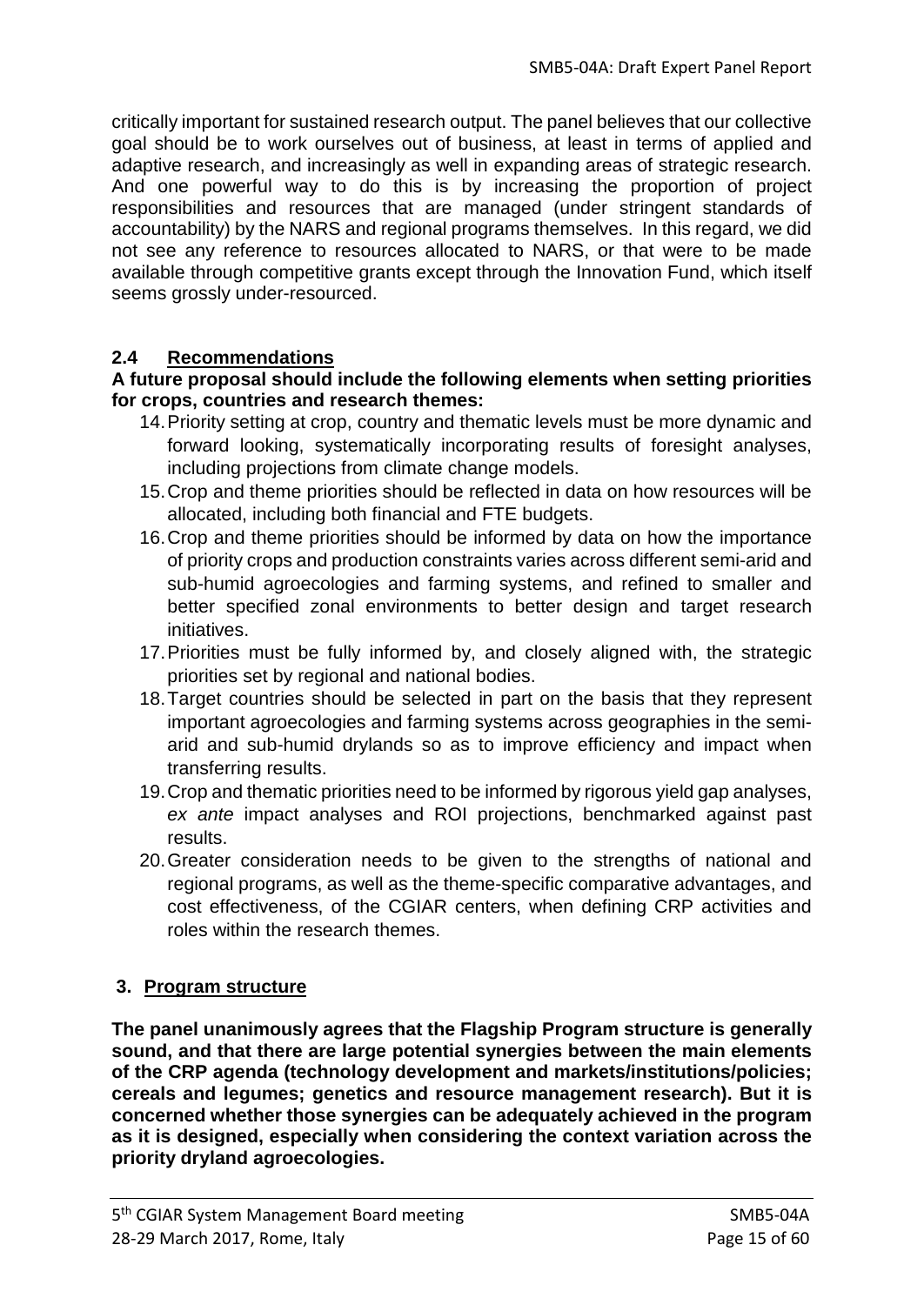critically important for sustained research output. The panel believes that our collective goal should be to work ourselves out of business, at least in terms of applied and adaptive research, and increasingly as well in expanding areas of strategic research. And one powerful way to do this is by increasing the proportion of project responsibilities and resources that are managed (under stringent standards of accountability) by the NARS and regional programs themselves. In this regard, we did not see any reference to resources allocated to NARS, or that were to be made available through competitive grants except through the Innovation Fund, which itself seems grossly under-resourced.

## **2.4 Recommendations**

### **A future proposal should include the following elements when setting priorities for crops, countries and research themes:**

- 14.Priority setting at crop, country and thematic levels must be more dynamic and forward looking, systematically incorporating results of foresight analyses, including projections from climate change models.
- 15.Crop and theme priorities should be reflected in data on how resources will be allocated, including both financial and FTE budgets.
- 16.Crop and theme priorities should be informed by data on how the importance of priority crops and production constraints varies across different semi-arid and sub-humid agroecologies and farming systems, and refined to smaller and better specified zonal environments to better design and target research initiatives.
- 17.Priorities must be fully informed by, and closely aligned with, the strategic priorities set by regional and national bodies.
- 18.Target countries should be selected in part on the basis that they represent important agroecologies and farming systems across geographies in the semiarid and sub-humid drylands so as to improve efficiency and impact when transferring results.
- 19.Crop and thematic priorities need to be informed by rigorous yield gap analyses, *ex ante* impact analyses and ROI projections, benchmarked against past results.
- 20.Greater consideration needs to be given to the strengths of national and regional programs, as well as the theme-specific comparative advantages, and cost effectiveness, of the CGIAR centers, when defining CRP activities and roles within the research themes.

# **3. Program structure**

**The panel unanimously agrees that the Flagship Program structure is generally sound, and that there are large potential synergies between the main elements of the CRP agenda (technology development and markets/institutions/policies; cereals and legumes; genetics and resource management research). But it is concerned whether those synergies can be adequately achieved in the program as it is designed, especially when considering the context variation across the priority dryland agroecologies.**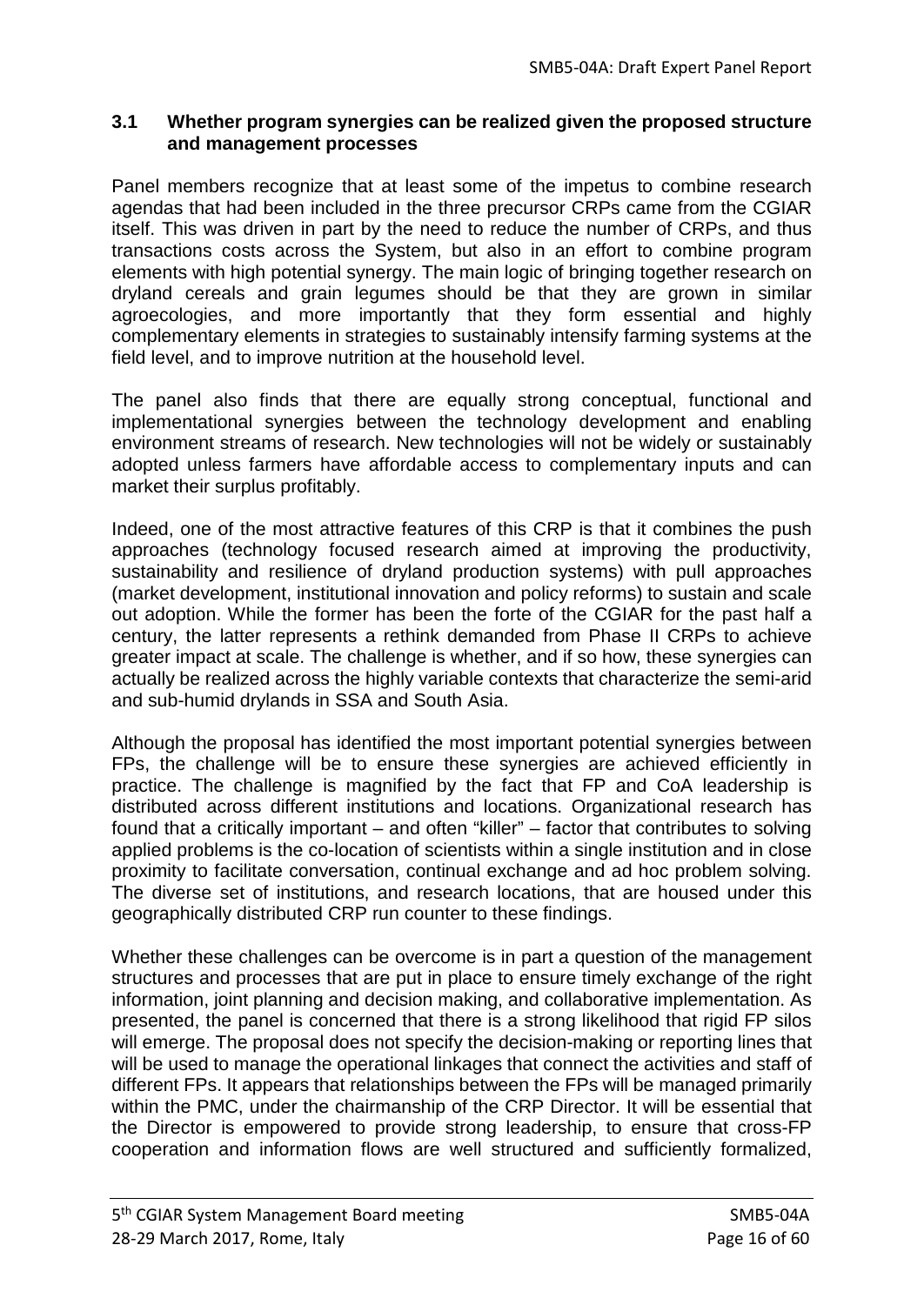## **3.1 Whether program synergies can be realized given the proposed structure and management processes**

Panel members recognize that at least some of the impetus to combine research agendas that had been included in the three precursor CRPs came from the CGIAR itself. This was driven in part by the need to reduce the number of CRPs, and thus transactions costs across the System, but also in an effort to combine program elements with high potential synergy. The main logic of bringing together research on dryland cereals and grain legumes should be that they are grown in similar agroecologies, and more importantly that they form essential and highly complementary elements in strategies to sustainably intensify farming systems at the field level, and to improve nutrition at the household level.

The panel also finds that there are equally strong conceptual, functional and implementational synergies between the technology development and enabling environment streams of research. New technologies will not be widely or sustainably adopted unless farmers have affordable access to complementary inputs and can market their surplus profitably.

Indeed, one of the most attractive features of this CRP is that it combines the push approaches (technology focused research aimed at improving the productivity, sustainability and resilience of dryland production systems) with pull approaches (market development, institutional innovation and policy reforms) to sustain and scale out adoption. While the former has been the forte of the CGIAR for the past half a century, the latter represents a rethink demanded from Phase II CRPs to achieve greater impact at scale. The challenge is whether, and if so how, these synergies can actually be realized across the highly variable contexts that characterize the semi-arid and sub-humid drylands in SSA and South Asia.

Although the proposal has identified the most important potential synergies between FPs, the challenge will be to ensure these synergies are achieved efficiently in practice. The challenge is magnified by the fact that FP and CoA leadership is distributed across different institutions and locations. Organizational research has found that a critically important – and often "killer" – factor that contributes to solving applied problems is the co-location of scientists within a single institution and in close proximity to facilitate conversation, continual exchange and ad hoc problem solving. The diverse set of institutions, and research locations, that are housed under this geographically distributed CRP run counter to these findings.

Whether these challenges can be overcome is in part a question of the management structures and processes that are put in place to ensure timely exchange of the right information, joint planning and decision making, and collaborative implementation. As presented, the panel is concerned that there is a strong likelihood that rigid FP silos will emerge. The proposal does not specify the decision-making or reporting lines that will be used to manage the operational linkages that connect the activities and staff of different FPs. It appears that relationships between the FPs will be managed primarily within the PMC, under the chairmanship of the CRP Director. It will be essential that the Director is empowered to provide strong leadership, to ensure that cross-FP cooperation and information flows are well structured and sufficiently formalized,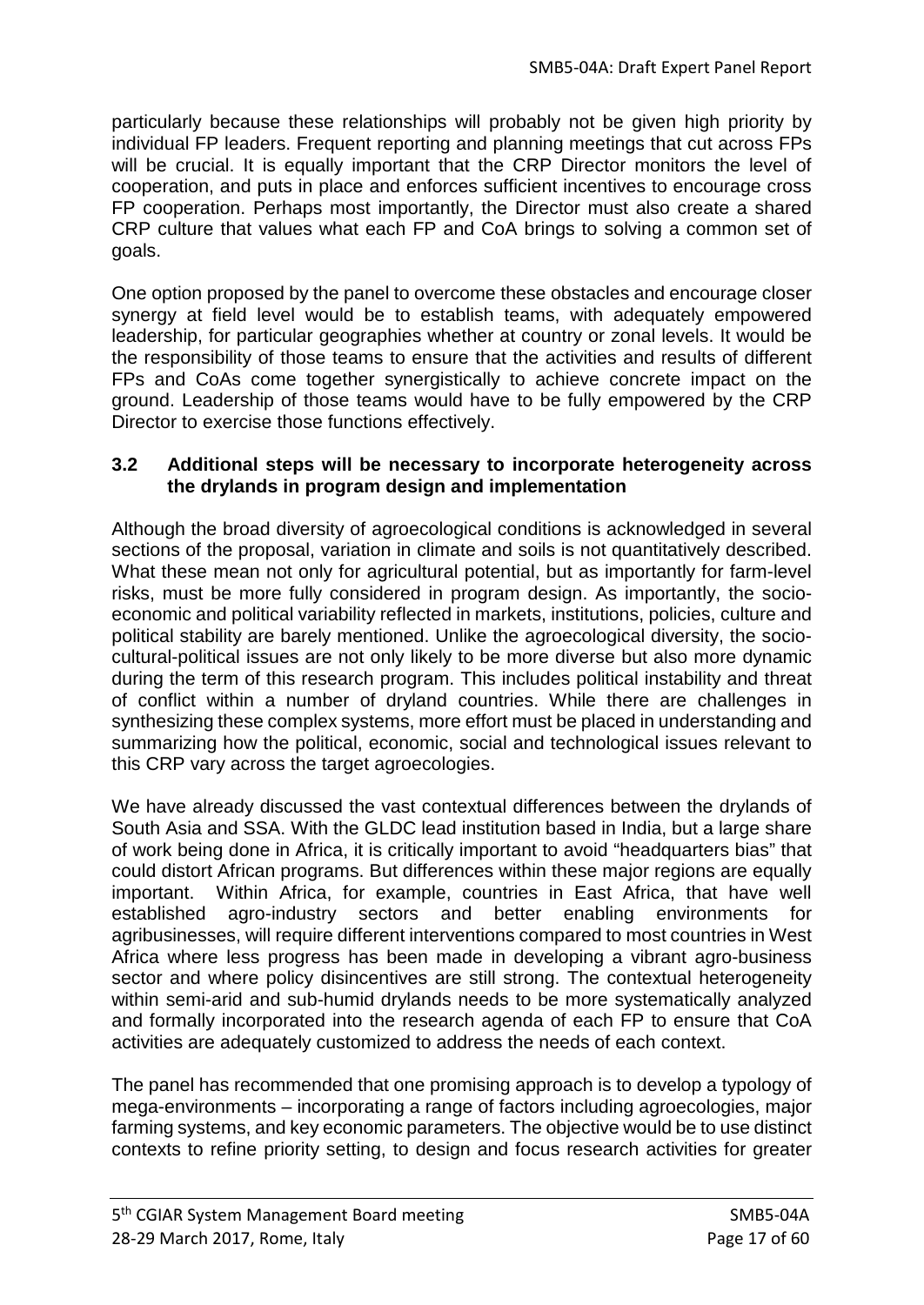particularly because these relationships will probably not be given high priority by individual FP leaders. Frequent reporting and planning meetings that cut across FPs will be crucial. It is equally important that the CRP Director monitors the level of cooperation, and puts in place and enforces sufficient incentives to encourage cross FP cooperation. Perhaps most importantly, the Director must also create a shared CRP culture that values what each FP and CoA brings to solving a common set of goals.

One option proposed by the panel to overcome these obstacles and encourage closer synergy at field level would be to establish teams, with adequately empowered leadership, for particular geographies whether at country or zonal levels. It would be the responsibility of those teams to ensure that the activities and results of different FPs and CoAs come together synergistically to achieve concrete impact on the ground. Leadership of those teams would have to be fully empowered by the CRP Director to exercise those functions effectively.

### **3.2 Additional steps will be necessary to incorporate heterogeneity across the drylands in program design and implementation**

Although the broad diversity of agroecological conditions is acknowledged in several sections of the proposal, variation in climate and soils is not quantitatively described. What these mean not only for agricultural potential, but as importantly for farm-level risks, must be more fully considered in program design. As importantly, the socioeconomic and political variability reflected in markets, institutions, policies, culture and political stability are barely mentioned. Unlike the agroecological diversity, the sociocultural-political issues are not only likely to be more diverse but also more dynamic during the term of this research program. This includes political instability and threat of conflict within a number of dryland countries. While there are challenges in synthesizing these complex systems, more effort must be placed in understanding and summarizing how the political, economic, social and technological issues relevant to this CRP vary across the target agroecologies.

We have already discussed the vast contextual differences between the drylands of South Asia and SSA. With the GLDC lead institution based in India, but a large share of work being done in Africa, it is critically important to avoid "headquarters bias" that could distort African programs. But differences within these major regions are equally important. Within Africa, for example, countries in East Africa, that have well established agro-industry sectors and better enabling environments for agribusinesses, will require different interventions compared to most countries in West Africa where less progress has been made in developing a vibrant agro-business sector and where policy disincentives are still strong. The contextual heterogeneity within semi-arid and sub-humid drylands needs to be more systematically analyzed and formally incorporated into the research agenda of each FP to ensure that CoA activities are adequately customized to address the needs of each context.

The panel has recommended that one promising approach is to develop a typology of mega-environments – incorporating a range of factors including agroecologies, major farming systems, and key economic parameters. The objective would be to use distinct contexts to refine priority setting, to design and focus research activities for greater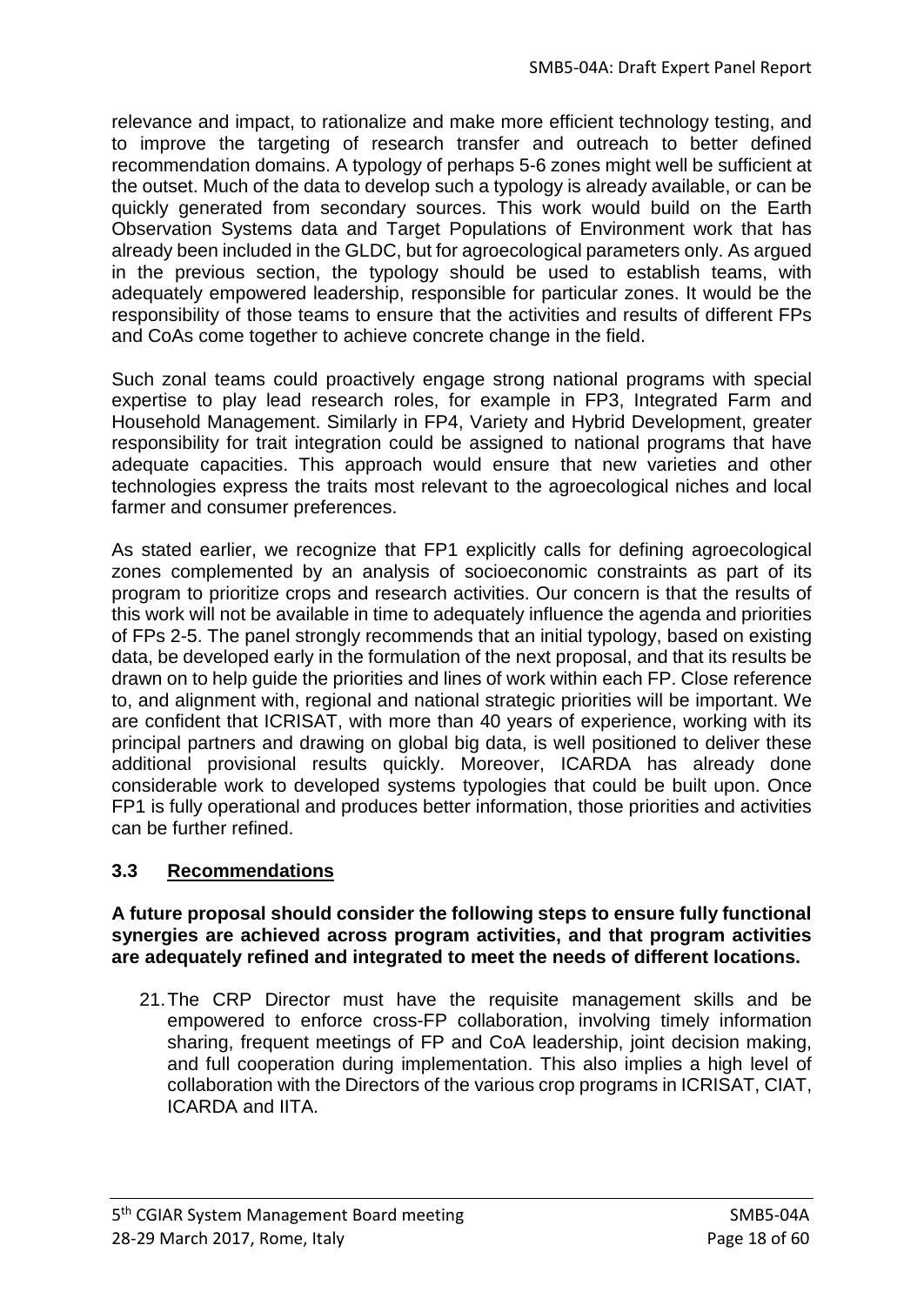relevance and impact, to rationalize and make more efficient technology testing, and to improve the targeting of research transfer and outreach to better defined recommendation domains. A typology of perhaps 5-6 zones might well be sufficient at the outset. Much of the data to develop such a typology is already available, or can be quickly generated from secondary sources. This work would build on the Earth Observation Systems data and Target Populations of Environment work that has already been included in the GLDC, but for agroecological parameters only. As argued in the previous section, the typology should be used to establish teams, with adequately empowered leadership, responsible for particular zones. It would be the responsibility of those teams to ensure that the activities and results of different FPs and CoAs come together to achieve concrete change in the field.

Such zonal teams could proactively engage strong national programs with special expertise to play lead research roles, for example in FP3, Integrated Farm and Household Management. Similarly in FP4, Variety and Hybrid Development, greater responsibility for trait integration could be assigned to national programs that have adequate capacities. This approach would ensure that new varieties and other technologies express the traits most relevant to the agroecological niches and local farmer and consumer preferences.

As stated earlier, we recognize that FP1 explicitly calls for defining agroecological zones complemented by an analysis of socioeconomic constraints as part of its program to prioritize crops and research activities. Our concern is that the results of this work will not be available in time to adequately influence the agenda and priorities of FPs 2-5. The panel strongly recommends that an initial typology, based on existing data, be developed early in the formulation of the next proposal, and that its results be drawn on to help guide the priorities and lines of work within each FP. Close reference to, and alignment with, regional and national strategic priorities will be important. We are confident that ICRISAT, with more than 40 years of experience, working with its principal partners and drawing on global big data, is well positioned to deliver these additional provisional results quickly. Moreover, ICARDA has already done considerable work to developed systems typologies that could be built upon. Once FP1 is fully operational and produces better information, those priorities and activities can be further refined.

## **3.3 Recommendations**

**A future proposal should consider the following steps to ensure fully functional synergies are achieved across program activities, and that program activities are adequately refined and integrated to meet the needs of different locations.**

21.The CRP Director must have the requisite management skills and be empowered to enforce cross-FP collaboration, involving timely information sharing, frequent meetings of FP and CoA leadership, joint decision making, and full cooperation during implementation. This also implies a high level of collaboration with the Directors of the various crop programs in ICRISAT, CIAT, ICARDA and IITA.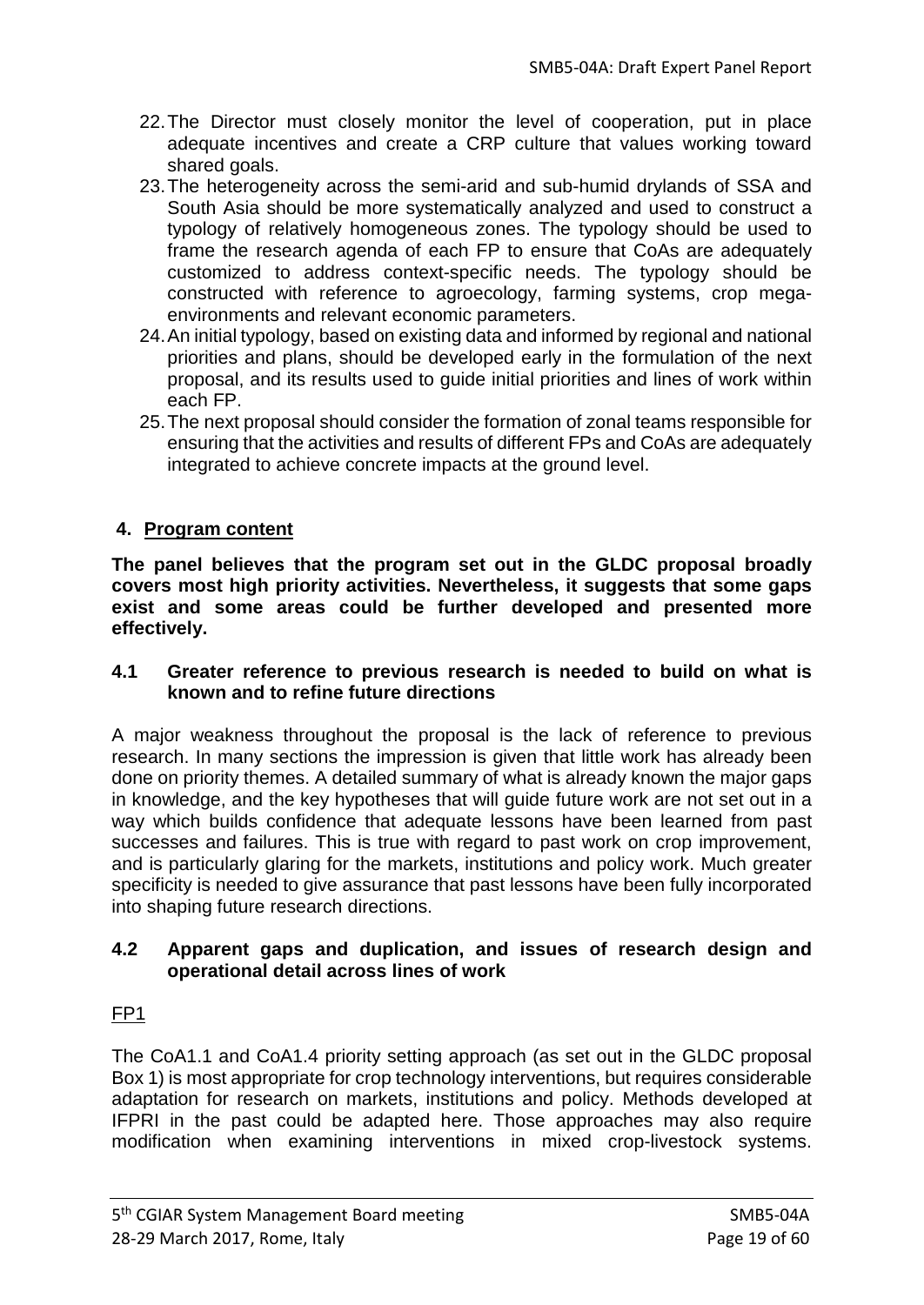- 22.The Director must closely monitor the level of cooperation, put in place adequate incentives and create a CRP culture that values working toward shared goals.
- 23.The heterogeneity across the semi-arid and sub-humid drylands of SSA and South Asia should be more systematically analyzed and used to construct a typology of relatively homogeneous zones. The typology should be used to frame the research agenda of each FP to ensure that CoAs are adequately customized to address context-specific needs. The typology should be constructed with reference to agroecology, farming systems, crop megaenvironments and relevant economic parameters.
- 24.An initial typology, based on existing data and informed by regional and national priorities and plans, should be developed early in the formulation of the next proposal, and its results used to guide initial priorities and lines of work within each FP.
- 25.The next proposal should consider the formation of zonal teams responsible for ensuring that the activities and results of different FPs and CoAs are adequately integrated to achieve concrete impacts at the ground level.

# **4. Program content**

**The panel believes that the program set out in the GLDC proposal broadly covers most high priority activities. Nevertheless, it suggests that some gaps exist and some areas could be further developed and presented more effectively.**

## **4.1 Greater reference to previous research is needed to build on what is known and to refine future directions**

A major weakness throughout the proposal is the lack of reference to previous research. In many sections the impression is given that little work has already been done on priority themes. A detailed summary of what is already known the major gaps in knowledge, and the key hypotheses that will guide future work are not set out in a way which builds confidence that adequate lessons have been learned from past successes and failures. This is true with regard to past work on crop improvement, and is particularly glaring for the markets, institutions and policy work. Much greater specificity is needed to give assurance that past lessons have been fully incorporated into shaping future research directions.

## **4.2 Apparent gaps and duplication, and issues of research design and operational detail across lines of work**

# FP1

The CoA1.1 and CoA1.4 priority setting approach (as set out in the GLDC proposal Box 1) is most appropriate for crop technology interventions, but requires considerable adaptation for research on markets, institutions and policy. Methods developed at IFPRI in the past could be adapted here. Those approaches may also require modification when examining interventions in mixed crop-livestock systems.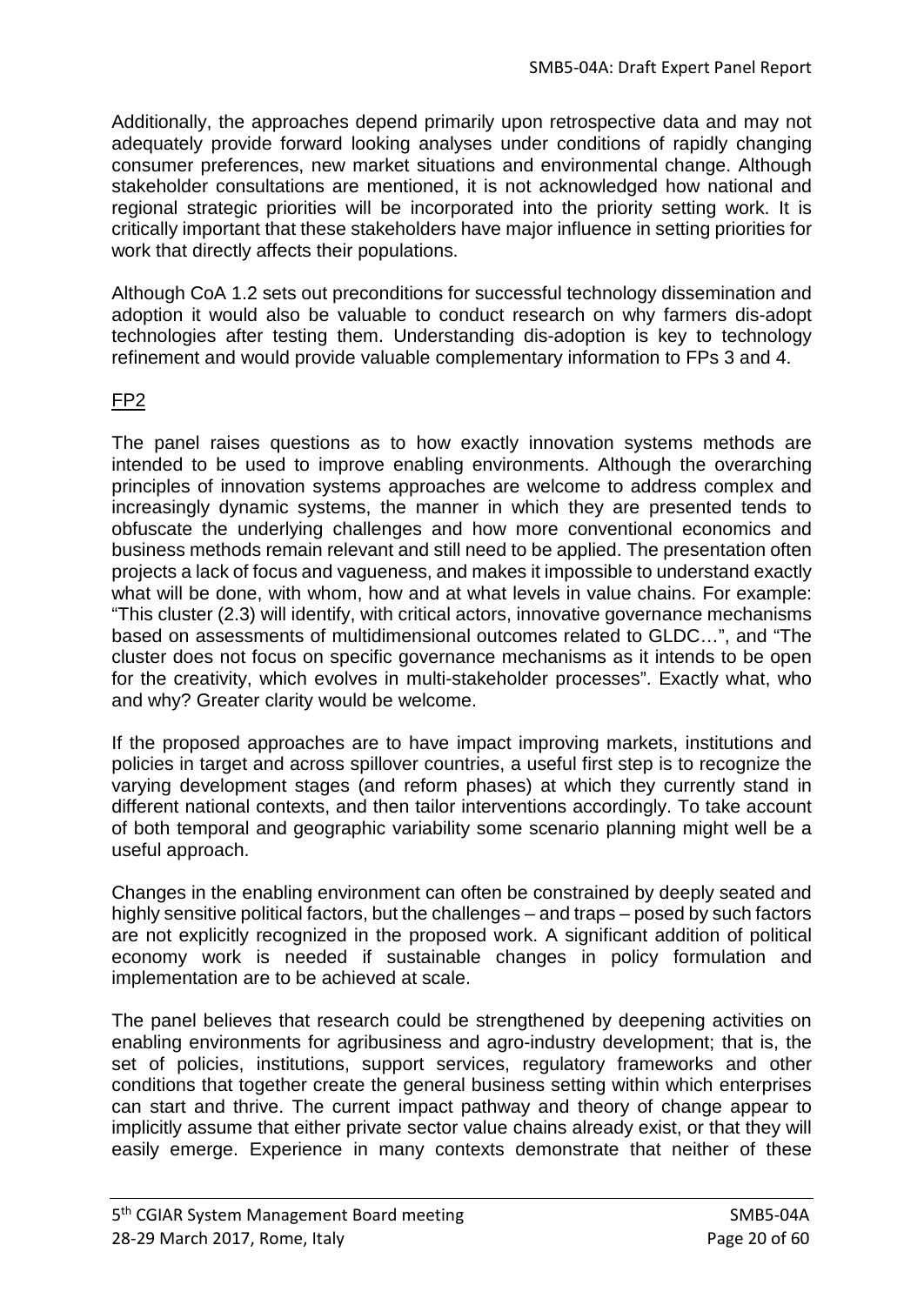Additionally, the approaches depend primarily upon retrospective data and may not adequately provide forward looking analyses under conditions of rapidly changing consumer preferences, new market situations and environmental change. Although stakeholder consultations are mentioned, it is not acknowledged how national and regional strategic priorities will be incorporated into the priority setting work. It is critically important that these stakeholders have major influence in setting priorities for work that directly affects their populations.

Although CoA 1.2 sets out preconditions for successful technology dissemination and adoption it would also be valuable to conduct research on why farmers dis-adopt technologies after testing them. Understanding dis-adoption is key to technology refinement and would provide valuable complementary information to FPs 3 and 4.

## FP2

The panel raises questions as to how exactly innovation systems methods are intended to be used to improve enabling environments. Although the overarching principles of innovation systems approaches are welcome to address complex and increasingly dynamic systems, the manner in which they are presented tends to obfuscate the underlying challenges and how more conventional economics and business methods remain relevant and still need to be applied. The presentation often projects a lack of focus and vagueness, and makes it impossible to understand exactly what will be done, with whom, how and at what levels in value chains. For example: "This cluster (2.3) will identify, with critical actors, innovative governance mechanisms based on assessments of multidimensional outcomes related to GLDC…", and "The cluster does not focus on specific governance mechanisms as it intends to be open for the creativity, which evolves in multi-stakeholder processes". Exactly what, who and why? Greater clarity would be welcome.

If the proposed approaches are to have impact improving markets, institutions and policies in target and across spillover countries, a useful first step is to recognize the varying development stages (and reform phases) at which they currently stand in different national contexts, and then tailor interventions accordingly. To take account of both temporal and geographic variability some scenario planning might well be a useful approach.

Changes in the enabling environment can often be constrained by deeply seated and highly sensitive political factors, but the challenges – and traps – posed by such factors are not explicitly recognized in the proposed work. A significant addition of political economy work is needed if sustainable changes in policy formulation and implementation are to be achieved at scale.

The panel believes that research could be strengthened by deepening activities on enabling environments for agribusiness and agro-industry development; that is, the set of policies, institutions, support services, regulatory frameworks and other conditions that together create the general business setting within which enterprises can start and thrive. The current impact pathway and theory of change appear to implicitly assume that either private sector value chains already exist, or that they will easily emerge. Experience in many contexts demonstrate that neither of these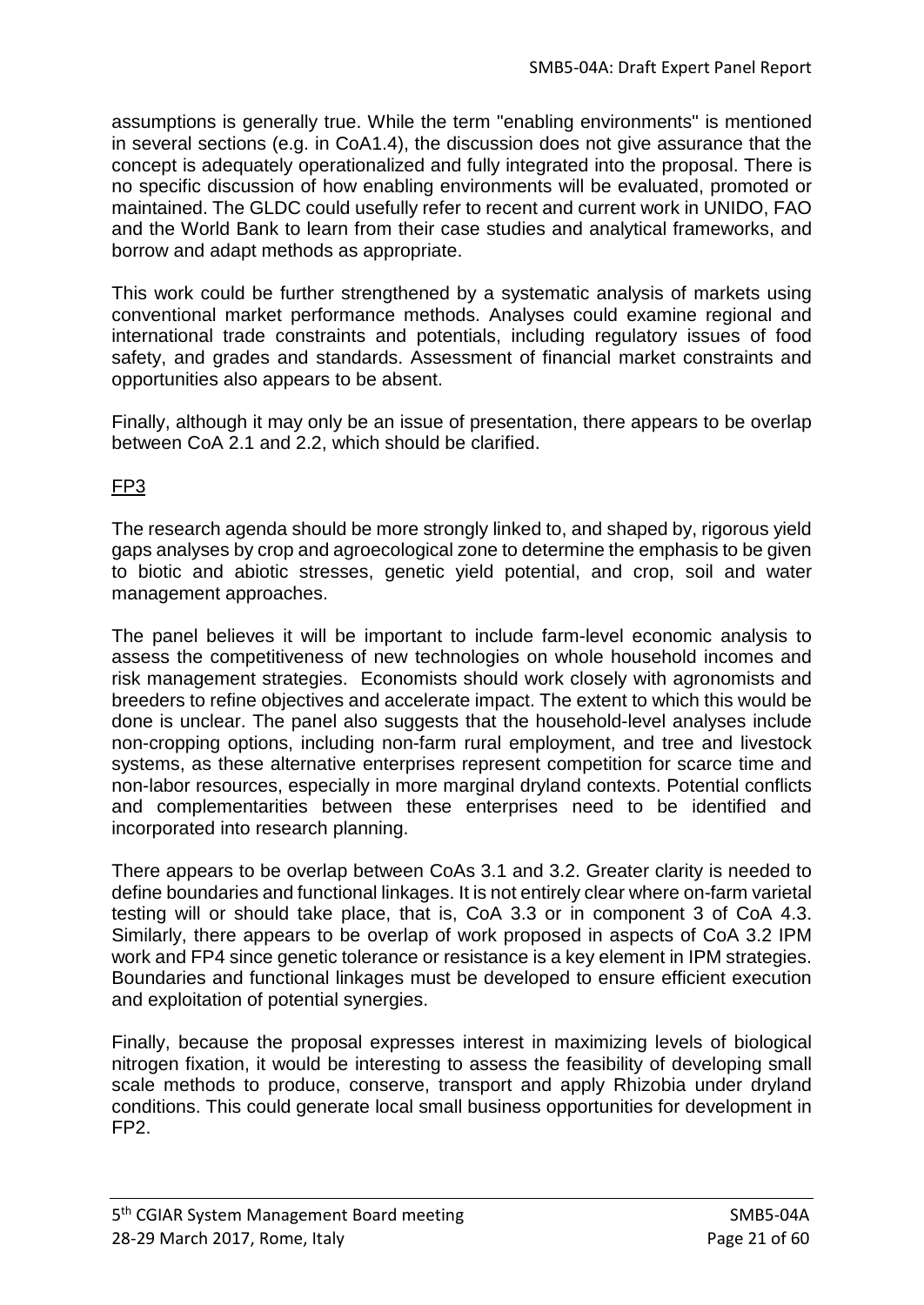assumptions is generally true. While the term "enabling environments" is mentioned in several sections (e.g. in CoA1.4), the discussion does not give assurance that the concept is adequately operationalized and fully integrated into the proposal. There is no specific discussion of how enabling environments will be evaluated, promoted or maintained. The GLDC could usefully refer to recent and current work in UNIDO, FAO and the World Bank to learn from their case studies and analytical frameworks, and borrow and adapt methods as appropriate.

This work could be further strengthened by a systematic analysis of markets using conventional market performance methods. Analyses could examine regional and international trade constraints and potentials, including regulatory issues of food safety, and grades and standards. Assessment of financial market constraints and opportunities also appears to be absent.

Finally, although it may only be an issue of presentation, there appears to be overlap between CoA 2.1 and 2.2, which should be clarified.

# FP3

The research agenda should be more strongly linked to, and shaped by, rigorous yield gaps analyses by crop and agroecological zone to determine the emphasis to be given to biotic and abiotic stresses, genetic yield potential, and crop, soil and water management approaches.

The panel believes it will be important to include farm-level economic analysis to assess the competitiveness of new technologies on whole household incomes and risk management strategies. Economists should work closely with agronomists and breeders to refine objectives and accelerate impact. The extent to which this would be done is unclear. The panel also suggests that the household-level analyses include non-cropping options, including non-farm rural employment, and tree and livestock systems, as these alternative enterprises represent competition for scarce time and non-labor resources, especially in more marginal dryland contexts. Potential conflicts and complementarities between these enterprises need to be identified and incorporated into research planning.

There appears to be overlap between CoAs 3.1 and 3.2. Greater clarity is needed to define boundaries and functional linkages. It is not entirely clear where on-farm varietal testing will or should take place, that is, CoA 3.3 or in component 3 of CoA 4.3. Similarly, there appears to be overlap of work proposed in aspects of CoA 3.2 IPM work and FP4 since genetic tolerance or resistance is a key element in IPM strategies. Boundaries and functional linkages must be developed to ensure efficient execution and exploitation of potential synergies.

Finally, because the proposal expresses interest in maximizing levels of biological nitrogen fixation, it would be interesting to assess the feasibility of developing small scale methods to produce, conserve, transport and apply Rhizobia under dryland conditions. This could generate local small business opportunities for development in FP2.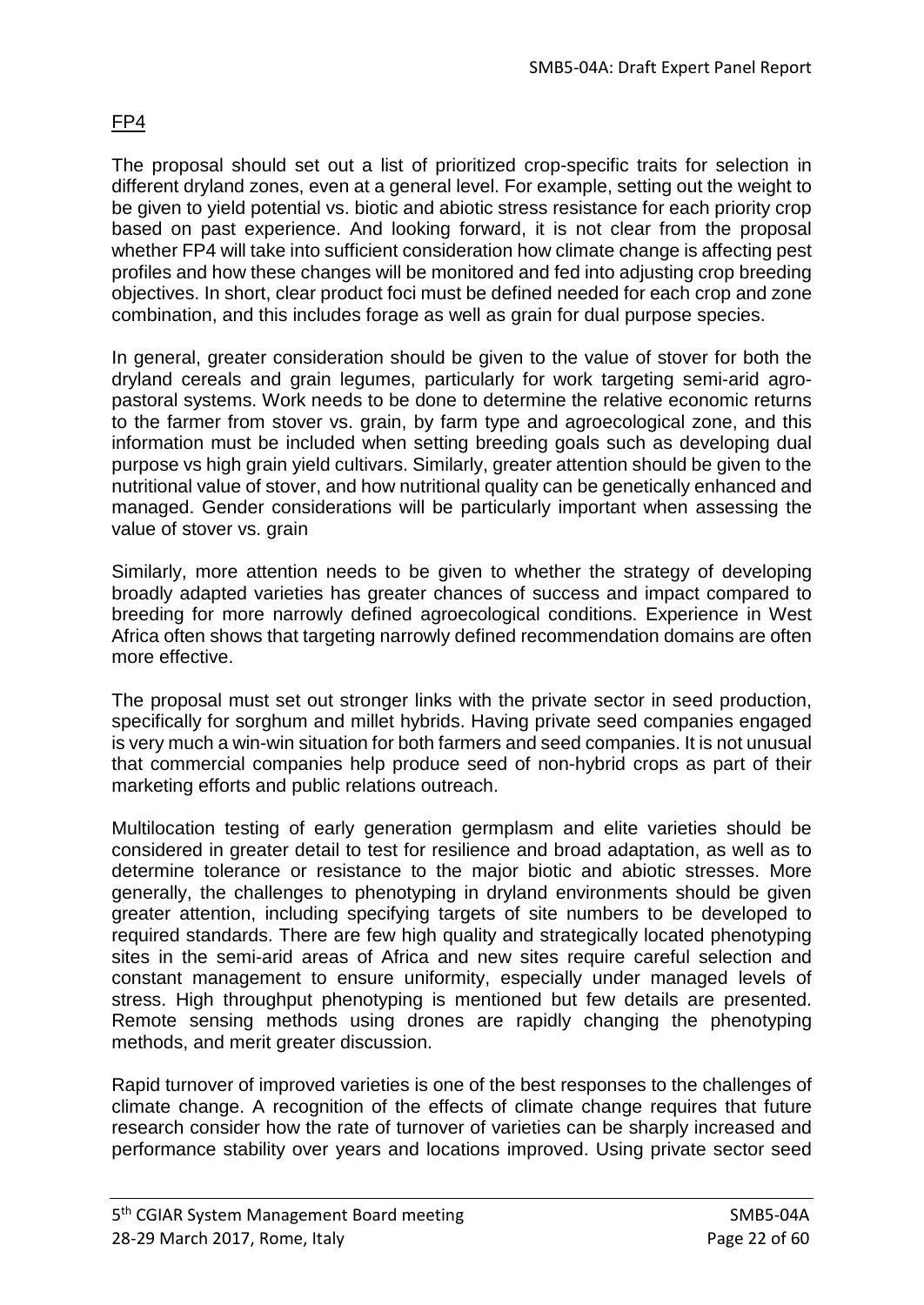# FP4

The proposal should set out a list of prioritized crop-specific traits for selection in different dryland zones, even at a general level. For example, setting out the weight to be given to yield potential vs. biotic and abiotic stress resistance for each priority crop based on past experience. And looking forward, it is not clear from the proposal whether FP4 will take into sufficient consideration how climate change is affecting pest profiles and how these changes will be monitored and fed into adjusting crop breeding objectives. In short, clear product foci must be defined needed for each crop and zone combination, and this includes forage as well as grain for dual purpose species.

In general, greater consideration should be given to the value of stover for both the dryland cereals and grain legumes, particularly for work targeting semi-arid agropastoral systems. Work needs to be done to determine the relative economic returns to the farmer from stover vs. grain, by farm type and agroecological zone, and this information must be included when setting breeding goals such as developing dual purpose vs high grain yield cultivars. Similarly, greater attention should be given to the nutritional value of stover, and how nutritional quality can be genetically enhanced and managed. Gender considerations will be particularly important when assessing the value of stover vs. grain

Similarly, more attention needs to be given to whether the strategy of developing broadly adapted varieties has greater chances of success and impact compared to breeding for more narrowly defined agroecological conditions. Experience in West Africa often shows that targeting narrowly defined recommendation domains are often more effective.

The proposal must set out stronger links with the private sector in seed production, specifically for sorghum and millet hybrids. Having private seed companies engaged is very much a win-win situation for both farmers and seed companies. It is not unusual that commercial companies help produce seed of non-hybrid crops as part of their marketing efforts and public relations outreach.

Multilocation testing of early generation germplasm and elite varieties should be considered in greater detail to test for resilience and broad adaptation, as well as to determine tolerance or resistance to the major biotic and abiotic stresses. More generally, the challenges to phenotyping in dryland environments should be given greater attention, including specifying targets of site numbers to be developed to required standards. There are few high quality and strategically located phenotyping sites in the semi-arid areas of Africa and new sites require careful selection and constant management to ensure uniformity, especially under managed levels of stress. High throughput phenotyping is mentioned but few details are presented. Remote sensing methods using drones are rapidly changing the phenotyping methods, and merit greater discussion.

Rapid turnover of improved varieties is one of the best responses to the challenges of climate change. A recognition of the effects of climate change requires that future research consider how the rate of turnover of varieties can be sharply increased and performance stability over years and locations improved. Using private sector seed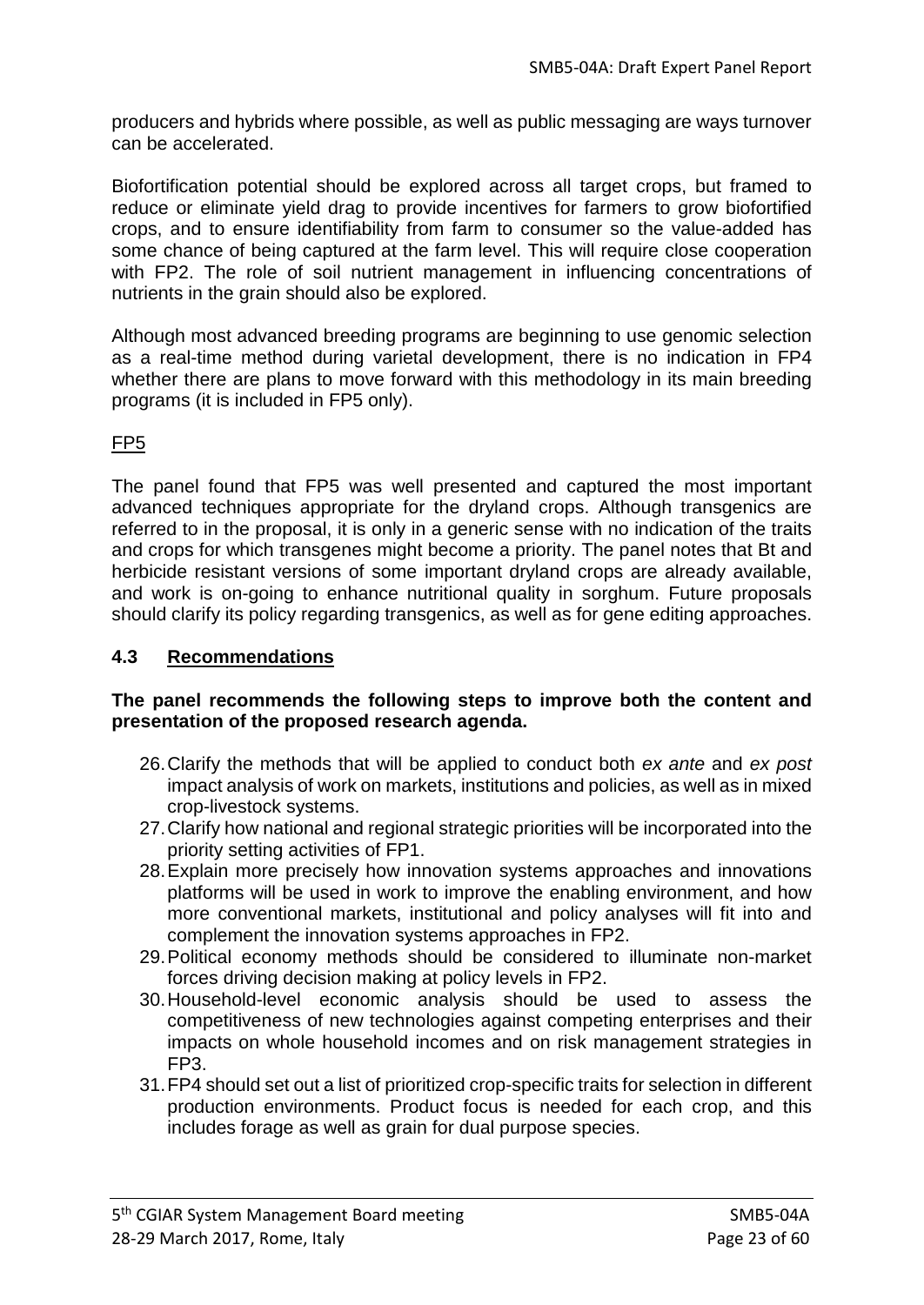producers and hybrids where possible, as well as public messaging are ways turnover can be accelerated.

Biofortification potential should be explored across all target crops, but framed to reduce or eliminate yield drag to provide incentives for farmers to grow biofortified crops, and to ensure identifiability from farm to consumer so the value-added has some chance of being captured at the farm level. This will require close cooperation with FP2. The role of soil nutrient management in influencing concentrations of nutrients in the grain should also be explored.

Although most advanced breeding programs are beginning to use genomic selection as a real-time method during varietal development, there is no indication in FP4 whether there are plans to move forward with this methodology in its main breeding programs (it is included in FP5 only).

# FP5

The panel found that FP5 was well presented and captured the most important advanced techniques appropriate for the dryland crops. Although transgenics are referred to in the proposal, it is only in a generic sense with no indication of the traits and crops for which transgenes might become a priority. The panel notes that Bt and herbicide resistant versions of some important dryland crops are already available, and work is on-going to enhance nutritional quality in sorghum. Future proposals should clarify its policy regarding transgenics, as well as for gene editing approaches.

## **4.3 Recommendations**

### **The panel recommends the following steps to improve both the content and presentation of the proposed research agenda.**

- 26.Clarify the methods that will be applied to conduct both *ex ante* and *ex post* impact analysis of work on markets, institutions and policies, as well as in mixed crop-livestock systems.
- 27.Clarify how national and regional strategic priorities will be incorporated into the priority setting activities of FP1.
- 28.Explain more precisely how innovation systems approaches and innovations platforms will be used in work to improve the enabling environment, and how more conventional markets, institutional and policy analyses will fit into and complement the innovation systems approaches in FP2.
- 29.Political economy methods should be considered to illuminate non-market forces driving decision making at policy levels in FP2.
- 30.Household-level economic analysis should be used to assess the competitiveness of new technologies against competing enterprises and their impacts on whole household incomes and on risk management strategies in FP3.
- 31.FP4 should set out a list of prioritized crop-specific traits for selection in different production environments. Product focus is needed for each crop, and this includes forage as well as grain for dual purpose species.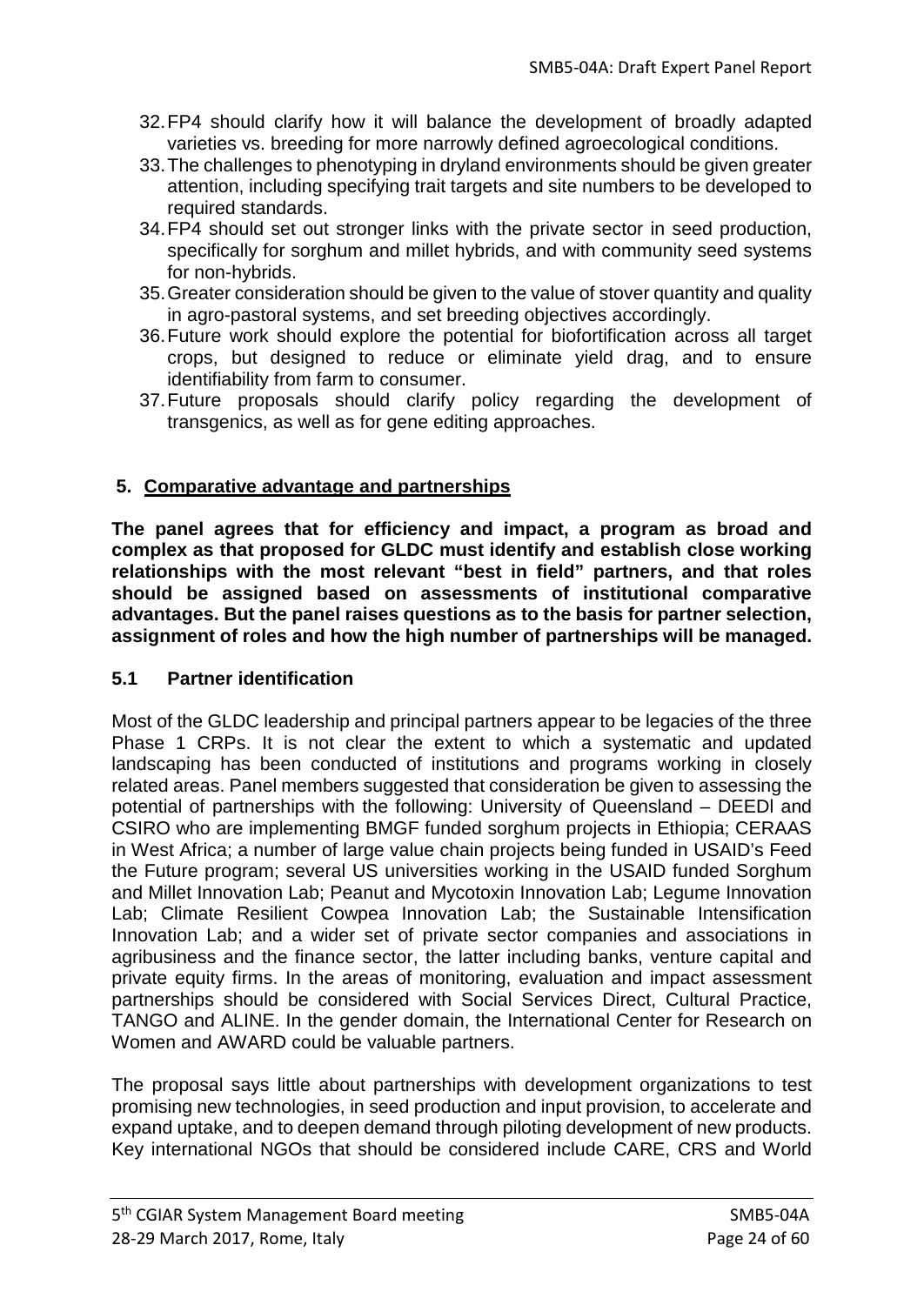- 32.FP4 should clarify how it will balance the development of broadly adapted varieties vs. breeding for more narrowly defined agroecological conditions.
- 33.The challenges to phenotyping in dryland environments should be given greater attention, including specifying trait targets and site numbers to be developed to required standards.
- 34.FP4 should set out stronger links with the private sector in seed production, specifically for sorghum and millet hybrids, and with community seed systems for non-hybrids.
- 35.Greater consideration should be given to the value of stover quantity and quality in agro-pastoral systems, and set breeding objectives accordingly.
- 36.Future work should explore the potential for biofortification across all target crops, but designed to reduce or eliminate yield drag, and to ensure identifiability from farm to consumer.
- 37.Future proposals should clarify policy regarding the development of transgenics, as well as for gene editing approaches.

## **5. Comparative advantage and partnerships**

**The panel agrees that for efficiency and impact, a program as broad and complex as that proposed for GLDC must identify and establish close working relationships with the most relevant "best in field" partners, and that roles should be assigned based on assessments of institutional comparative advantages. But the panel raises questions as to the basis for partner selection, assignment of roles and how the high number of partnerships will be managed.**

## **5.1 Partner identification**

Most of the GLDC leadership and principal partners appear to be legacies of the three Phase 1 CRPs. It is not clear the extent to which a systematic and updated landscaping has been conducted of institutions and programs working in closely related areas. Panel members suggested that consideration be given to assessing the potential of partnerships with the following: University of Queensland – DEEDl and CSIRO who are implementing BMGF funded sorghum projects in Ethiopia; CERAAS in West Africa; a number of large value chain projects being funded in USAID's Feed the Future program; several US universities working in the USAID funded Sorghum and Millet Innovation Lab; Peanut and Mycotoxin Innovation Lab; Legume Innovation Lab; Climate Resilient Cowpea Innovation Lab; the Sustainable Intensification Innovation Lab; and a wider set of private sector companies and associations in agribusiness and the finance sector, the latter including banks, venture capital and private equity firms. In the areas of monitoring, evaluation and impact assessment partnerships should be considered with Social Services Direct, Cultural Practice, TANGO and ALINE. In the gender domain, the International Center for Research on Women and AWARD could be valuable partners.

The proposal says little about partnerships with development organizations to test promising new technologies, in seed production and input provision, to accelerate and expand uptake, and to deepen demand through piloting development of new products. Key international NGOs that should be considered include CARE, CRS and World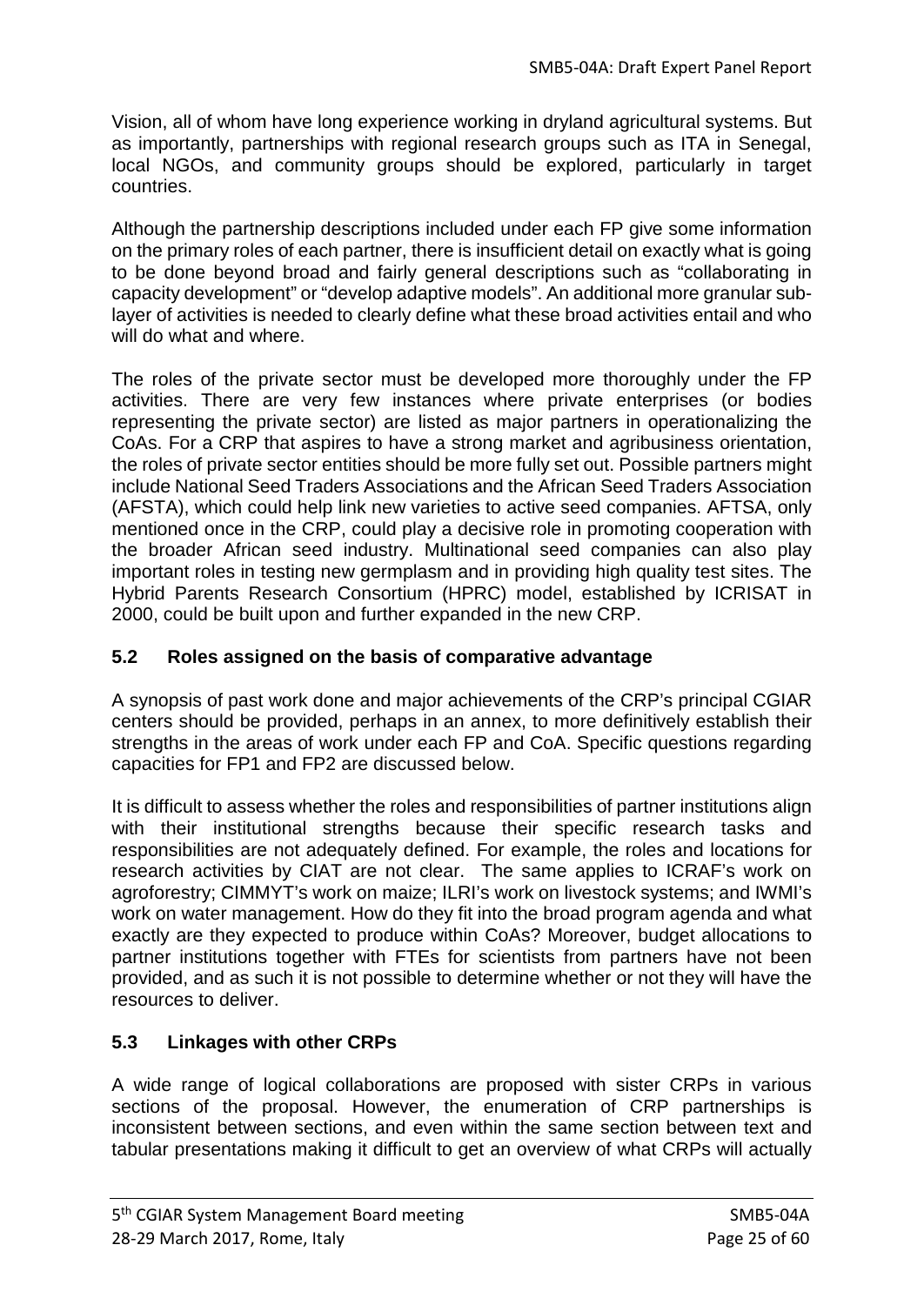Vision, all of whom have long experience working in dryland agricultural systems. But as importantly, partnerships with regional research groups such as ITA in Senegal, local NGOs, and community groups should be explored, particularly in target countries.

Although the partnership descriptions included under each FP give some information on the primary roles of each partner, there is insufficient detail on exactly what is going to be done beyond broad and fairly general descriptions such as "collaborating in capacity development" or "develop adaptive models". An additional more granular sublayer of activities is needed to clearly define what these broad activities entail and who will do what and where.

The roles of the private sector must be developed more thoroughly under the FP activities. There are very few instances where private enterprises (or bodies representing the private sector) are listed as major partners in operationalizing the CoAs. For a CRP that aspires to have a strong market and agribusiness orientation, the roles of private sector entities should be more fully set out. Possible partners might include National Seed Traders Associations and the African Seed Traders Association (AFSTA), which could help link new varieties to active seed companies. AFTSA, only mentioned once in the CRP, could play a decisive role in promoting cooperation with the broader African seed industry. Multinational seed companies can also play important roles in testing new germplasm and in providing high quality test sites. The Hybrid Parents Research Consortium (HPRC) model, established by ICRISAT in 2000, could be built upon and further expanded in the new CRP.

# **5.2 Roles assigned on the basis of comparative advantage**

A synopsis of past work done and major achievements of the CRP's principal CGIAR centers should be provided, perhaps in an annex, to more definitively establish their strengths in the areas of work under each FP and CoA. Specific questions regarding capacities for FP1 and FP2 are discussed below.

It is difficult to assess whether the roles and responsibilities of partner institutions align with their institutional strengths because their specific research tasks and responsibilities are not adequately defined. For example, the roles and locations for research activities by CIAT are not clear. The same applies to ICRAF's work on agroforestry; CIMMYT's work on maize; ILRI's work on livestock systems; and IWMI's work on water management. How do they fit into the broad program agenda and what exactly are they expected to produce within CoAs? Moreover, budget allocations to partner institutions together with FTEs for scientists from partners have not been provided, and as such it is not possible to determine whether or not they will have the resources to deliver.

# **5.3 Linkages with other CRPs**

A wide range of logical collaborations are proposed with sister CRPs in various sections of the proposal. However, the enumeration of CRP partnerships is inconsistent between sections, and even within the same section between text and tabular presentations making it difficult to get an overview of what CRPs will actually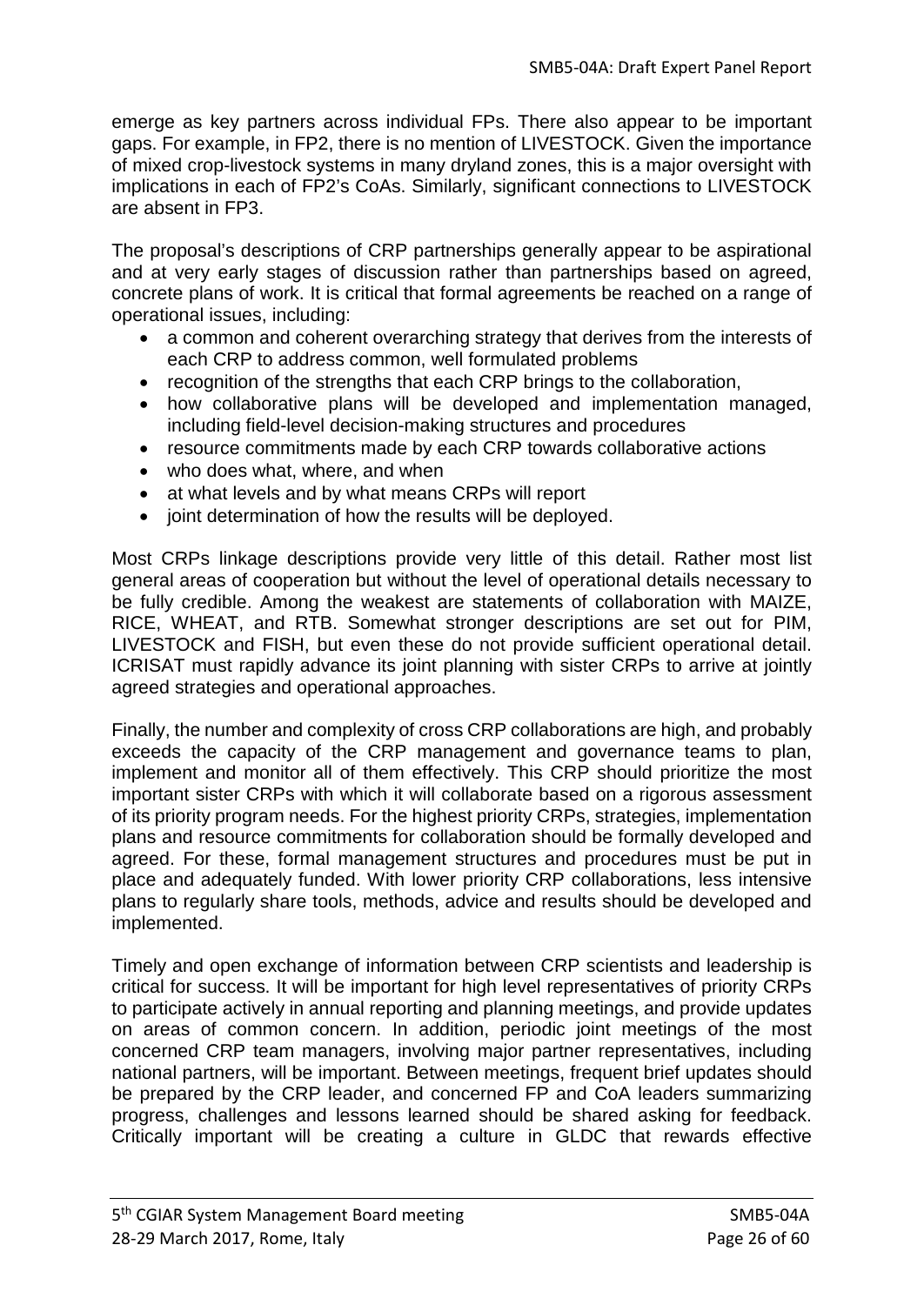emerge as key partners across individual FPs. There also appear to be important gaps. For example, in FP2, there is no mention of LIVESTOCK. Given the importance of mixed crop-livestock systems in many dryland zones, this is a major oversight with implications in each of FP2's CoAs. Similarly, significant connections to LIVESTOCK are absent in FP3.

The proposal's descriptions of CRP partnerships generally appear to be aspirational and at very early stages of discussion rather than partnerships based on agreed, concrete plans of work. It is critical that formal agreements be reached on a range of operational issues, including:

- a common and coherent overarching strategy that derives from the interests of each CRP to address common, well formulated problems
- recognition of the strengths that each CRP brings to the collaboration,
- how collaborative plans will be developed and implementation managed, including field-level decision-making structures and procedures
- resource commitments made by each CRP towards collaborative actions
- who does what, where, and when
- at what levels and by what means CRPs will report
- joint determination of how the results will be deployed.

Most CRPs linkage descriptions provide very little of this detail. Rather most list general areas of cooperation but without the level of operational details necessary to be fully credible. Among the weakest are statements of collaboration with MAIZE, RICE, WHEAT, and RTB. Somewhat stronger descriptions are set out for PIM, LIVESTOCK and FISH, but even these do not provide sufficient operational detail. ICRISAT must rapidly advance its joint planning with sister CRPs to arrive at jointly agreed strategies and operational approaches.

Finally, the number and complexity of cross CRP collaborations are high, and probably exceeds the capacity of the CRP management and governance teams to plan, implement and monitor all of them effectively. This CRP should prioritize the most important sister CRPs with which it will collaborate based on a rigorous assessment of its priority program needs. For the highest priority CRPs, strategies, implementation plans and resource commitments for collaboration should be formally developed and agreed. For these, formal management structures and procedures must be put in place and adequately funded. With lower priority CRP collaborations, less intensive plans to regularly share tools, methods, advice and results should be developed and implemented.

Timely and open exchange of information between CRP scientists and leadership is critical for success. It will be important for high level representatives of priority CRPs to participate actively in annual reporting and planning meetings, and provide updates on areas of common concern. In addition, periodic joint meetings of the most concerned CRP team managers, involving major partner representatives, including national partners, will be important. Between meetings, frequent brief updates should be prepared by the CRP leader, and concerned FP and CoA leaders summarizing progress, challenges and lessons learned should be shared asking for feedback. Critically important will be creating a culture in GLDC that rewards effective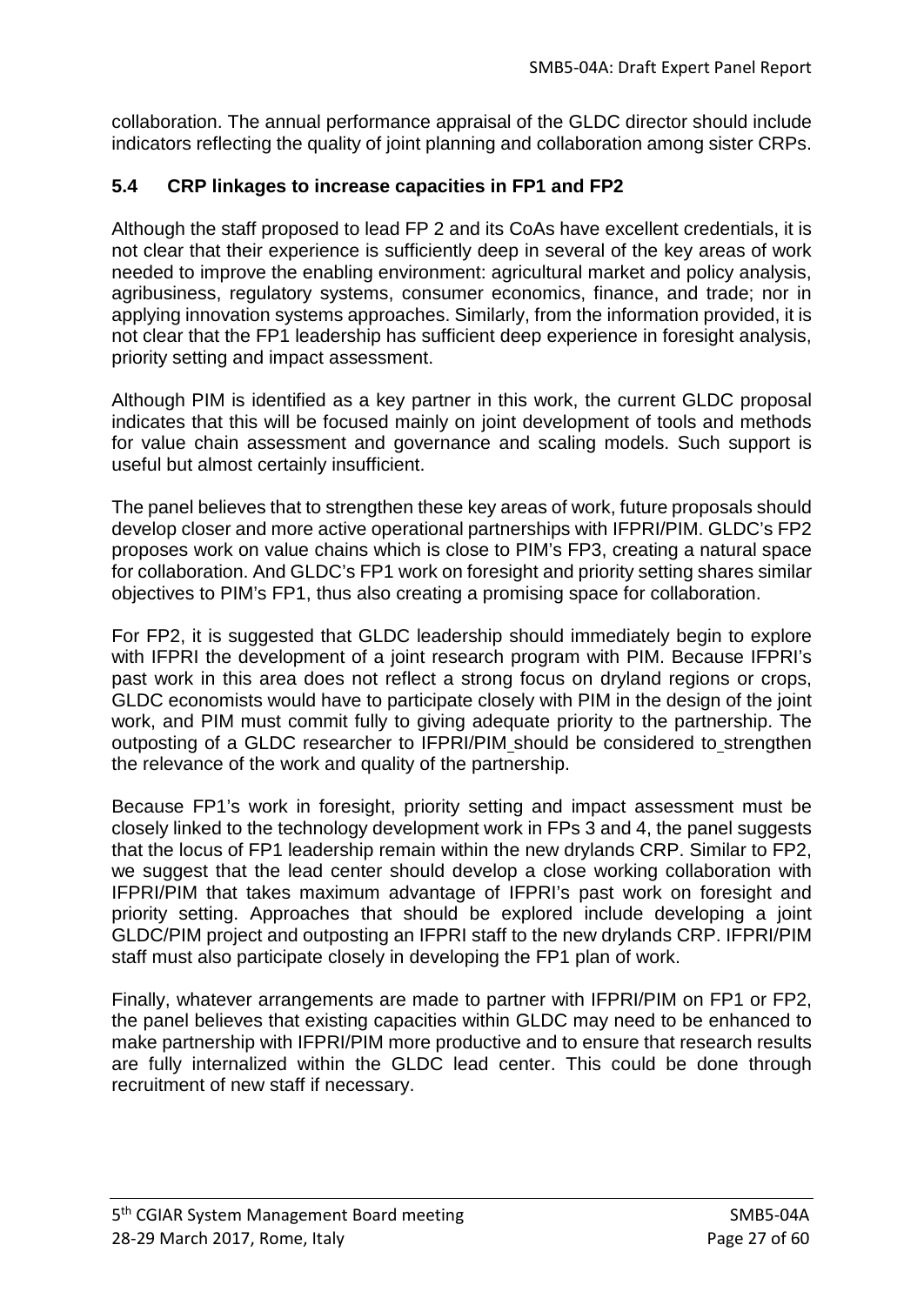collaboration. The annual performance appraisal of the GLDC director should include indicators reflecting the quality of joint planning and collaboration among sister CRPs.

## **5.4 CRP linkages to increase capacities in FP1 and FP2**

Although the staff proposed to lead FP 2 and its CoAs have excellent credentials, it is not clear that their experience is sufficiently deep in several of the key areas of work needed to improve the enabling environment: agricultural market and policy analysis, agribusiness, regulatory systems, consumer economics, finance, and trade; nor in applying innovation systems approaches. Similarly, from the information provided, it is not clear that the FP1 leadership has sufficient deep experience in foresight analysis, priority setting and impact assessment.

Although PIM is identified as a key partner in this work, the current GLDC proposal indicates that this will be focused mainly on joint development of tools and methods for value chain assessment and governance and scaling models. Such support is useful but almost certainly insufficient.

The panel believes that to strengthen these key areas of work, future proposals should develop closer and more active operational partnerships with IFPRI/PIM. GLDC's FP2 proposes work on value chains which is close to PIM's FP3, creating a natural space for collaboration. And GLDC's FP1 work on foresight and priority setting shares similar objectives to PIM's FP1, thus also creating a promising space for collaboration.

For FP2, it is suggested that GLDC leadership should immediately begin to explore with IFPRI the development of a joint research program with PIM. Because IFPRI's past work in this area does not reflect a strong focus on dryland regions or crops, GLDC economists would have to participate closely with PIM in the design of the joint work, and PIM must commit fully to giving adequate priority to the partnership. The outposting of a GLDC researcher to IFPRI/PIM should be considered to strengthen the relevance of the work and quality of the partnership.

Because FP1's work in foresight, priority setting and impact assessment must be closely linked to the technology development work in FPs 3 and 4, the panel suggests that the locus of FP1 leadership remain within the new drylands CRP. Similar to FP2, we suggest that the lead center should develop a close working collaboration with IFPRI/PIM that takes maximum advantage of IFPRI's past work on foresight and priority setting. Approaches that should be explored include developing a joint GLDC/PIM project and outposting an IFPRI staff to the new drylands CRP. IFPRI/PIM staff must also participate closely in developing the FP1 plan of work.

Finally, whatever arrangements are made to partner with IFPRI/PIM on FP1 or FP2, the panel believes that existing capacities within GLDC may need to be enhanced to make partnership with IFPRI/PIM more productive and to ensure that research results are fully internalized within the GLDC lead center. This could be done through recruitment of new staff if necessary.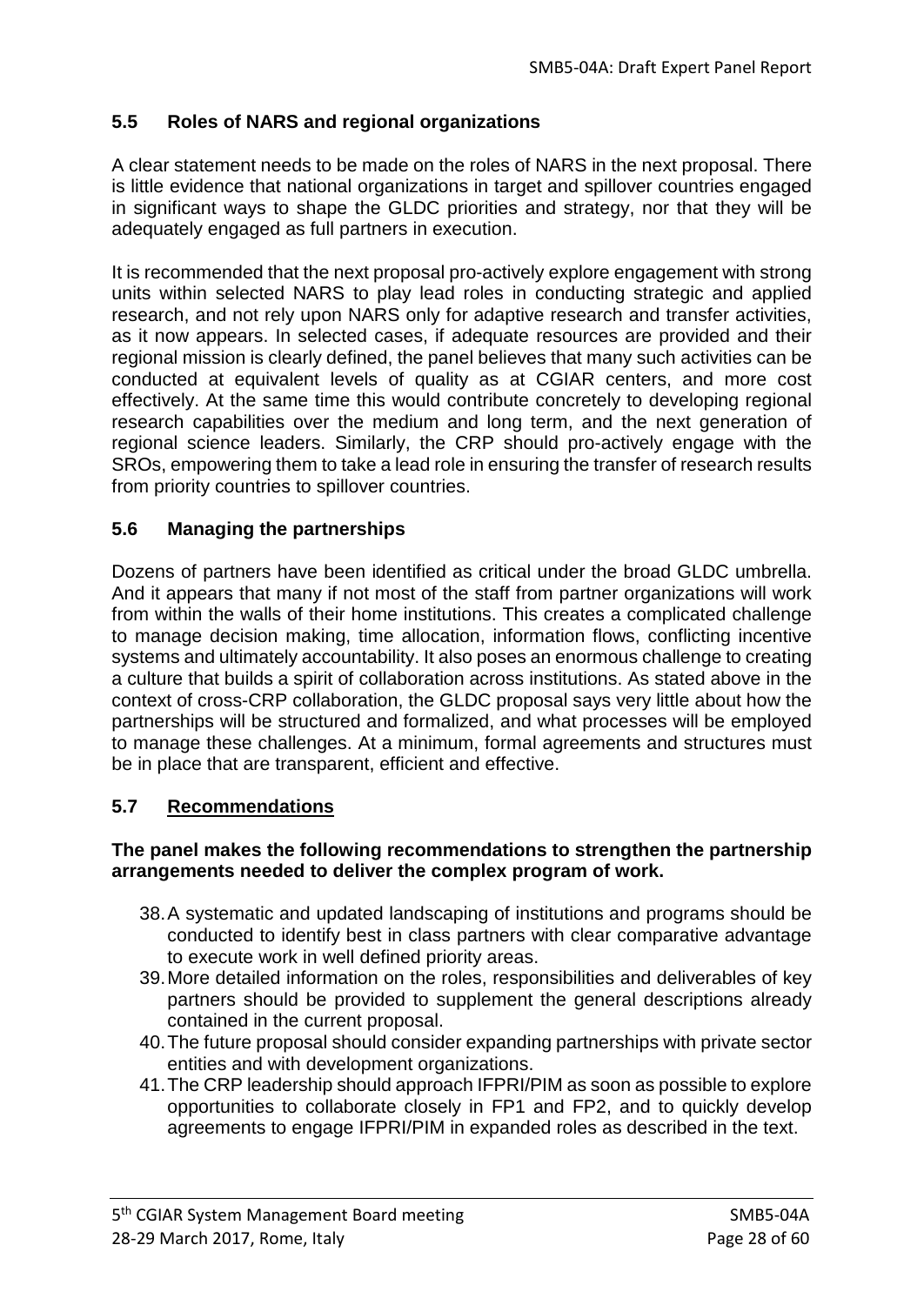## **5.5 Roles of NARS and regional organizations**

A clear statement needs to be made on the roles of NARS in the next proposal. There is little evidence that national organizations in target and spillover countries engaged in significant ways to shape the GLDC priorities and strategy, nor that they will be adequately engaged as full partners in execution.

It is recommended that the next proposal pro-actively explore engagement with strong units within selected NARS to play lead roles in conducting strategic and applied research, and not rely upon NARS only for adaptive research and transfer activities, as it now appears. In selected cases, if adequate resources are provided and their regional mission is clearly defined, the panel believes that many such activities can be conducted at equivalent levels of quality as at CGIAR centers, and more cost effectively. At the same time this would contribute concretely to developing regional research capabilities over the medium and long term, and the next generation of regional science leaders. Similarly, the CRP should pro-actively engage with the SROs, empowering them to take a lead role in ensuring the transfer of research results from priority countries to spillover countries.

## **5.6 Managing the partnerships**

Dozens of partners have been identified as critical under the broad GLDC umbrella. And it appears that many if not most of the staff from partner organizations will work from within the walls of their home institutions. This creates a complicated challenge to manage decision making, time allocation, information flows, conflicting incentive systems and ultimately accountability. It also poses an enormous challenge to creating a culture that builds a spirit of collaboration across institutions. As stated above in the context of cross-CRP collaboration, the GLDC proposal says very little about how the partnerships will be structured and formalized, and what processes will be employed to manage these challenges. At a minimum, formal agreements and structures must be in place that are transparent, efficient and effective.

## **5.7 Recommendations**

#### **The panel makes the following recommendations to strengthen the partnership arrangements needed to deliver the complex program of work.**

- 38.A systematic and updated landscaping of institutions and programs should be conducted to identify best in class partners with clear comparative advantage to execute work in well defined priority areas.
- 39.More detailed information on the roles, responsibilities and deliverables of key partners should be provided to supplement the general descriptions already contained in the current proposal.
- 40.The future proposal should consider expanding partnerships with private sector entities and with development organizations.
- 41.The CRP leadership should approach IFPRI/PIM as soon as possible to explore opportunities to collaborate closely in FP1 and FP2, and to quickly develop agreements to engage IFPRI/PIM in expanded roles as described in the text.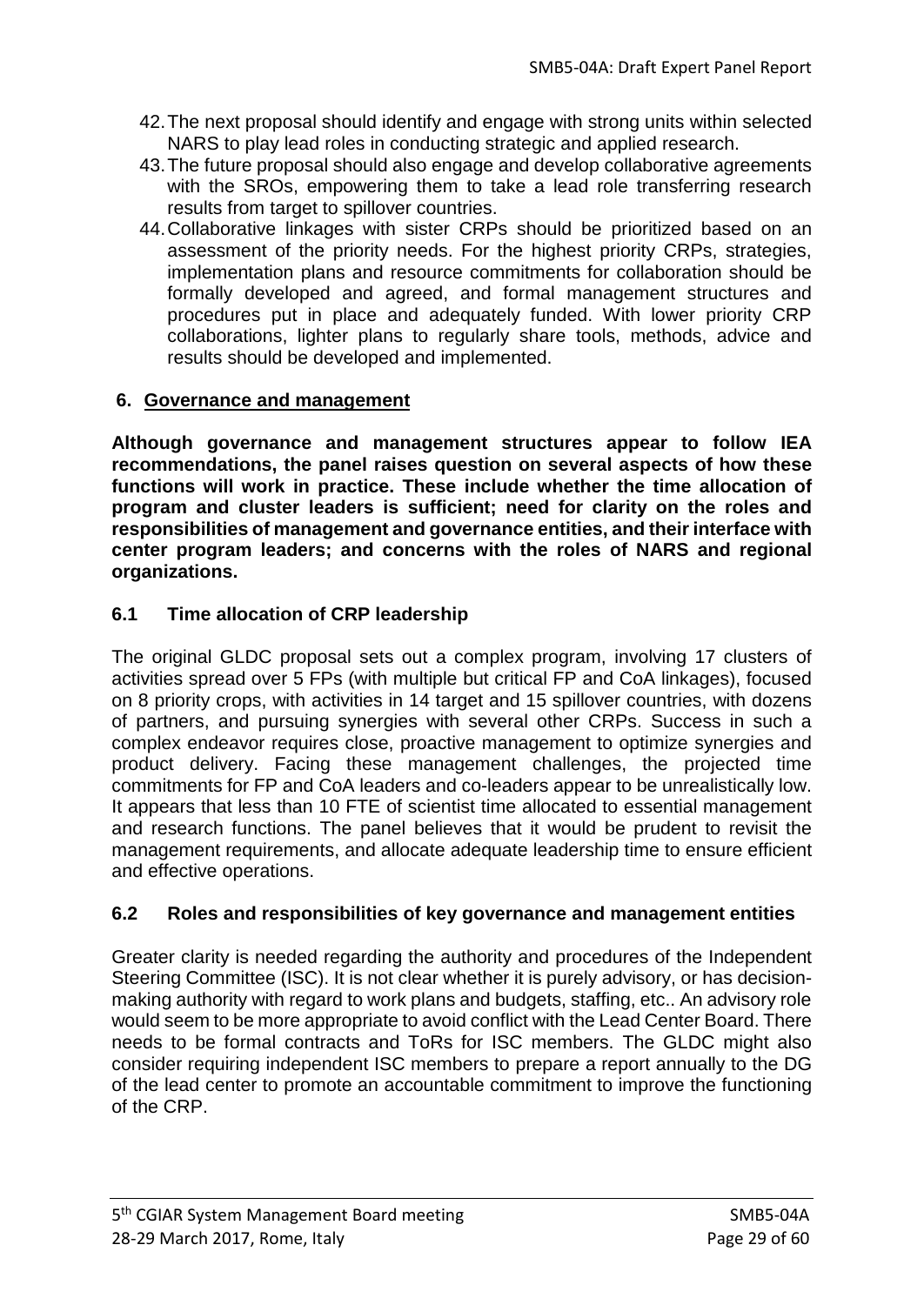- 42.The next proposal should identify and engage with strong units within selected NARS to play lead roles in conducting strategic and applied research.
- 43.The future proposal should also engage and develop collaborative agreements with the SROs, empowering them to take a lead role transferring research results from target to spillover countries.
- 44.Collaborative linkages with sister CRPs should be prioritized based on an assessment of the priority needs. For the highest priority CRPs, strategies, implementation plans and resource commitments for collaboration should be formally developed and agreed, and formal management structures and procedures put in place and adequately funded. With lower priority CRP collaborations, lighter plans to regularly share tools, methods, advice and results should be developed and implemented.

## **6. Governance and management**

**Although governance and management structures appear to follow IEA recommendations, the panel raises question on several aspects of how these functions will work in practice. These include whether the time allocation of program and cluster leaders is sufficient; need for clarity on the roles and responsibilities of management and governance entities, and their interface with center program leaders; and concerns with the roles of NARS and regional organizations.**

## **6.1 Time allocation of CRP leadership**

The original GLDC proposal sets out a complex program, involving 17 clusters of activities spread over 5 FPs (with multiple but critical FP and CoA linkages), focused on 8 priority crops, with activities in 14 target and 15 spillover countries, with dozens of partners, and pursuing synergies with several other CRPs. Success in such a complex endeavor requires close, proactive management to optimize synergies and product delivery. Facing these management challenges, the projected time commitments for FP and CoA leaders and co-leaders appear to be unrealistically low. It appears that less than 10 FTE of scientist time allocated to essential management and research functions. The panel believes that it would be prudent to revisit the management requirements, and allocate adequate leadership time to ensure efficient and effective operations.

## **6.2 Roles and responsibilities of key governance and management entities**

Greater clarity is needed regarding the authority and procedures of the Independent Steering Committee (ISC). It is not clear whether it is purely advisory, or has decisionmaking authority with regard to work plans and budgets, staffing, etc.. An advisory role would seem to be more appropriate to avoid conflict with the Lead Center Board. There needs to be formal contracts and ToRs for ISC members. The GLDC might also consider requiring independent ISC members to prepare a report annually to the DG of the lead center to promote an accountable commitment to improve the functioning of the CRP.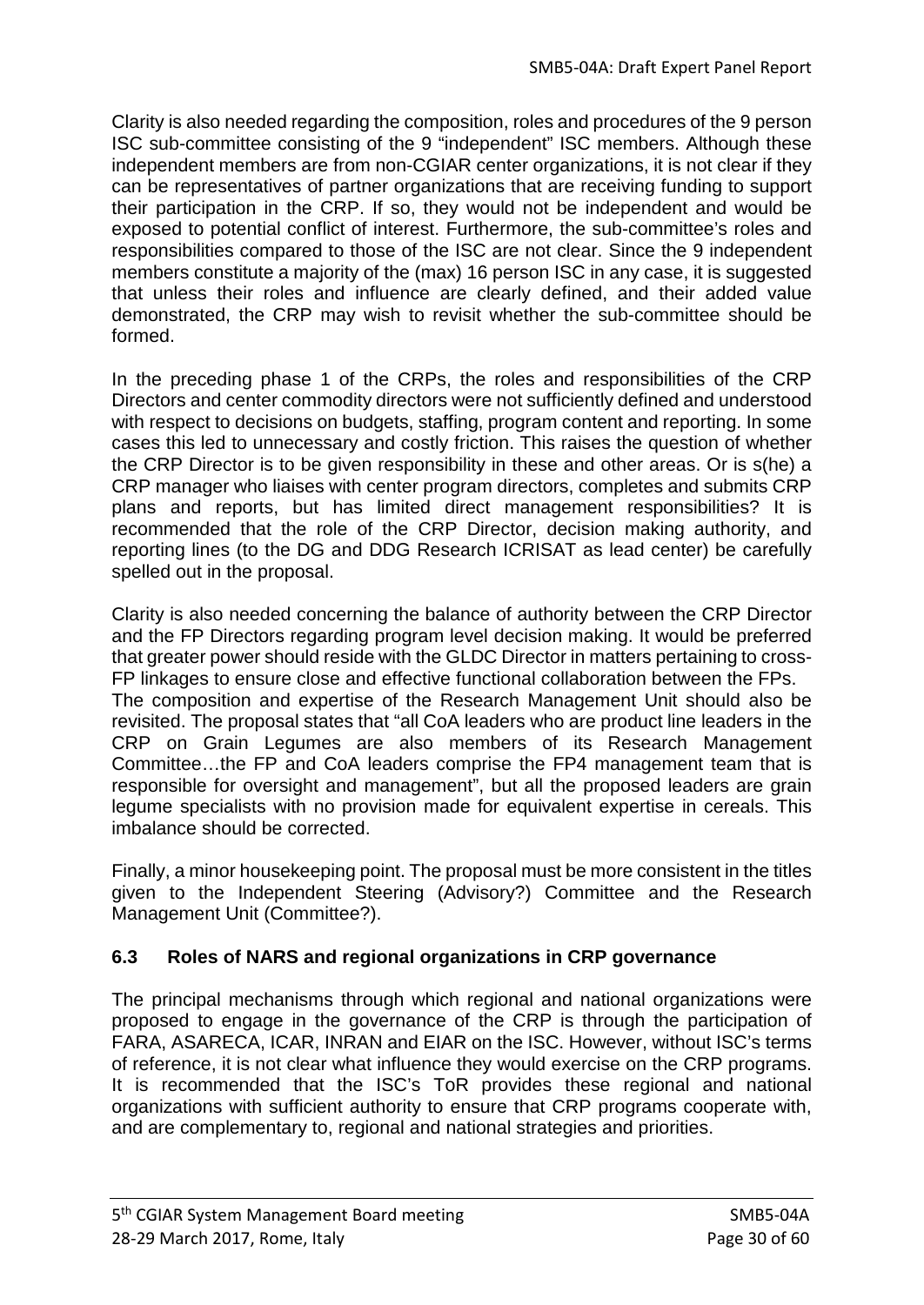Clarity is also needed regarding the composition, roles and procedures of the 9 person ISC sub-committee consisting of the 9 "independent" ISC members. Although these independent members are from non-CGIAR center organizations, it is not clear if they can be representatives of partner organizations that are receiving funding to support their participation in the CRP. If so, they would not be independent and would be exposed to potential conflict of interest. Furthermore, the sub-committee's roles and responsibilities compared to those of the ISC are not clear. Since the 9 independent members constitute a majority of the (max) 16 person ISC in any case, it is suggested that unless their roles and influence are clearly defined, and their added value demonstrated, the CRP may wish to revisit whether the sub-committee should be formed.

In the preceding phase 1 of the CRPs, the roles and responsibilities of the CRP Directors and center commodity directors were not sufficiently defined and understood with respect to decisions on budgets, staffing, program content and reporting. In some cases this led to unnecessary and costly friction. This raises the question of whether the CRP Director is to be given responsibility in these and other areas. Or is s(he) a CRP manager who liaises with center program directors, completes and submits CRP plans and reports, but has limited direct management responsibilities? It is recommended that the role of the CRP Director, decision making authority, and reporting lines (to the DG and DDG Research ICRISAT as lead center) be carefully spelled out in the proposal.

Clarity is also needed concerning the balance of authority between the CRP Director and the FP Directors regarding program level decision making. It would be preferred that greater power should reside with the GLDC Director in matters pertaining to cross-FP linkages to ensure close and effective functional collaboration between the FPs. The composition and expertise of the Research Management Unit should also be revisited. The proposal states that "all CoA leaders who are product line leaders in the CRP on Grain Legumes are also members of its Research Management Committee…the FP and CoA leaders comprise the FP4 management team that is responsible for oversight and management", but all the proposed leaders are grain legume specialists with no provision made for equivalent expertise in cereals. This imbalance should be corrected.

Finally, a minor housekeeping point. The proposal must be more consistent in the titles given to the Independent Steering (Advisory?) Committee and the Research Management Unit (Committee?).

# **6.3 Roles of NARS and regional organizations in CRP governance**

The principal mechanisms through which regional and national organizations were proposed to engage in the governance of the CRP is through the participation of FARA, ASARECA, ICAR, INRAN and EIAR on the ISC. However, without ISC's terms of reference, it is not clear what influence they would exercise on the CRP programs. It is recommended that the ISC's ToR provides these regional and national organizations with sufficient authority to ensure that CRP programs cooperate with, and are complementary to, regional and national strategies and priorities.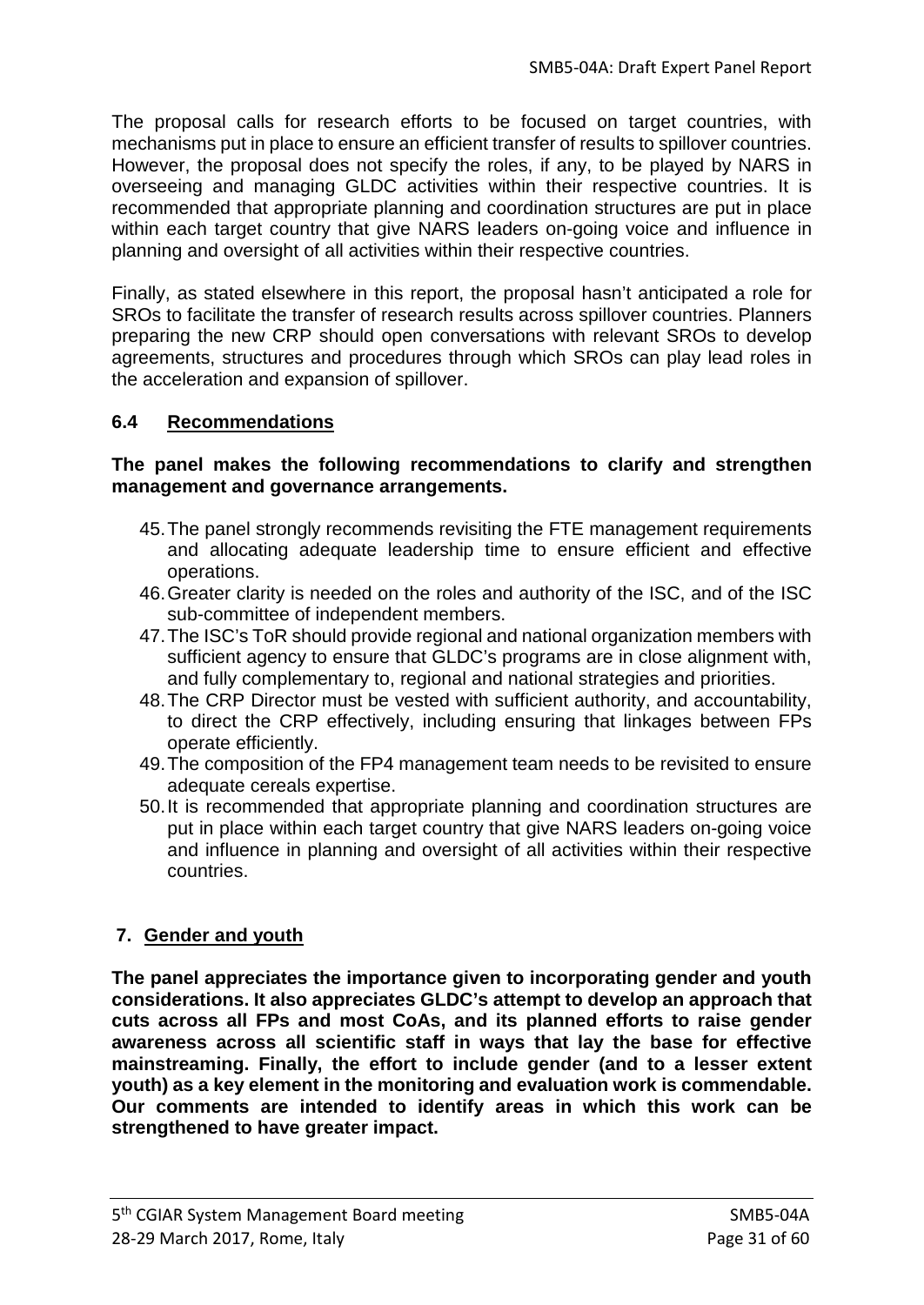The proposal calls for research efforts to be focused on target countries, with mechanisms put in place to ensure an efficient transfer of results to spillover countries. However, the proposal does not specify the roles, if any, to be played by NARS in overseeing and managing GLDC activities within their respective countries. It is recommended that appropriate planning and coordination structures are put in place within each target country that give NARS leaders on-going voice and influence in planning and oversight of all activities within their respective countries.

Finally, as stated elsewhere in this report, the proposal hasn't anticipated a role for SROs to facilitate the transfer of research results across spillover countries. Planners preparing the new CRP should open conversations with relevant SROs to develop agreements, structures and procedures through which SROs can play lead roles in the acceleration and expansion of spillover.

## **6.4 Recommendations**

### **The panel makes the following recommendations to clarify and strengthen management and governance arrangements.**

- 45.The panel strongly recommends revisiting the FTE management requirements and allocating adequate leadership time to ensure efficient and effective operations.
- 46.Greater clarity is needed on the roles and authority of the ISC, and of the ISC sub-committee of independent members.
- 47.The ISC's ToR should provide regional and national organization members with sufficient agency to ensure that GLDC's programs are in close alignment with, and fully complementary to, regional and national strategies and priorities.
- 48.The CRP Director must be vested with sufficient authority, and accountability, to direct the CRP effectively, including ensuring that linkages between FPs operate efficiently.
- 49.The composition of the FP4 management team needs to be revisited to ensure adequate cereals expertise.
- 50.It is recommended that appropriate planning and coordination structures are put in place within each target country that give NARS leaders on-going voice and influence in planning and oversight of all activities within their respective countries.

# **7. Gender and youth**

**The panel appreciates the importance given to incorporating gender and youth considerations. It also appreciates GLDC's attempt to develop an approach that cuts across all FPs and most CoAs, and its planned efforts to raise gender awareness across all scientific staff in ways that lay the base for effective mainstreaming. Finally, the effort to include gender (and to a lesser extent youth) as a key element in the monitoring and evaluation work is commendable. Our comments are intended to identify areas in which this work can be strengthened to have greater impact.**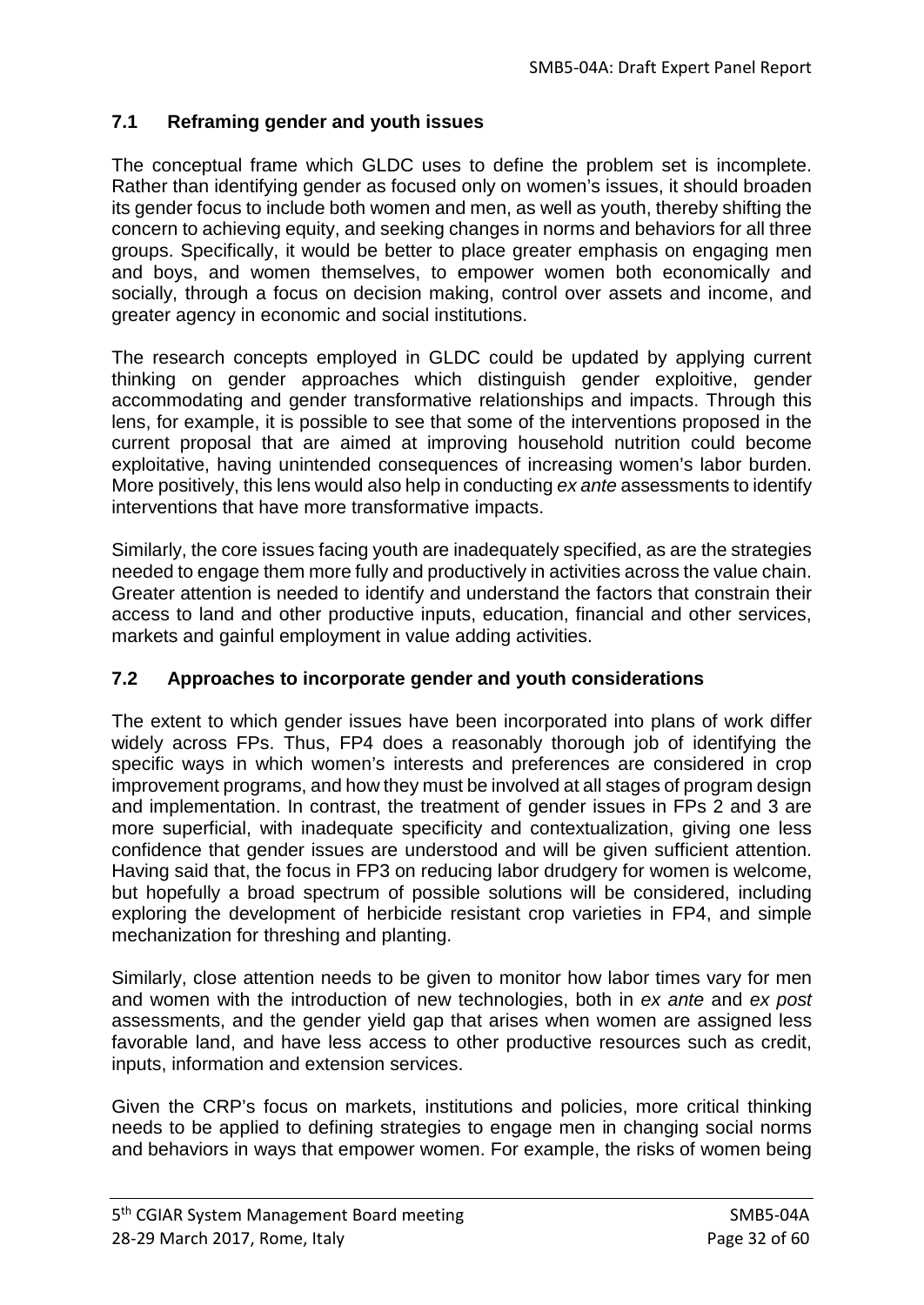## **7.1 Reframing gender and youth issues**

The conceptual frame which GLDC uses to define the problem set is incomplete. Rather than identifying gender as focused only on women's issues, it should broaden its gender focus to include both women and men, as well as youth, thereby shifting the concern to achieving equity, and seeking changes in norms and behaviors for all three groups. Specifically, it would be better to place greater emphasis on engaging men and boys, and women themselves, to empower women both economically and socially, through a focus on decision making, control over assets and income, and greater agency in economic and social institutions.

The research concepts employed in GLDC could be updated by applying current thinking on gender approaches which distinguish gender exploitive, gender accommodating and gender transformative relationships and impacts. Through this lens, for example, it is possible to see that some of the interventions proposed in the current proposal that are aimed at improving household nutrition could become exploitative, having unintended consequences of increasing women's labor burden. More positively, this lens would also help in conducting *ex ante* assessments to identify interventions that have more transformative impacts.

Similarly, the core issues facing youth are inadequately specified, as are the strategies needed to engage them more fully and productively in activities across the value chain. Greater attention is needed to identify and understand the factors that constrain their access to land and other productive inputs, education, financial and other services, markets and gainful employment in value adding activities.

## **7.2 Approaches to incorporate gender and youth considerations**

The extent to which gender issues have been incorporated into plans of work differ widely across FPs. Thus, FP4 does a reasonably thorough job of identifying the specific ways in which women's interests and preferences are considered in crop improvement programs, and how they must be involved at all stages of program design and implementation. In contrast, the treatment of gender issues in FPs 2 and 3 are more superficial, with inadequate specificity and contextualization, giving one less confidence that gender issues are understood and will be given sufficient attention. Having said that, the focus in FP3 on reducing labor drudgery for women is welcome, but hopefully a broad spectrum of possible solutions will be considered, including exploring the development of herbicide resistant crop varieties in FP4, and simple mechanization for threshing and planting.

Similarly, close attention needs to be given to monitor how labor times vary for men and women with the introduction of new technologies, both in *ex ante* and *ex post* assessments, and the gender yield gap that arises when women are assigned less favorable land, and have less access to other productive resources such as credit, inputs, information and extension services.

Given the CRP's focus on markets, institutions and policies, more critical thinking needs to be applied to defining strategies to engage men in changing social norms and behaviors in ways that empower women. For example, the risks of women being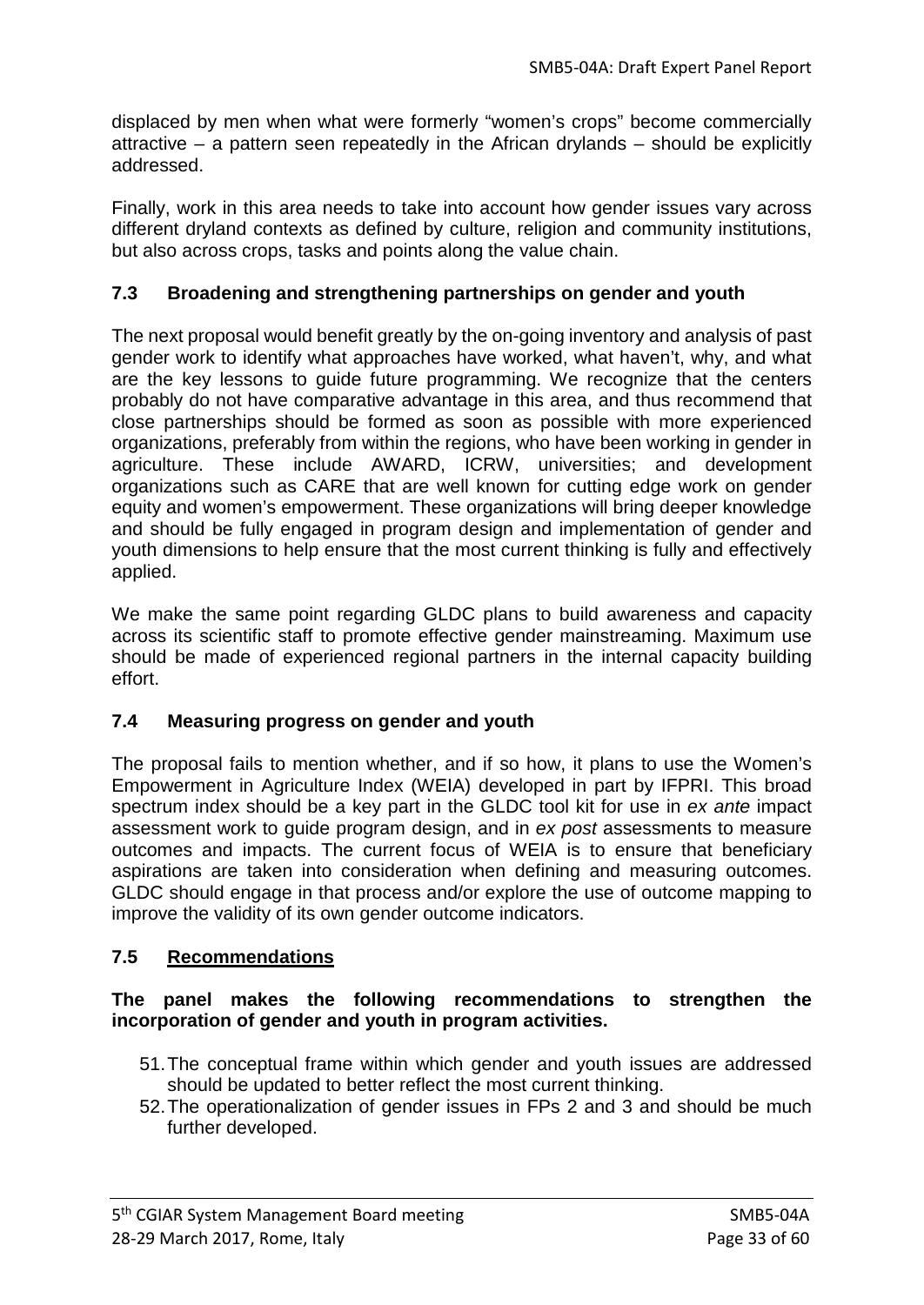displaced by men when what were formerly "women's crops" become commercially attractive – a pattern seen repeatedly in the African drylands – should be explicitly addressed.

Finally, work in this area needs to take into account how gender issues vary across different dryland contexts as defined by culture, religion and community institutions, but also across crops, tasks and points along the value chain.

## **7.3 Broadening and strengthening partnerships on gender and youth**

The next proposal would benefit greatly by the on-going inventory and analysis of past gender work to identify what approaches have worked, what haven't, why, and what are the key lessons to guide future programming. We recognize that the centers probably do not have comparative advantage in this area, and thus recommend that close partnerships should be formed as soon as possible with more experienced organizations, preferably from within the regions, who have been working in gender in agriculture. These include AWARD, ICRW, universities; and development organizations such as CARE that are well known for cutting edge work on gender equity and women's empowerment. These organizations will bring deeper knowledge and should be fully engaged in program design and implementation of gender and youth dimensions to help ensure that the most current thinking is fully and effectively applied.

We make the same point regarding GLDC plans to build awareness and capacity across its scientific staff to promote effective gender mainstreaming. Maximum use should be made of experienced regional partners in the internal capacity building effort.

## **7.4 Measuring progress on gender and youth**

The proposal fails to mention whether, and if so how, it plans to use the Women's Empowerment in Agriculture Index (WEIA) developed in part by IFPRI. This broad spectrum index should be a key part in the GLDC tool kit for use in *ex ante* impact assessment work to guide program design, and in *ex post* assessments to measure outcomes and impacts. The current focus of WEIA is to ensure that beneficiary aspirations are taken into consideration when defining and measuring outcomes. GLDC should engage in that process and/or explore the use of outcome mapping to improve the validity of its own gender outcome indicators.

## **7.5 Recommendations**

### **The panel makes the following recommendations to strengthen the incorporation of gender and youth in program activities.**

- 51.The conceptual frame within which gender and youth issues are addressed should be updated to better reflect the most current thinking.
- 52.The operationalization of gender issues in FPs 2 and 3 and should be much further developed.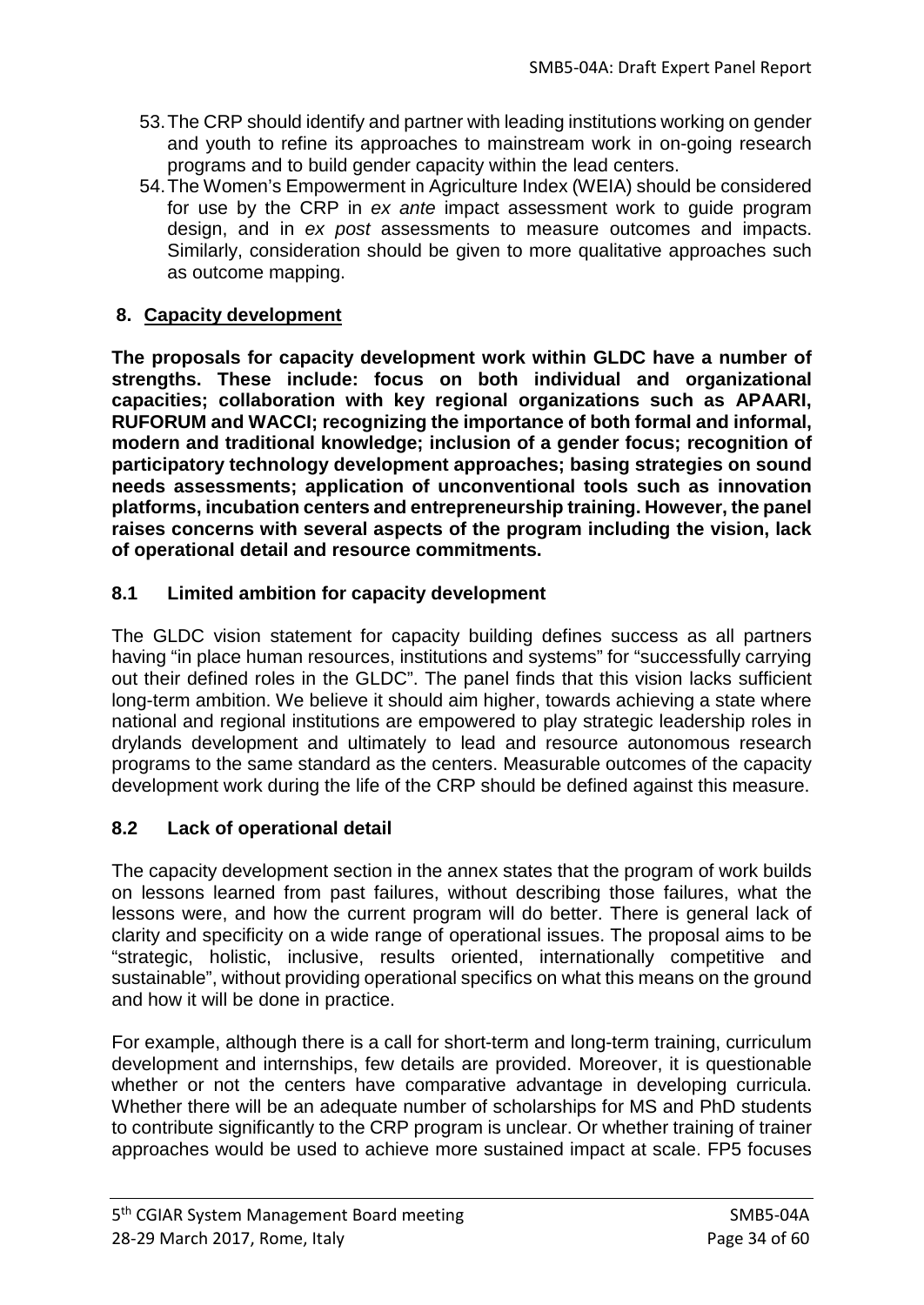- 53.The CRP should identify and partner with leading institutions working on gender and youth to refine its approaches to mainstream work in on-going research programs and to build gender capacity within the lead centers.
- 54.The Women's Empowerment in Agriculture Index (WEIA) should be considered for use by the CRP in *ex ante* impact assessment work to guide program design, and in *ex post* assessments to measure outcomes and impacts. Similarly, consideration should be given to more qualitative approaches such as outcome mapping.

## **8. Capacity development**

**The proposals for capacity development work within GLDC have a number of strengths. These include: focus on both individual and organizational capacities; collaboration with key regional organizations such as APAARI, RUFORUM and WACCI; recognizing the importance of both formal and informal, modern and traditional knowledge; inclusion of a gender focus; recognition of participatory technology development approaches; basing strategies on sound needs assessments; application of unconventional tools such as innovation platforms, incubation centers and entrepreneurship training. However, the panel raises concerns with several aspects of the program including the vision, lack of operational detail and resource commitments.**

## **8.1 Limited ambition for capacity development**

The GLDC vision statement for capacity building defines success as all partners having "in place human resources, institutions and systems" for "successfully carrying out their defined roles in the GLDC". The panel finds that this vision lacks sufficient long-term ambition. We believe it should aim higher, towards achieving a state where national and regional institutions are empowered to play strategic leadership roles in drylands development and ultimately to lead and resource autonomous research programs to the same standard as the centers. Measurable outcomes of the capacity development work during the life of the CRP should be defined against this measure.

# **8.2 Lack of operational detail**

The capacity development section in the annex states that the program of work builds on lessons learned from past failures, without describing those failures, what the lessons were, and how the current program will do better. There is general lack of clarity and specificity on a wide range of operational issues. The proposal aims to be "strategic, holistic, inclusive, results oriented, internationally competitive and sustainable", without providing operational specifics on what this means on the ground and how it will be done in practice.

For example, although there is a call for short-term and long-term training, curriculum development and internships, few details are provided. Moreover, it is questionable whether or not the centers have comparative advantage in developing curricula. Whether there will be an adequate number of scholarships for MS and PhD students to contribute significantly to the CRP program is unclear. Or whether training of trainer approaches would be used to achieve more sustained impact at scale. FP5 focuses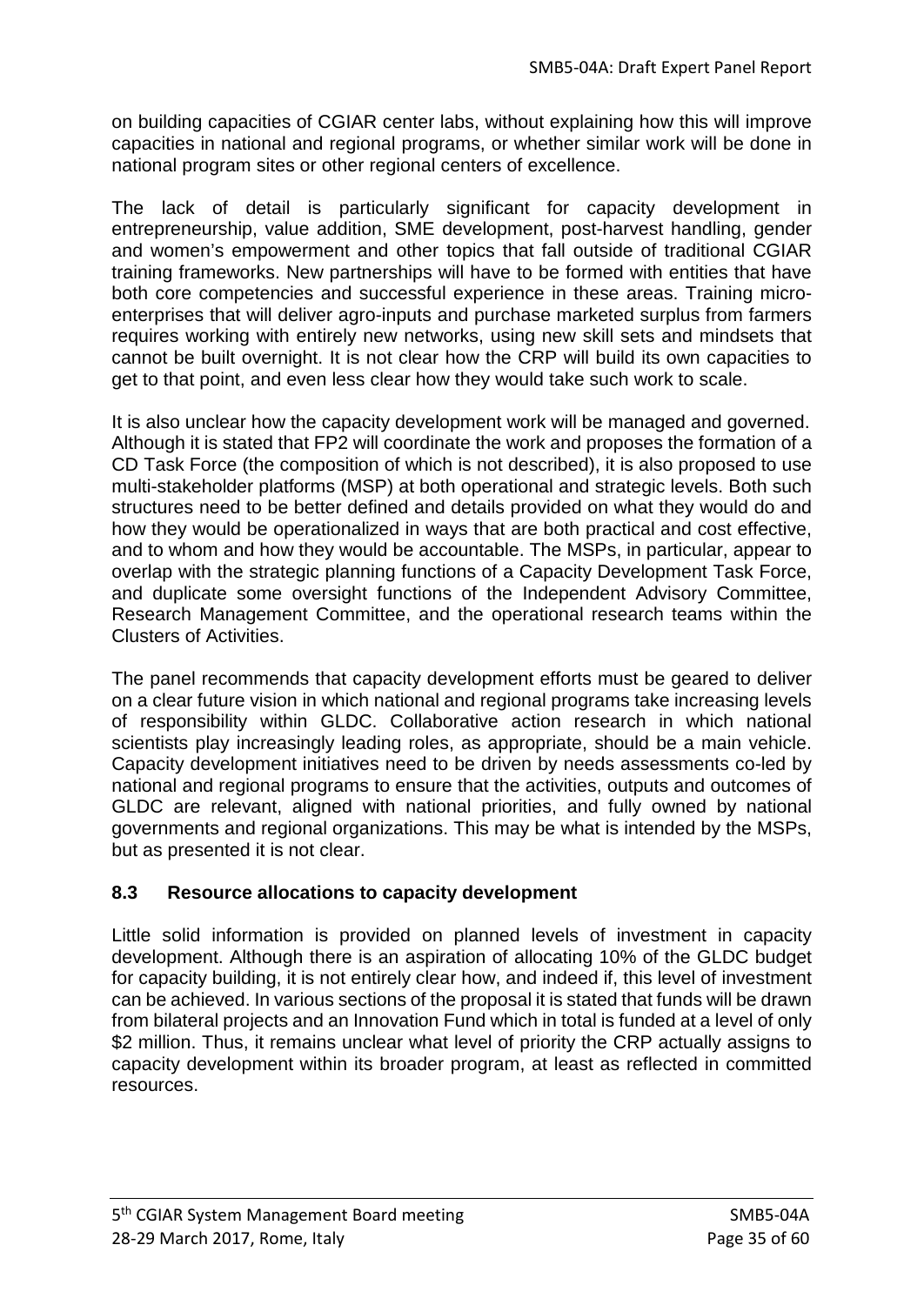on building capacities of CGIAR center labs, without explaining how this will improve capacities in national and regional programs, or whether similar work will be done in national program sites or other regional centers of excellence.

The lack of detail is particularly significant for capacity development in entrepreneurship, value addition, SME development, post-harvest handling, gender and women's empowerment and other topics that fall outside of traditional CGIAR training frameworks. New partnerships will have to be formed with entities that have both core competencies and successful experience in these areas. Training microenterprises that will deliver agro-inputs and purchase marketed surplus from farmers requires working with entirely new networks, using new skill sets and mindsets that cannot be built overnight. It is not clear how the CRP will build its own capacities to get to that point, and even less clear how they would take such work to scale.

It is also unclear how the capacity development work will be managed and governed. Although it is stated that FP2 will coordinate the work and proposes the formation of a CD Task Force (the composition of which is not described), it is also proposed to use multi-stakeholder platforms (MSP) at both operational and strategic levels. Both such structures need to be better defined and details provided on what they would do and how they would be operationalized in ways that are both practical and cost effective, and to whom and how they would be accountable. The MSPs, in particular, appear to overlap with the strategic planning functions of a Capacity Development Task Force, and duplicate some oversight functions of the Independent Advisory Committee, Research Management Committee, and the operational research teams within the Clusters of Activities.

The panel recommends that capacity development efforts must be geared to deliver on a clear future vision in which national and regional programs take increasing levels of responsibility within GLDC. Collaborative action research in which national scientists play increasingly leading roles, as appropriate, should be a main vehicle. Capacity development initiatives need to be driven by needs assessments co-led by national and regional programs to ensure that the activities, outputs and outcomes of GLDC are relevant, aligned with national priorities, and fully owned by national governments and regional organizations. This may be what is intended by the MSPs, but as presented it is not clear.

# **8.3 Resource allocations to capacity development**

Little solid information is provided on planned levels of investment in capacity development. Although there is an aspiration of allocating 10% of the GLDC budget for capacity building, it is not entirely clear how, and indeed if, this level of investment can be achieved. In various sections of the proposal it is stated that funds will be drawn from bilateral projects and an Innovation Fund which in total is funded at a level of only \$2 million. Thus, it remains unclear what level of priority the CRP actually assigns to capacity development within its broader program, at least as reflected in committed resources.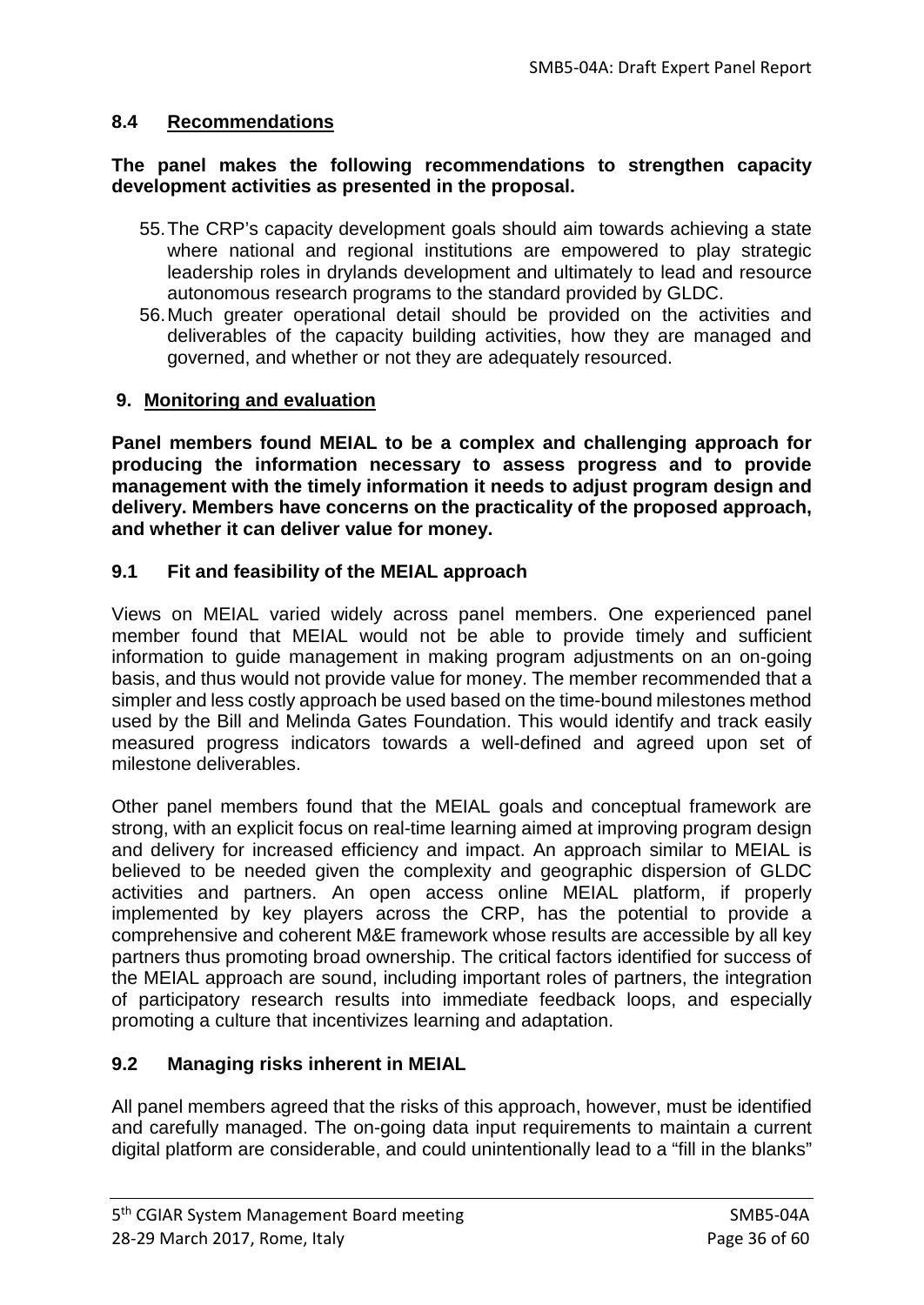## **8.4 Recommendations**

#### **The panel makes the following recommendations to strengthen capacity development activities as presented in the proposal.**

- 55.The CRP's capacity development goals should aim towards achieving a state where national and regional institutions are empowered to play strategic leadership roles in drylands development and ultimately to lead and resource autonomous research programs to the standard provided by GLDC.
- 56.Much greater operational detail should be provided on the activities and deliverables of the capacity building activities, how they are managed and governed, and whether or not they are adequately resourced.

## **9. Monitoring and evaluation**

**Panel members found MEIAL to be a complex and challenging approach for producing the information necessary to assess progress and to provide management with the timely information it needs to adjust program design and delivery. Members have concerns on the practicality of the proposed approach, and whether it can deliver value for money.**

## **9.1 Fit and feasibility of the MEIAL approach**

Views on MEIAL varied widely across panel members. One experienced panel member found that MEIAL would not be able to provide timely and sufficient information to guide management in making program adjustments on an on-going basis, and thus would not provide value for money. The member recommended that a simpler and less costly approach be used based on the time-bound milestones method used by the Bill and Melinda Gates Foundation. This would identify and track easily measured progress indicators towards a well-defined and agreed upon set of milestone deliverables.

Other panel members found that the MEIAL goals and conceptual framework are strong, with an explicit focus on real-time learning aimed at improving program design and delivery for increased efficiency and impact. An approach similar to MEIAL is believed to be needed given the complexity and geographic dispersion of GLDC activities and partners. An open access online MEIAL platform, if properly implemented by key players across the CRP, has the potential to provide a comprehensive and coherent M&E framework whose results are accessible by all key partners thus promoting broad ownership. The critical factors identified for success of the MEIAL approach are sound, including important roles of partners, the integration of participatory research results into immediate feedback loops, and especially promoting a culture that incentivizes learning and adaptation.

## **9.2 Managing risks inherent in MEIAL**

All panel members agreed that the risks of this approach, however, must be identified and carefully managed. The on-going data input requirements to maintain a current digital platform are considerable, and could unintentionally lead to a "fill in the blanks"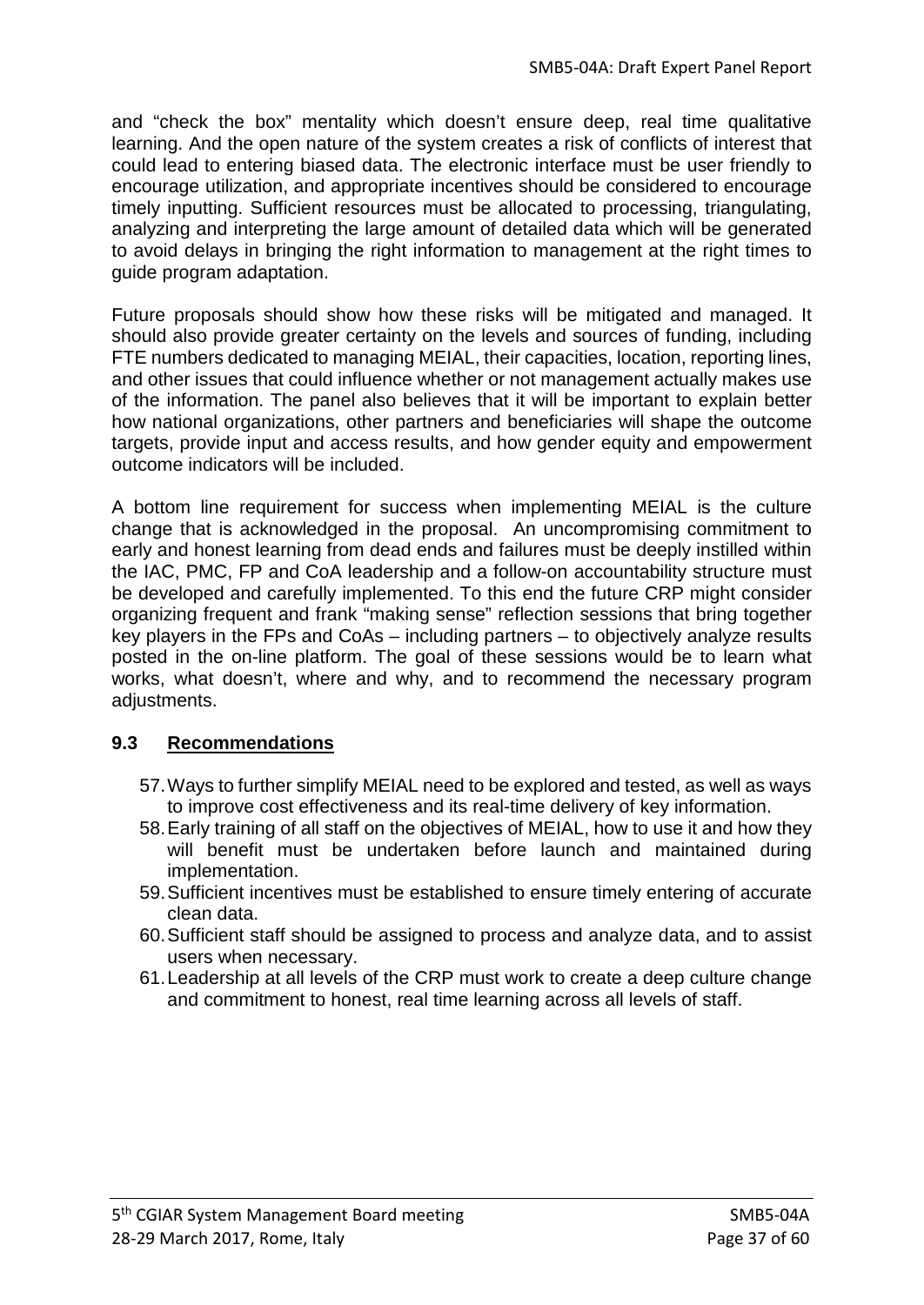and "check the box" mentality which doesn't ensure deep, real time qualitative learning. And the open nature of the system creates a risk of conflicts of interest that could lead to entering biased data. The electronic interface must be user friendly to encourage utilization, and appropriate incentives should be considered to encourage timely inputting. Sufficient resources must be allocated to processing, triangulating, analyzing and interpreting the large amount of detailed data which will be generated to avoid delays in bringing the right information to management at the right times to guide program adaptation.

Future proposals should show how these risks will be mitigated and managed. It should also provide greater certainty on the levels and sources of funding, including FTE numbers dedicated to managing MEIAL, their capacities, location, reporting lines, and other issues that could influence whether or not management actually makes use of the information. The panel also believes that it will be important to explain better how national organizations, other partners and beneficiaries will shape the outcome targets, provide input and access results, and how gender equity and empowerment outcome indicators will be included.

A bottom line requirement for success when implementing MEIAL is the culture change that is acknowledged in the proposal. An uncompromising commitment to early and honest learning from dead ends and failures must be deeply instilled within the IAC, PMC, FP and CoA leadership and a follow-on accountability structure must be developed and carefully implemented. To this end the future CRP might consider organizing frequent and frank "making sense" reflection sessions that bring together key players in the FPs and CoAs – including partners – to objectively analyze results posted in the on-line platform. The goal of these sessions would be to learn what works, what doesn't, where and why, and to recommend the necessary program adjustments.

# **9.3 Recommendations**

- 57.Ways to further simplify MEIAL need to be explored and tested, as well as ways to improve cost effectiveness and its real-time delivery of key information.
- 58.Early training of all staff on the objectives of MEIAL, how to use it and how they will benefit must be undertaken before launch and maintained during implementation.
- 59.Sufficient incentives must be established to ensure timely entering of accurate clean data.
- 60.Sufficient staff should be assigned to process and analyze data, and to assist users when necessary.
- 61.Leadership at all levels of the CRP must work to create a deep culture change and commitment to honest, real time learning across all levels of staff.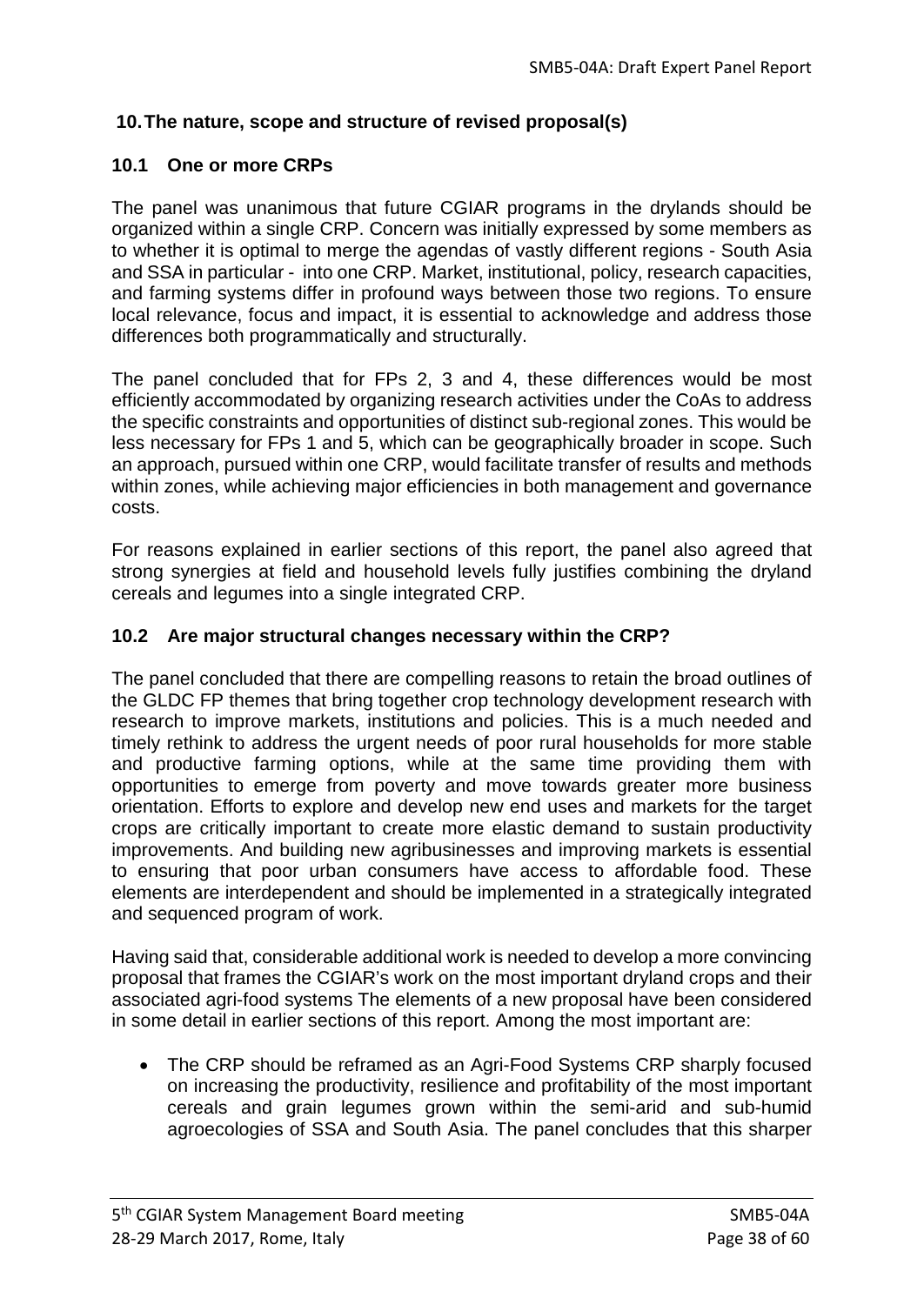# **10.The nature, scope and structure of revised proposal(s)**

## **10.1 One or more CRPs**

The panel was unanimous that future CGIAR programs in the drylands should be organized within a single CRP. Concern was initially expressed by some members as to whether it is optimal to merge the agendas of vastly different regions - South Asia and SSA in particular - into one CRP. Market, institutional, policy, research capacities, and farming systems differ in profound ways between those two regions. To ensure local relevance, focus and impact, it is essential to acknowledge and address those differences both programmatically and structurally.

The panel concluded that for FPs 2, 3 and 4, these differences would be most efficiently accommodated by organizing research activities under the CoAs to address the specific constraints and opportunities of distinct sub-regional zones. This would be less necessary for FPs 1 and 5, which can be geographically broader in scope. Such an approach, pursued within one CRP, would facilitate transfer of results and methods within zones, while achieving major efficiencies in both management and governance costs.

For reasons explained in earlier sections of this report, the panel also agreed that strong synergies at field and household levels fully justifies combining the dryland cereals and legumes into a single integrated CRP.

### **10.2 Are major structural changes necessary within the CRP?**

The panel concluded that there are compelling reasons to retain the broad outlines of the GLDC FP themes that bring together crop technology development research with research to improve markets, institutions and policies. This is a much needed and timely rethink to address the urgent needs of poor rural households for more stable and productive farming options, while at the same time providing them with opportunities to emerge from poverty and move towards greater more business orientation. Efforts to explore and develop new end uses and markets for the target crops are critically important to create more elastic demand to sustain productivity improvements. And building new agribusinesses and improving markets is essential to ensuring that poor urban consumers have access to affordable food. These elements are interdependent and should be implemented in a strategically integrated and sequenced program of work.

Having said that, considerable additional work is needed to develop a more convincing proposal that frames the CGIAR's work on the most important dryland crops and their associated agri-food systems The elements of a new proposal have been considered in some detail in earlier sections of this report. Among the most important are:

• The CRP should be reframed as an Agri-Food Systems CRP sharply focused on increasing the productivity, resilience and profitability of the most important cereals and grain legumes grown within the semi-arid and sub-humid agroecologies of SSA and South Asia. The panel concludes that this sharper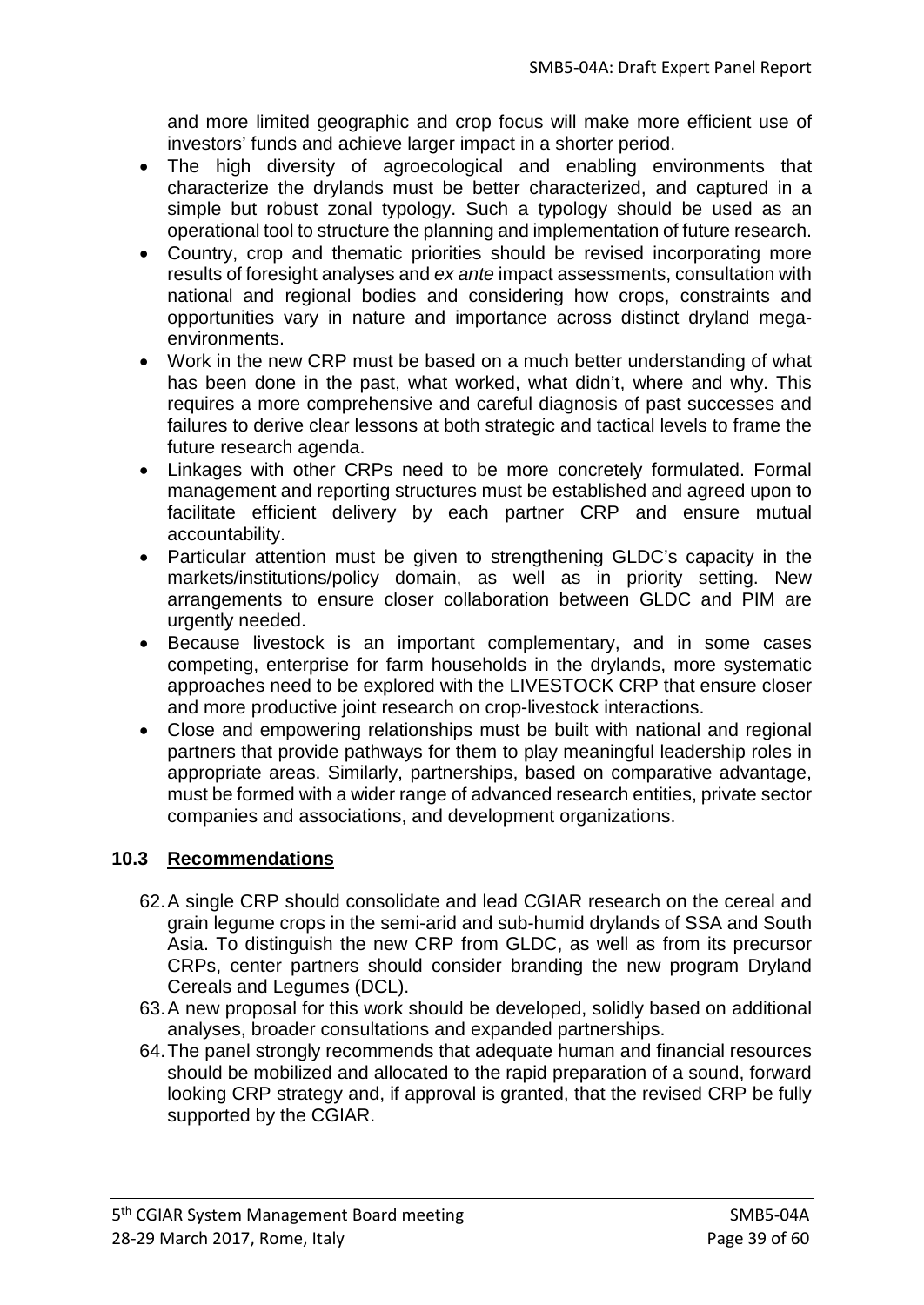and more limited geographic and crop focus will make more efficient use of investors' funds and achieve larger impact in a shorter period.

- The high diversity of agroecological and enabling environments that characterize the drylands must be better characterized, and captured in a simple but robust zonal typology. Such a typology should be used as an operational tool to structure the planning and implementation of future research.
- Country, crop and thematic priorities should be revised incorporating more results of foresight analyses and *ex ante* impact assessments, consultation with national and regional bodies and considering how crops, constraints and opportunities vary in nature and importance across distinct dryland megaenvironments.
- Work in the new CRP must be based on a much better understanding of what has been done in the past, what worked, what didn't, where and why. This requires a more comprehensive and careful diagnosis of past successes and failures to derive clear lessons at both strategic and tactical levels to frame the future research agenda.
- Linkages with other CRPs need to be more concretely formulated. Formal management and reporting structures must be established and agreed upon to facilitate efficient delivery by each partner CRP and ensure mutual accountability.
- Particular attention must be given to strengthening GLDC's capacity in the markets/institutions/policy domain, as well as in priority setting. New arrangements to ensure closer collaboration between GLDC and PIM are urgently needed.
- Because livestock is an important complementary, and in some cases competing, enterprise for farm households in the drylands, more systematic approaches need to be explored with the LIVESTOCK CRP that ensure closer and more productive joint research on crop-livestock interactions.
- Close and empowering relationships must be built with national and regional partners that provide pathways for them to play meaningful leadership roles in appropriate areas. Similarly, partnerships, based on comparative advantage, must be formed with a wider range of advanced research entities, private sector companies and associations, and development organizations.

# **10.3 Recommendations**

- 62.A single CRP should consolidate and lead CGIAR research on the cereal and grain legume crops in the semi-arid and sub-humid drylands of SSA and South Asia. To distinguish the new CRP from GLDC, as well as from its precursor CRPs, center partners should consider branding the new program Dryland Cereals and Legumes (DCL).
- 63.A new proposal for this work should be developed, solidly based on additional analyses, broader consultations and expanded partnerships.
- 64.The panel strongly recommends that adequate human and financial resources should be mobilized and allocated to the rapid preparation of a sound, forward looking CRP strategy and, if approval is granted, that the revised CRP be fully supported by the CGIAR.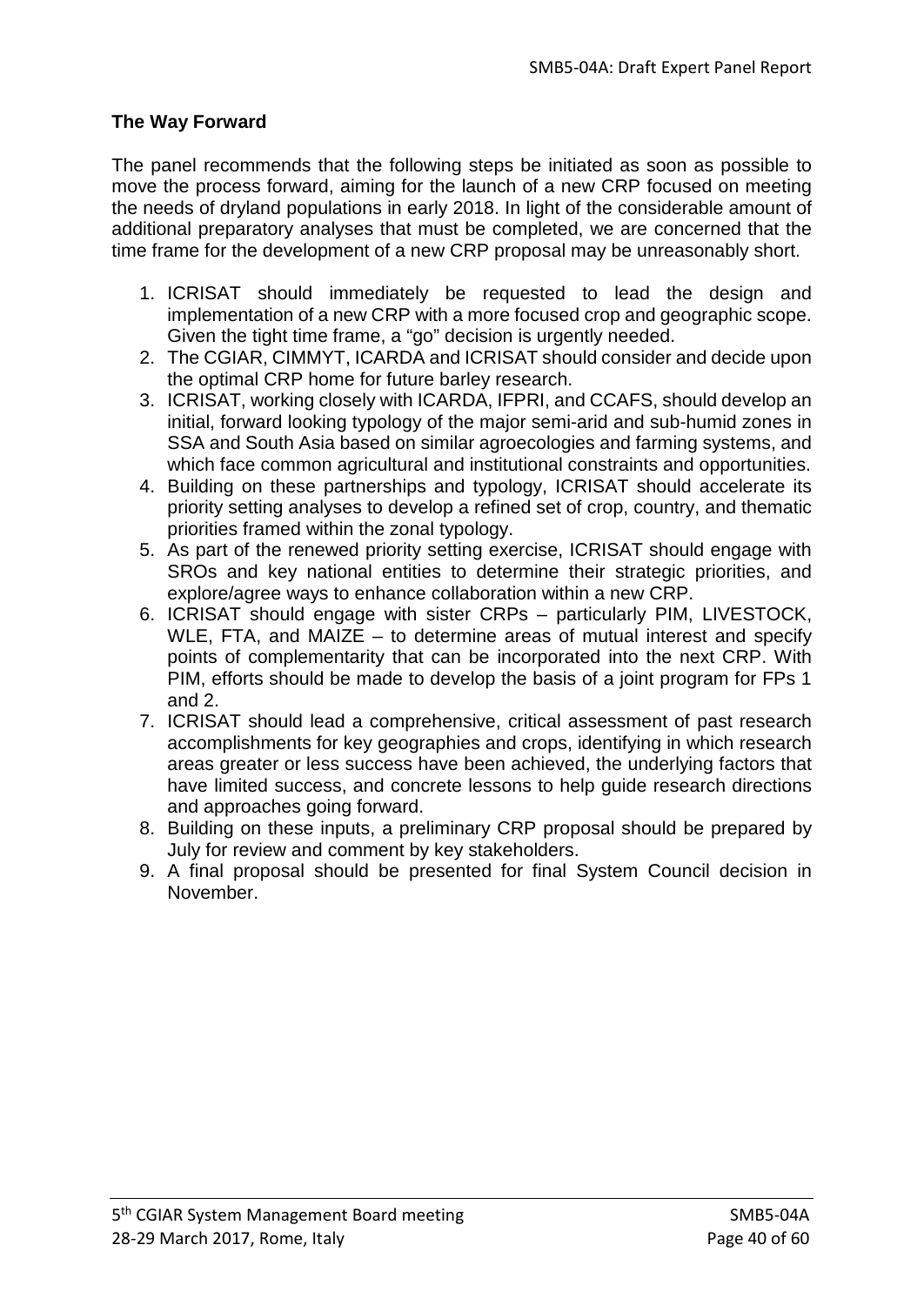## **The Way Forward**

The panel recommends that the following steps be initiated as soon as possible to move the process forward, aiming for the launch of a new CRP focused on meeting the needs of dryland populations in early 2018. In light of the considerable amount of additional preparatory analyses that must be completed, we are concerned that the time frame for the development of a new CRP proposal may be unreasonably short.

- 1. ICRISAT should immediately be requested to lead the design and implementation of a new CRP with a more focused crop and geographic scope. Given the tight time frame, a "go" decision is urgently needed.
- 2. The CGIAR, CIMMYT, ICARDA and ICRISAT should consider and decide upon the optimal CRP home for future barley research.
- 3. ICRISAT, working closely with ICARDA, IFPRI, and CCAFS, should develop an initial, forward looking typology of the major semi-arid and sub-humid zones in SSA and South Asia based on similar agroecologies and farming systems, and which face common agricultural and institutional constraints and opportunities.
- 4. Building on these partnerships and typology, ICRISAT should accelerate its priority setting analyses to develop a refined set of crop, country, and thematic priorities framed within the zonal typology.
- 5. As part of the renewed priority setting exercise, ICRISAT should engage with SROs and key national entities to determine their strategic priorities, and explore/agree ways to enhance collaboration within a new CRP.
- 6. ICRISAT should engage with sister CRPs particularly PIM, LIVESTOCK, WLE, FTA, and MAIZE – to determine areas of mutual interest and specify points of complementarity that can be incorporated into the next CRP. With PIM, efforts should be made to develop the basis of a joint program for FPs 1 and 2.
- 7. ICRISAT should lead a comprehensive, critical assessment of past research accomplishments for key geographies and crops, identifying in which research areas greater or less success have been achieved, the underlying factors that have limited success, and concrete lessons to help guide research directions and approaches going forward.
- 8. Building on these inputs, a preliminary CRP proposal should be prepared by July for review and comment by key stakeholders.
- 9. A final proposal should be presented for final System Council decision in November.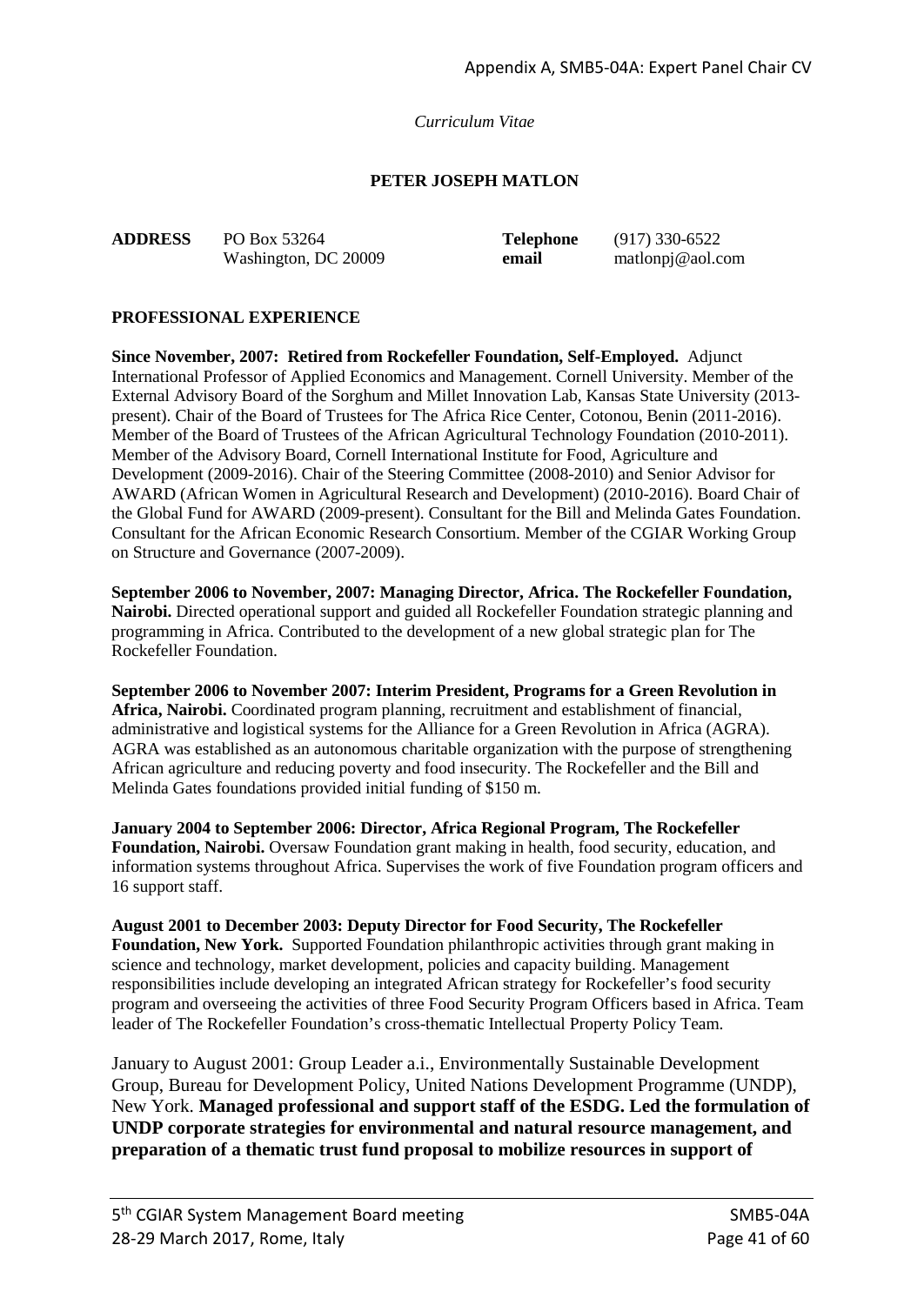*Curriculum Vitae*

#### **PETER JOSEPH MATLON**

| <b>ADDRESS</b> | PO Box 53264         |  |  |
|----------------|----------------------|--|--|
|                | Washington, DC 20009 |  |  |

**Telephone** (917) 330-6522 **email** matlonpj@aol.com

#### **PROFESSIONAL EXPERIENCE**

**Since November, 2007: Retired from Rockefeller Foundation, Self-Employed.** Adjunct International Professor of Applied Economics and Management. Cornell University. Member of the External Advisory Board of the Sorghum and Millet Innovation Lab, Kansas State University (2013 present). Chair of the Board of Trustees for The Africa Rice Center, Cotonou, Benin (2011-2016). Member of the Board of Trustees of the African Agricultural Technology Foundation (2010-2011). Member of the Advisory Board, Cornell International Institute for Food, Agriculture and Development (2009-2016). Chair of the Steering Committee (2008-2010) and Senior Advisor for AWARD (African Women in Agricultural Research and Development) (2010-2016). Board Chair of the Global Fund for AWARD (2009-present). Consultant for the Bill and Melinda Gates Foundation. Consultant for the African Economic Research Consortium. Member of the CGIAR Working Group on Structure and Governance (2007-2009).

**September 2006 to November, 2007: Managing Director, Africa. The Rockefeller Foundation, Nairobi.** Directed operational support and guided all Rockefeller Foundation strategic planning and programming in Africa. Contributed to the development of a new global strategic plan for The Rockefeller Foundation.

**September 2006 to November 2007: Interim President, Programs for a Green Revolution in Africa, Nairobi.** Coordinated program planning, recruitment and establishment of financial, administrative and logistical systems for the Alliance for a Green Revolution in Africa (AGRA). AGRA was established as an autonomous charitable organization with the purpose of strengthening African agriculture and reducing poverty and food insecurity. The Rockefeller and the Bill and Melinda Gates foundations provided initial funding of \$150 m.

**January 2004 to September 2006: Director, Africa Regional Program, The Rockefeller Foundation, Nairobi.** Oversaw Foundation grant making in health, food security, education, and information systems throughout Africa. Supervises the work of five Foundation program officers and 16 support staff.

**August 2001 to December 2003: Deputy Director for Food Security, The Rockefeller Foundation, New York.** Supported Foundation philanthropic activities through grant making in science and technology, market development, policies and capacity building. Management responsibilities include developing an integrated African strategy for Rockefeller's food security program and overseeing the activities of three Food Security Program Officers based in Africa. Team leader of The Rockefeller Foundation's cross-thematic Intellectual Property Policy Team.

January to August 2001: Group Leader a.i., Environmentally Sustainable Development Group, Bureau for Development Policy, United Nations Development Programme (UNDP), New York. **Managed professional and support staff of the ESDG. Led the formulation of UNDP corporate strategies for environmental and natural resource management, and preparation of a thematic trust fund proposal to mobilize resources in support of**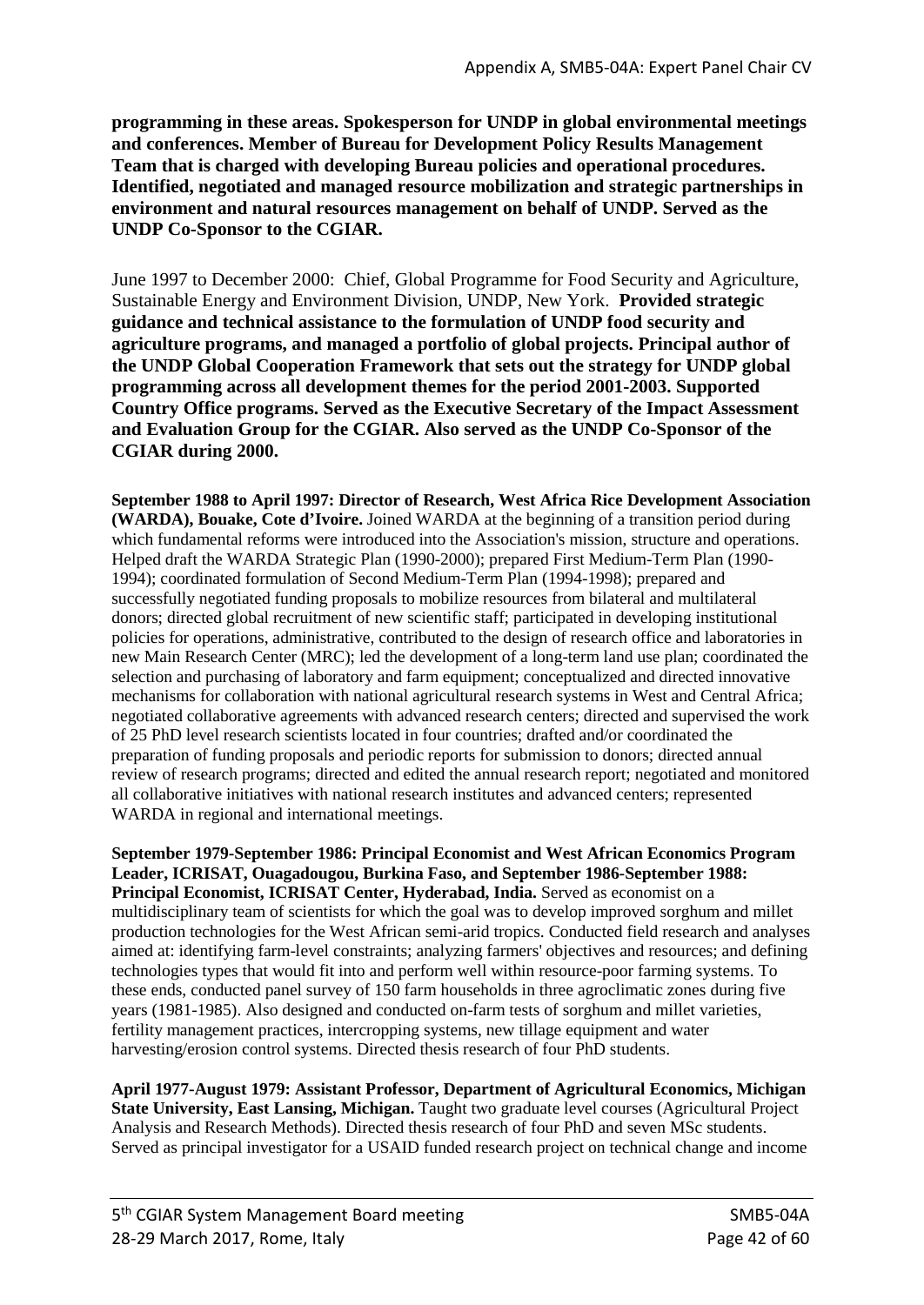**programming in these areas. Spokesperson for UNDP in global environmental meetings and conferences. Member of Bureau for Development Policy Results Management Team that is charged with developing Bureau policies and operational procedures. Identified, negotiated and managed resource mobilization and strategic partnerships in environment and natural resources management on behalf of UNDP. Served as the UNDP Co-Sponsor to the CGIAR.**

June 1997 to December 2000: Chief, Global Programme for Food Security and Agriculture, Sustainable Energy and Environment Division, UNDP, New York. **Provided strategic guidance and technical assistance to the formulation of UNDP food security and agriculture programs, and managed a portfolio of global projects. Principal author of the UNDP Global Cooperation Framework that sets out the strategy for UNDP global programming across all development themes for the period 2001-2003. Supported Country Office programs. Served as the Executive Secretary of the Impact Assessment and Evaluation Group for the CGIAR. Also served as the UNDP Co-Sponsor of the CGIAR during 2000.**

**September 1988 to April 1997: Director of Research, West Africa Rice Development Association (WARDA), Bouake, Cote d'Ivoire.** Joined WARDA at the beginning of a transition period during which fundamental reforms were introduced into the Association's mission, structure and operations. Helped draft the WARDA Strategic Plan (1990-2000); prepared First Medium-Term Plan (1990- 1994); coordinated formulation of Second Medium-Term Plan (1994-1998); prepared and successfully negotiated funding proposals to mobilize resources from bilateral and multilateral donors; directed global recruitment of new scientific staff; participated in developing institutional policies for operations, administrative, contributed to the design of research office and laboratories in new Main Research Center (MRC); led the development of a long-term land use plan; coordinated the selection and purchasing of laboratory and farm equipment; conceptualized and directed innovative mechanisms for collaboration with national agricultural research systems in West and Central Africa; negotiated collaborative agreements with advanced research centers; directed and supervised the work of 25 PhD level research scientists located in four countries; drafted and/or coordinated the preparation of funding proposals and periodic reports for submission to donors; directed annual review of research programs; directed and edited the annual research report; negotiated and monitored all collaborative initiatives with national research institutes and advanced centers; represented WARDA in regional and international meetings.

**September 1979-September 1986: Principal Economist and West African Economics Program Leader, ICRISAT, Ouagadougou, Burkina Faso, and September 1986-September 1988: Principal Economist, ICRISAT Center, Hyderabad, India.** Served as economist on a multidisciplinary team of scientists for which the goal was to develop improved sorghum and millet production technologies for the West African semi-arid tropics. Conducted field research and analyses aimed at: identifying farm-level constraints; analyzing farmers' objectives and resources; and defining technologies types that would fit into and perform well within resource-poor farming systems. To these ends, conducted panel survey of 150 farm households in three agroclimatic zones during five years (1981-1985). Also designed and conducted on-farm tests of sorghum and millet varieties, fertility management practices, intercropping systems, new tillage equipment and water harvesting/erosion control systems. Directed thesis research of four PhD students.

**April 1977-August 1979: Assistant Professor, Department of Agricultural Economics, Michigan State University, East Lansing, Michigan.** Taught two graduate level courses (Agricultural Project Analysis and Research Methods). Directed thesis research of four PhD and seven MSc students. Served as principal investigator for a USAID funded research project on technical change and income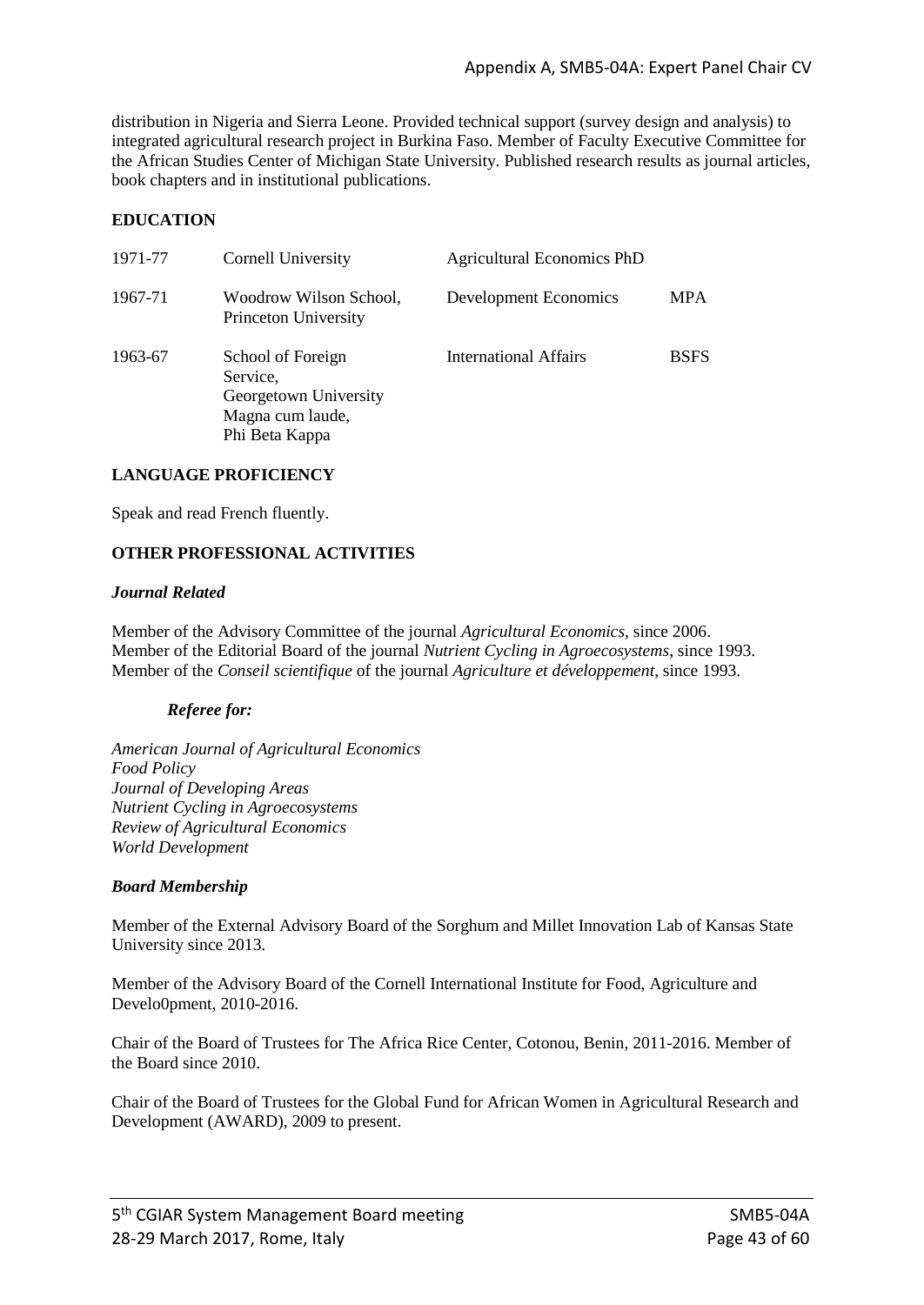distribution in Nigeria and Sierra Leone. Provided technical support (survey design and analysis) to integrated agricultural research project in Burkina Faso. Member of Faculty Executive Committee for the African Studies Center of Michigan State University. Published research results as journal articles, book chapters and in institutional publications.

#### **EDUCATION**

| 1971-77 | Cornell University                                                                           | <b>Agricultural Economics PhD</b> |             |
|---------|----------------------------------------------------------------------------------------------|-----------------------------------|-------------|
| 1967-71 | Woodrow Wilson School,<br>Princeton University                                               | Development Economics             | <b>MPA</b>  |
| 1963-67 | School of Foreign<br>Service,<br>Georgetown University<br>Magna cum laude,<br>Phi Beta Kappa | <b>International Affairs</b>      | <b>BSFS</b> |

#### **LANGUAGE PROFICIENCY**

Speak and read French fluently.

#### **OTHER PROFESSIONAL ACTIVITIES**

#### *Journal Related*

Member of the Advisory Committee of the journal *Agricultural Economics,* since 2006. Member of the Editorial Board of the journal *Nutrient Cycling in Agroecosystems*, since 1993. Member of the *Conseil scientifique* of the journal *Agriculture et développement*, since 1993.

#### *Referee for:*

*American Journal of Agricultural Economics Food Policy Journal of Developing Areas Nutrient Cycling in Agroecosystems Review of Agricultural Economics World Development*

#### *Board Membership*

Member of the External Advisory Board of the Sorghum and Millet Innovation Lab of Kansas State University since 2013.

Member of the Advisory Board of the Cornell International Institute for Food, Agriculture and Develo0pment, 2010-2016.

Chair of the Board of Trustees for The Africa Rice Center, Cotonou, Benin, 2011-2016. Member of the Board since 2010.

Chair of the Board of Trustees for the Global Fund for African Women in Agricultural Research and Development (AWARD), 2009 to present.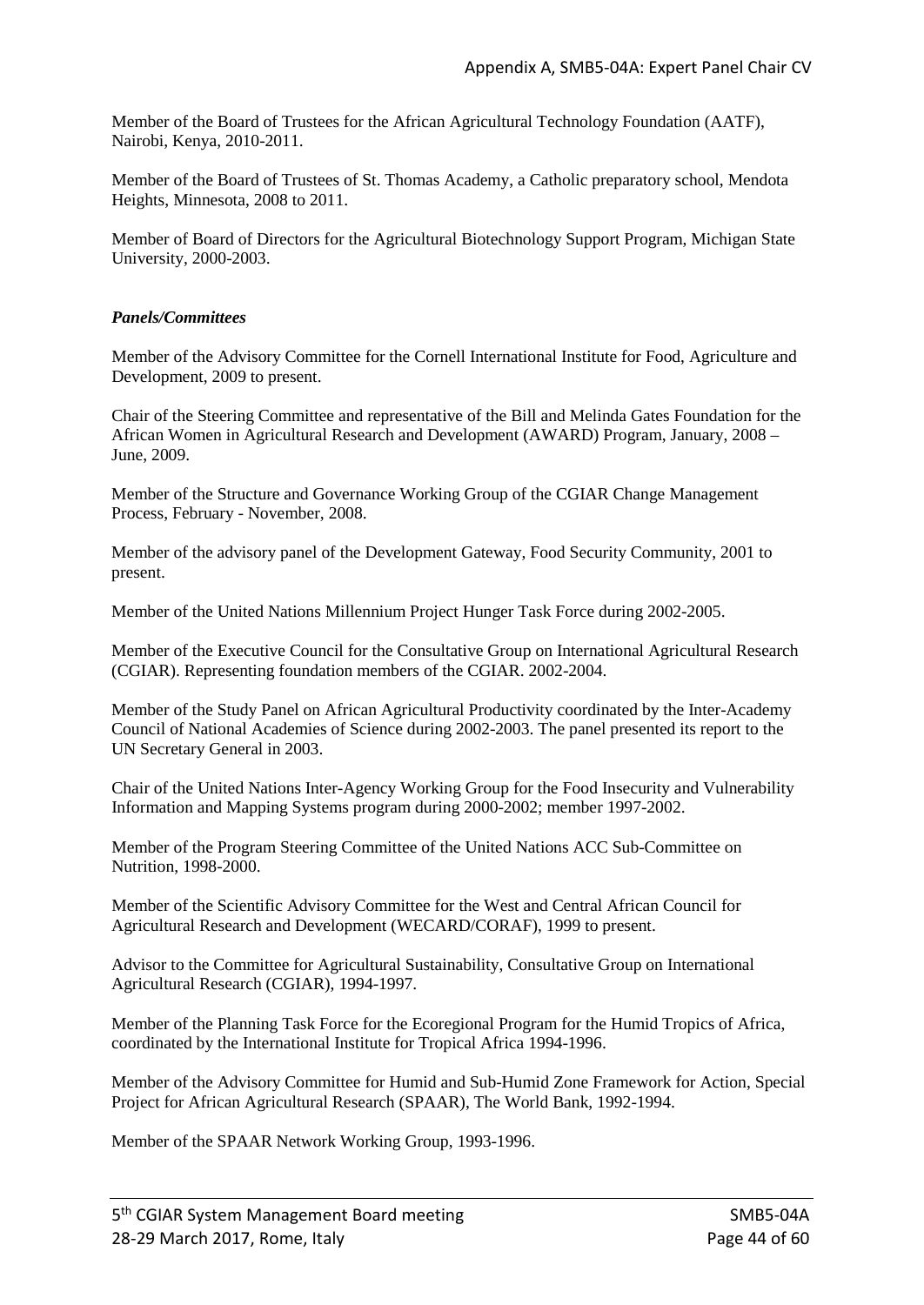Member of the Board of Trustees for the African Agricultural Technology Foundation (AATF), Nairobi, Kenya, 2010-2011.

Member of the Board of Trustees of St. Thomas Academy, a Catholic preparatory school, Mendota Heights, Minnesota, 2008 to 2011.

Member of Board of Directors for the Agricultural Biotechnology Support Program, Michigan State University, 2000-2003.

#### *Panels/Committees*

Member of the Advisory Committee for the Cornell International Institute for Food, Agriculture and Development, 2009 to present.

Chair of the Steering Committee and representative of the Bill and Melinda Gates Foundation for the African Women in Agricultural Research and Development (AWARD) Program, January, 2008 – June, 2009.

Member of the Structure and Governance Working Group of the CGIAR Change Management Process, February - November, 2008.

Member of the advisory panel of the Development Gateway, Food Security Community, 2001 to present.

Member of the United Nations Millennium Project Hunger Task Force during 2002-2005.

Member of the Executive Council for the Consultative Group on International Agricultural Research (CGIAR). Representing foundation members of the CGIAR. 2002-2004.

Member of the Study Panel on African Agricultural Productivity coordinated by the Inter-Academy Council of National Academies of Science during 2002-2003. The panel presented its report to the UN Secretary General in 2003.

Chair of the United Nations Inter-Agency Working Group for the Food Insecurity and Vulnerability Information and Mapping Systems program during 2000-2002; member 1997-2002.

Member of the Program Steering Committee of the United Nations ACC Sub-Committee on Nutrition, 1998-2000.

Member of the Scientific Advisory Committee for the West and Central African Council for Agricultural Research and Development (WECARD/CORAF), 1999 to present.

Advisor to the Committee for Agricultural Sustainability, Consultative Group on International Agricultural Research (CGIAR), 1994-1997.

Member of the Planning Task Force for the Ecoregional Program for the Humid Tropics of Africa, coordinated by the International Institute for Tropical Africa 1994-1996.

Member of the Advisory Committee for Humid and Sub-Humid Zone Framework for Action, Special Project for African Agricultural Research (SPAAR), The World Bank, 1992-1994.

Member of the SPAAR Network Working Group, 1993-1996.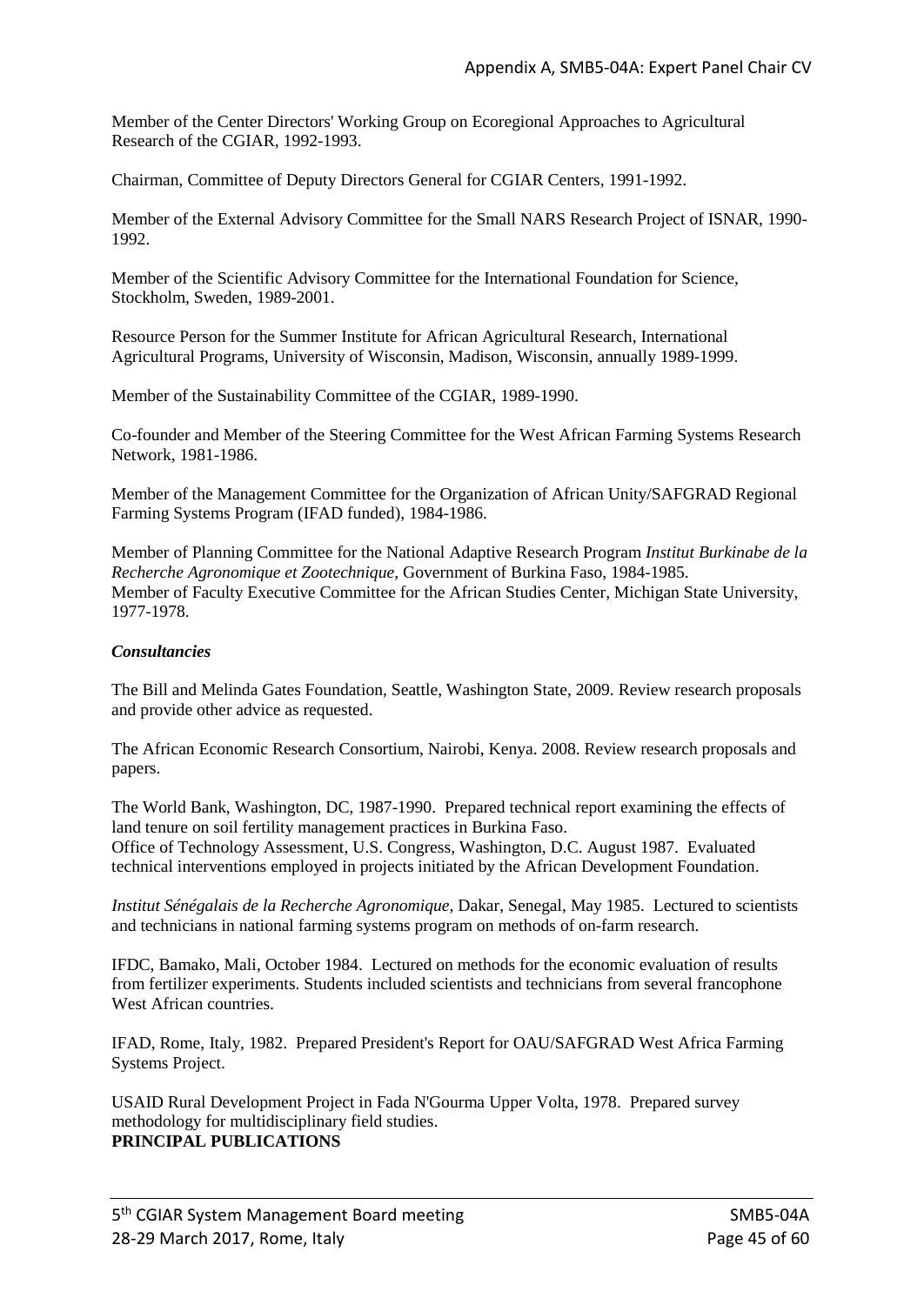Member of the Center Directors' Working Group on Ecoregional Approaches to Agricultural Research of the CGIAR, 1992-1993.

Chairman, Committee of Deputy Directors General for CGIAR Centers, 1991-1992.

Member of the External Advisory Committee for the Small NARS Research Project of ISNAR, 1990- 1992.

Member of the Scientific Advisory Committee for the International Foundation for Science, Stockholm, Sweden, 1989-2001.

Resource Person for the Summer Institute for African Agricultural Research, International Agricultural Programs, University of Wisconsin, Madison, Wisconsin, annually 1989-1999.

Member of the Sustainability Committee of the CGIAR, 1989-1990.

Co-founder and Member of the Steering Committee for the West African Farming Systems Research Network, 1981-1986.

Member of the Management Committee for the Organization of African Unity/SAFGRAD Regional Farming Systems Program (IFAD funded), 1984-1986.

Member of Planning Committee for the National Adaptive Research Program *Institut Burkinabe de la Recherche Agronomique et Zootechnique*, Government of Burkina Faso, 1984-1985. Member of Faculty Executive Committee for the African Studies Center, Michigan State University, 1977-1978.

#### *Consultancies*

The Bill and Melinda Gates Foundation, Seattle, Washington State, 2009. Review research proposals and provide other advice as requested.

The African Economic Research Consortium, Nairobi, Kenya. 2008. Review research proposals and papers.

The World Bank, Washington, DC, 1987-1990. Prepared technical report examining the effects of land tenure on soil fertility management practices in Burkina Faso. Office of Technology Assessment, U.S. Congress, Washington, D.C. August 1987. Evaluated technical interventions employed in projects initiated by the African Development Foundation.

*Institut Sénégalais de la Recherche Agronomique*, Dakar, Senegal, May 1985. Lectured to scientists and technicians in national farming systems program on methods of on-farm research.

IFDC, Bamako, Mali, October 1984. Lectured on methods for the economic evaluation of results from fertilizer experiments. Students included scientists and technicians from several francophone West African countries.

IFAD, Rome, Italy, 1982. Prepared President's Report for OAU/SAFGRAD West Africa Farming Systems Project.

USAID Rural Development Project in Fada N'Gourma Upper Volta, 1978. Prepared survey methodology for multidisciplinary field studies. **PRINCIPAL PUBLICATIONS**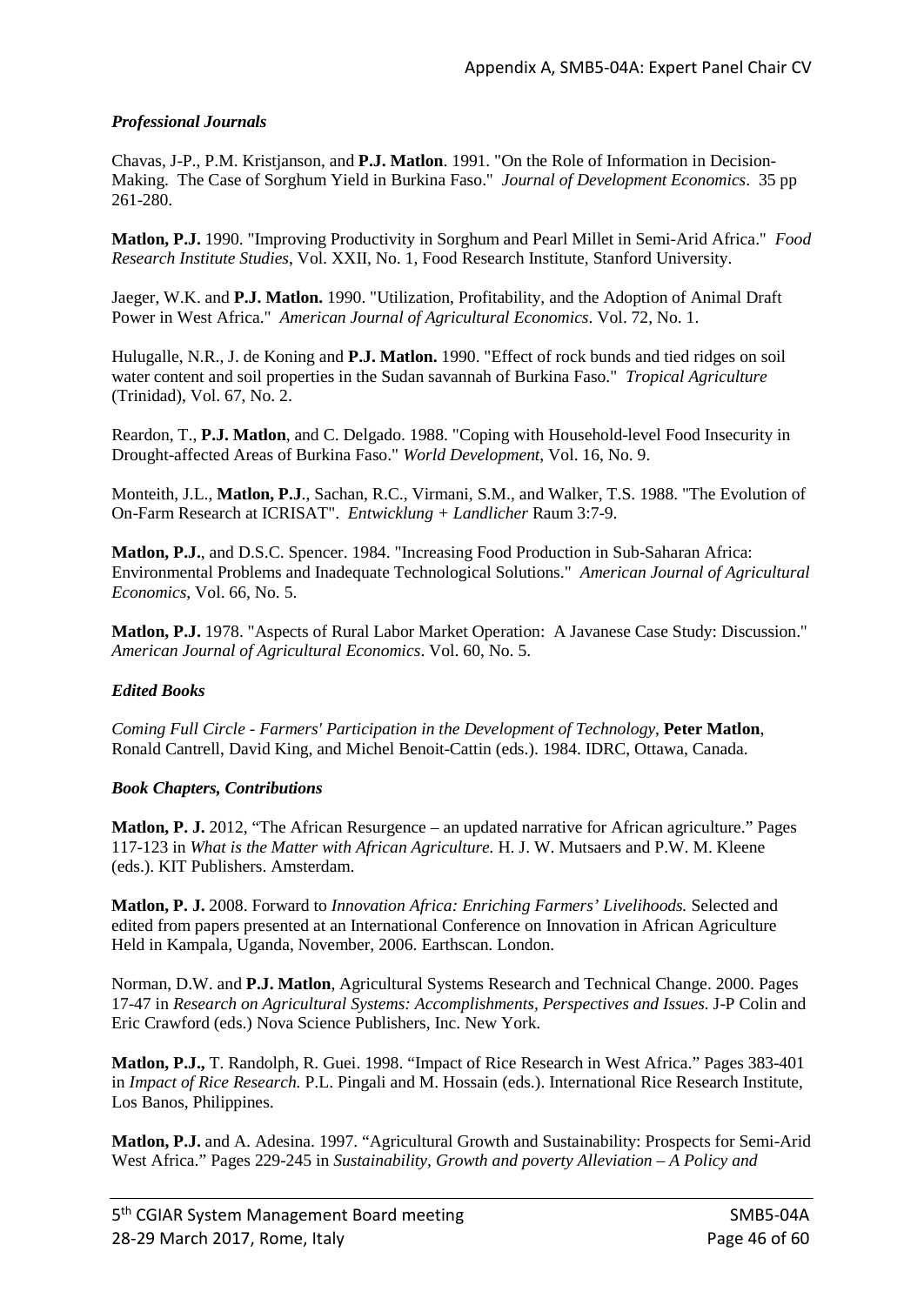#### *Professional Journals*

Chavas, J-P., P.M. Kristjanson, and **P.J. Matlon**. 1991. "On the Role of Information in Decision-Making. The Case of Sorghum Yield in Burkina Faso." *Journal of Development Economics*. 35 pp 261-280.

**Matlon, P.J.** 1990. "Improving Productivity in Sorghum and Pearl Millet in Semi-Arid Africa." *Food Research Institute Studies*, Vol. XXII, No. 1, Food Research Institute, Stanford University.

Jaeger, W.K. and **P.J. Matlon.** 1990. "Utilization, Profitability, and the Adoption of Animal Draft Power in West Africa." *American Journal of Agricultural Economics*. Vol. 72, No. 1.

Hulugalle, N.R., J. de Koning and **P.J. Matlon.** 1990. "Effect of rock bunds and tied ridges on soil water content and soil properties in the Sudan savannah of Burkina Faso." *Tropical Agriculture* (Trinidad), Vol. 67, No. 2.

Reardon, T., **P.J. Matlon**, and C. Delgado. 1988. "Coping with Household-level Food Insecurity in Drought-affected Areas of Burkina Faso." *World Development*, Vol. 16, No. 9.

Monteith, J.L., **Matlon, P.J**., Sachan, R.C., Virmani, S.M., and Walker, T.S. 1988. "The Evolution of On-Farm Research at ICRISAT". *Entwicklung + Landlicher* Raum 3:7-9.

**Matlon, P.J.**, and D.S.C. Spencer. 1984. "Increasing Food Production in Sub-Saharan Africa: Environmental Problems and Inadequate Technological Solutions." *American Journal of Agricultural Economics*, Vol. 66, No. 5.

**Matlon, P.J.** 1978. "Aspects of Rural Labor Market Operation: A Javanese Case Study: Discussion." *American Journal of Agricultural Economics*. Vol. 60, No. 5.

#### *Edited Books*

*Coming Full Circle - Farmers' Participation in the Development of Technology*, **Peter Matlon**, Ronald Cantrell, David King, and Michel Benoit-Cattin (eds.). 1984. IDRC, Ottawa, Canada.

#### *Book Chapters, Contributions*

**Matlon, P. J.** 2012, "The African Resurgence – an updated narrative for African agriculture." Pages 117-123 in *What is the Matter with African Agriculture.* H. J. W. Mutsaers and P.W. M. Kleene (eds.). KIT Publishers. Amsterdam.

**Matlon, P. J.** 2008. Forward to *Innovation Africa: Enriching Farmers' Livelihoods.* Selected and edited from papers presented at an International Conference on Innovation in African Agriculture Held in Kampala, Uganda, November, 2006. Earthscan. London.

Norman, D.W. and **P.J. Matlon**, Agricultural Systems Research and Technical Change. 2000. Pages 17-47 in *Research on Agricultural Systems: Accomplishments, Perspectives and Issues.* J-P Colin and Eric Crawford (eds.) Nova Science Publishers, Inc. New York.

**Matlon, P.J.,** T. Randolph, R. Guei. 1998. "Impact of Rice Research in West Africa." Pages 383-401 in *Impact of Rice Research.* P.L. Pingali and M. Hossain (eds.). International Rice Research Institute, Los Banos, Philippines.

**Matlon, P.J.** and A. Adesina. 1997. "Agricultural Growth and Sustainability: Prospects for Semi-Arid West Africa." Pages 229-245 in *Sustainability, Growth and poverty Alleviation – A Policy and*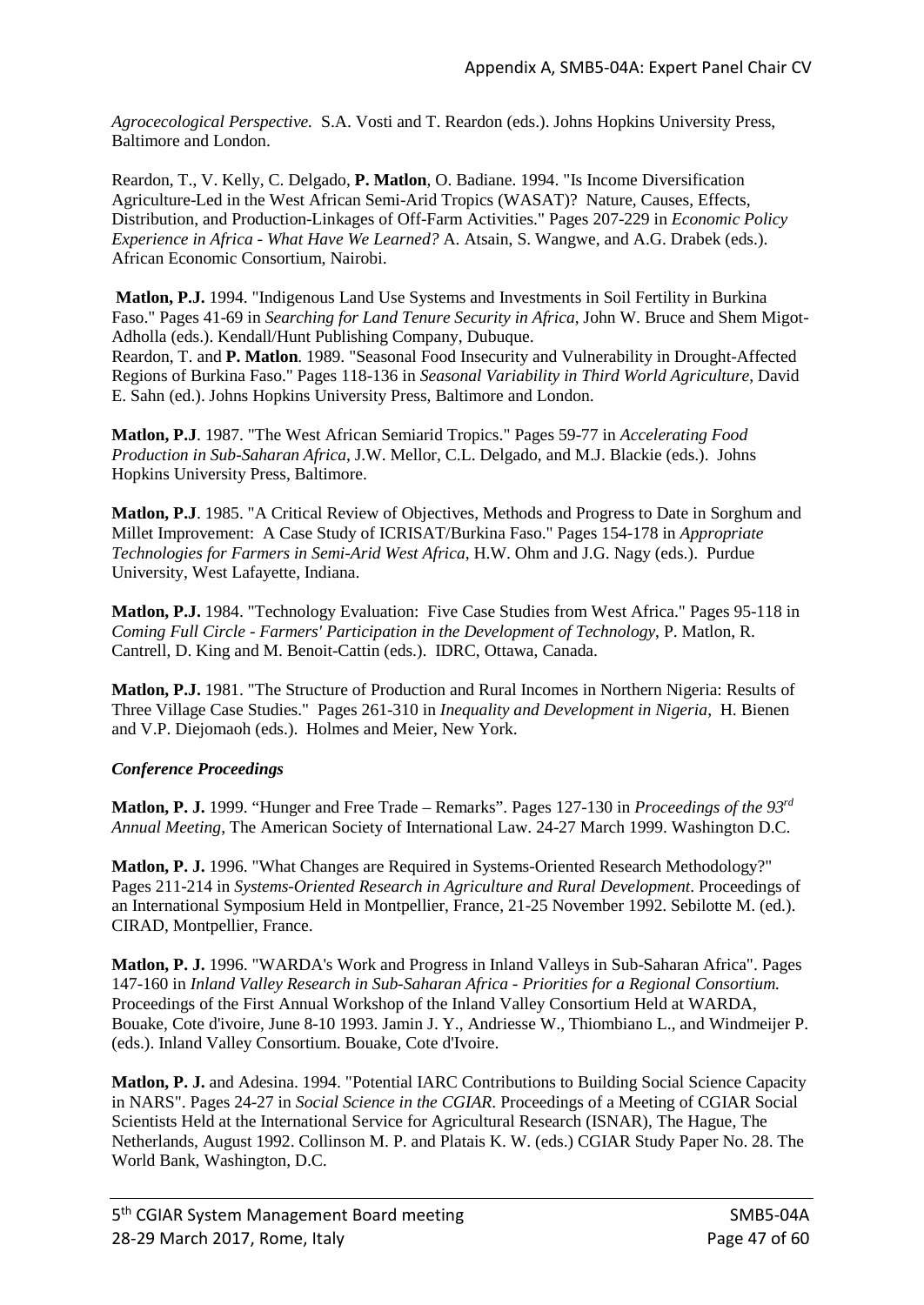*Agrocecological Perspective.* S.A. Vosti and T. Reardon (eds.). Johns Hopkins University Press, Baltimore and London.

Reardon, T., V. Kelly, C. Delgado, **P. Matlon**, O. Badiane. 1994. "Is Income Diversification Agriculture-Led in the West African Semi-Arid Tropics (WASAT)? Nature, Causes, Effects, Distribution, and Production-Linkages of Off-Farm Activities." Pages 207-229 in *Economic Policy Experience in Africa - What Have We Learned?* A. Atsain, S. Wangwe, and A.G. Drabek (eds.). African Economic Consortium, Nairobi.

**Matlon, P.J.** 1994. "Indigenous Land Use Systems and Investments in Soil Fertility in Burkina Faso." Pages 41-69 in *Searching for Land Tenure Security in Africa*, John W. Bruce and Shem Migot-Adholla (eds.). Kendall/Hunt Publishing Company, Dubuque.

Reardon, T. and **P. Matlon**. 1989. "Seasonal Food Insecurity and Vulnerability in Drought-Affected Regions of Burkina Faso." Pages 118-136 in *Seasonal Variability in Third World Agriculture*, David E. Sahn (ed.). Johns Hopkins University Press, Baltimore and London.

**Matlon, P.J**. 1987. "The West African Semiarid Tropics." Pages 59-77 in *Accelerating Food Production in Sub-Saharan Africa*, J.W. Mellor, C.L. Delgado, and M.J. Blackie (eds.). Johns Hopkins University Press, Baltimore.

**Matlon, P.J**. 1985. "A Critical Review of Objectives, Methods and Progress to Date in Sorghum and Millet Improvement: A Case Study of ICRISAT/Burkina Faso." Pages 154-178 in *Appropriate Technologies for Farmers in Semi-Arid West Africa*, H.W. Ohm and J.G. Nagy (eds.). Purdue University, West Lafayette, Indiana.

**Matlon, P.J.** 1984. "Technology Evaluation: Five Case Studies from West Africa." Pages 95-118 in *Coming Full Circle - Farmers' Participation in the Development of Technology*, P. Matlon, R. Cantrell, D. King and M. Benoit-Cattin (eds.). IDRC, Ottawa, Canada.

**Matlon, P.J.** 1981. "The Structure of Production and Rural Incomes in Northern Nigeria: Results of Three Village Case Studies." Pages 261-310 in *Inequality and Development in Nigeria*, H. Bienen and V.P. Diejomaoh (eds.). Holmes and Meier, New York.

#### *Conference Proceedings*

**Matlon, P. J.** 1999. "Hunger and Free Trade – Remarks". Pages 127-130 in *Proceedings of the 93rd Annual Meeting*, The American Society of International Law. 24-27 March 1999. Washington D.C.

**Matlon, P. J.** 1996. "What Changes are Required in Systems-Oriented Research Methodology?" Pages 211-214 in *Systems-Oriented Research in Agriculture and Rural Development*. Proceedings of an International Symposium Held in Montpellier, France, 21-25 November 1992. Sebilotte M. (ed.). CIRAD, Montpellier, France.

**Matlon, P. J.** 1996. "WARDA's Work and Progress in Inland Valleys in Sub-Saharan Africa". Pages 147-160 in *Inland Valley Research in Sub-Saharan Africa - Priorities for a Regional Consortium.* Proceedings of the First Annual Workshop of the Inland Valley Consortium Held at WARDA, Bouake, Cote d'ivoire, June 8-10 1993. Jamin J. Y., Andriesse W., Thiombiano L., and Windmeijer P. (eds.). Inland Valley Consortium. Bouake, Cote d'Ivoire.

**Matlon, P. J.** and Adesina. 1994. "Potential IARC Contributions to Building Social Science Capacity in NARS". Pages 24-27 in *Social Science in the CGIAR*. Proceedings of a Meeting of CGIAR Social Scientists Held at the International Service for Agricultural Research (ISNAR), The Hague, The Netherlands, August 1992. Collinson M. P. and Platais K. W. (eds.) CGIAR Study Paper No. 28. The World Bank, Washington, D.C.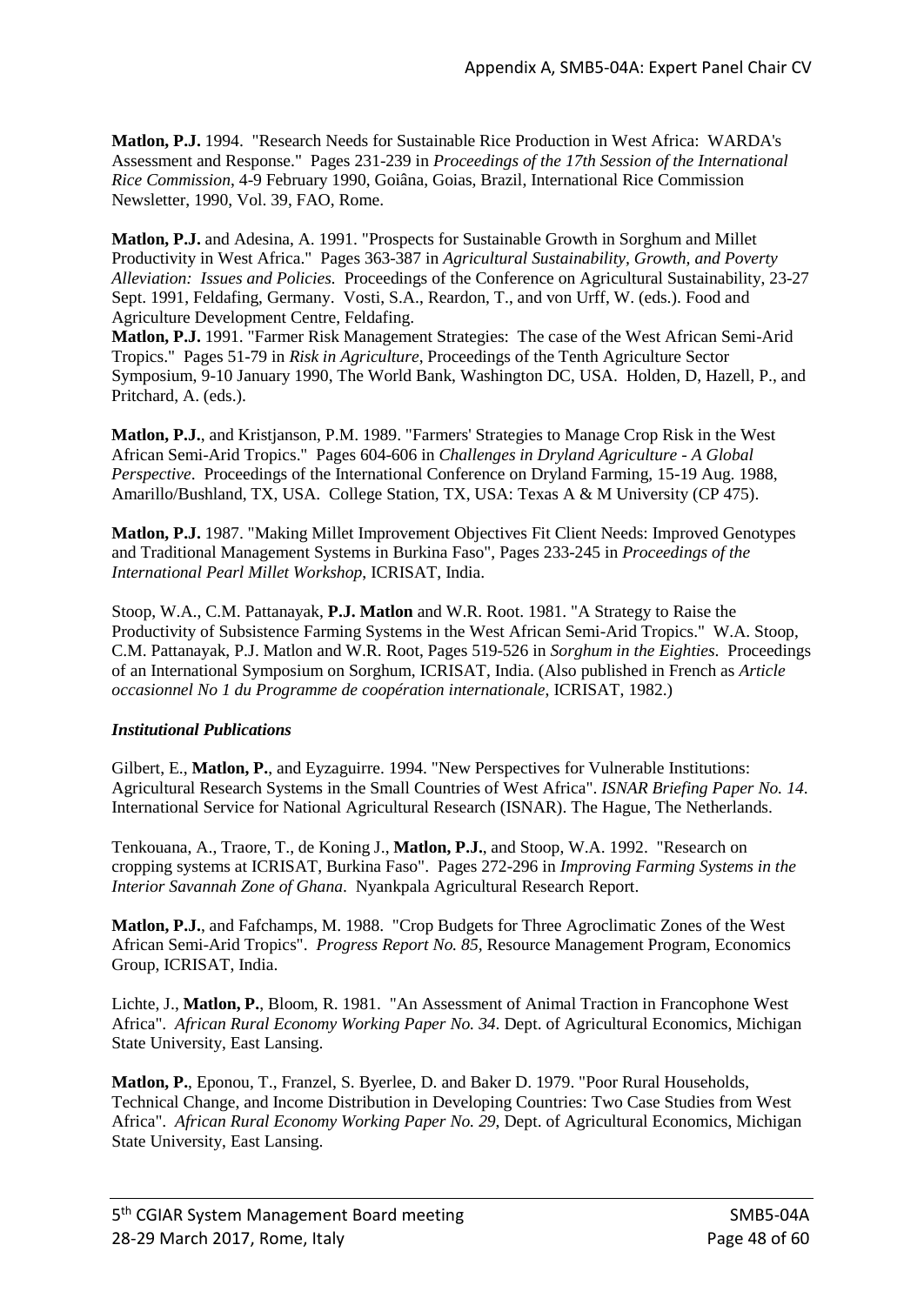**Matlon, P.J.** 1994. "Research Needs for Sustainable Rice Production in West Africa: WARDA's Assessment and Response." Pages 231-239 in *Proceedings of the 17th Session of the International Rice Commission*, 4-9 February 1990, Goiâna, Goias, Brazil, International Rice Commission Newsletter, 1990, Vol. 39, FAO, Rome.

**Matlon, P.J.** and Adesina, A. 1991. "Prospects for Sustainable Growth in Sorghum and Millet Productivity in West Africa." Pages 363-387 in *Agricultural Sustainability, Growth, and Poverty Alleviation: Issues and Policies.* Proceedings of the Conference on Agricultural Sustainability, 23-27 Sept. 1991, Feldafing, Germany. Vosti, S.A., Reardon, T., and von Urff, W. (eds.). Food and Agriculture Development Centre, Feldafing.

**Matlon, P.J.** 1991. "Farmer Risk Management Strategies: The case of the West African Semi-Arid Tropics." Pages 51-79 in *Risk in Agriculture*, Proceedings of the Tenth Agriculture Sector Symposium, 9-10 January 1990, The World Bank, Washington DC, USA. Holden, D, Hazell, P., and Pritchard, A. (eds.).

**Matlon, P.J.**, and Kristjanson, P.M. 1989. "Farmers' Strategies to Manage Crop Risk in the West African Semi-Arid Tropics." Pages 604-606 in *Challenges in Dryland Agriculture - A Global Perspective*. Proceedings of the International Conference on Dryland Farming, 15-19 Aug. 1988, Amarillo/Bushland, TX, USA. College Station, TX, USA: Texas A & M University (CP 475).

**Matlon, P.J.** 1987. "Making Millet Improvement Objectives Fit Client Needs: Improved Genotypes and Traditional Management Systems in Burkina Faso", Pages 233-245 in *Proceedings of the International Pearl Millet Workshop*, ICRISAT, India.

Stoop, W.A., C.M. Pattanayak, **P.J. Matlon** and W.R. Root. 1981. "A Strategy to Raise the Productivity of Subsistence Farming Systems in the West African Semi-Arid Tropics." W.A. Stoop, C.M. Pattanayak, P.J. Matlon and W.R. Root, Pages 519-526 in *Sorghum in the Eighties*. Proceedings of an International Symposium on Sorghum, ICRISAT, India. (Also published in French as *Article occasionnel No 1 du Programme de coopération internationale*, ICRISAT, 1982.)

#### *Institutional Publications*

Gilbert, E., **Matlon, P.**, and Eyzaguirre. 1994. "New Perspectives for Vulnerable Institutions: Agricultural Research Systems in the Small Countries of West Africa". *ISNAR Briefing Paper No. 14*. International Service for National Agricultural Research (ISNAR). The Hague, The Netherlands.

Tenkouana, A., Traore, T., de Koning J., **Matlon, P.J.**, and Stoop, W.A. 1992. "Research on cropping systems at ICRISAT, Burkina Faso". Pages 272-296 in *Improving Farming Systems in the Interior Savannah Zone of Ghana*. Nyankpala Agricultural Research Report.

**Matlon, P.J.**, and Fafchamps, M. 1988. "Crop Budgets for Three Agroclimatic Zones of the West African Semi-Arid Tropics". *Progress Report No. 85,* Resource Management Program, Economics Group, ICRISAT, India.

Lichte, J., **Matlon, P.**, Bloom, R. 1981. "An Assessment of Animal Traction in Francophone West Africa". *African Rural Economy Working Paper No. 34*. Dept. of Agricultural Economics, Michigan State University, East Lansing.

**Matlon, P.**, Eponou, T., Franzel, S. Byerlee, D. and Baker D. 1979. "Poor Rural Households, Technical Change, and Income Distribution in Developing Countries: Two Case Studies from West Africa". *African Rural Economy Working Paper No. 29*, Dept. of Agricultural Economics, Michigan State University, East Lansing.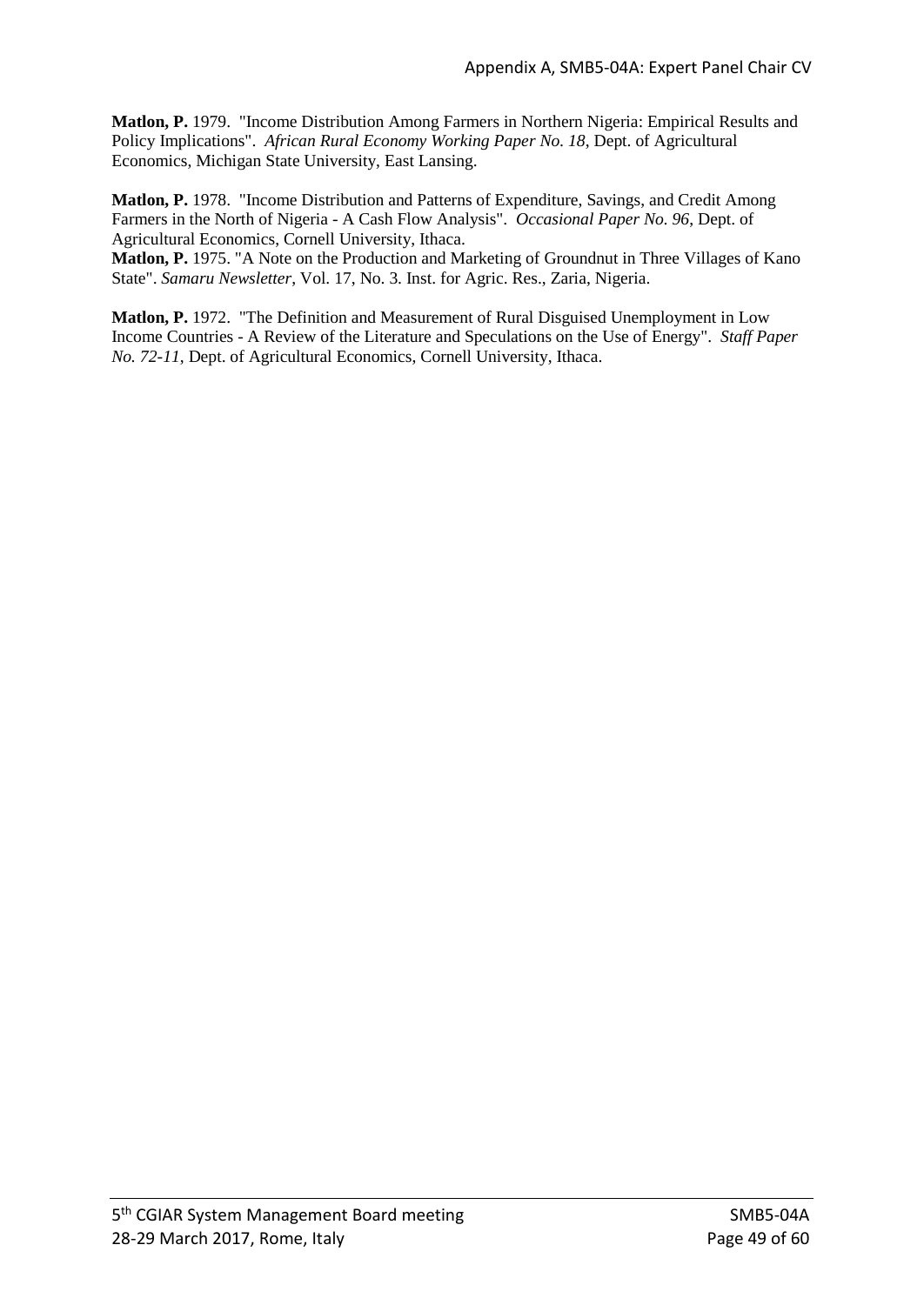**Matlon, P.** 1979. "Income Distribution Among Farmers in Northern Nigeria: Empirical Results and Policy Implications". *African Rural Economy Working Paper No. 18*, Dept. of Agricultural Economics, Michigan State University, East Lansing.

**Matlon, P.** 1978. "Income Distribution and Patterns of Expenditure, Savings, and Credit Among Farmers in the North of Nigeria - A Cash Flow Analysis". *Occasional Paper No. 96*, Dept. of Agricultural Economics, Cornell University, Ithaca.

**Matlon, P.** 1975. "A Note on the Production and Marketing of Groundnut in Three Villages of Kano State". *Samaru Newsletter*, Vol. 17, No. 3. Inst. for Agric. Res., Zaria, Nigeria.

**Matlon, P.** 1972. "The Definition and Measurement of Rural Disguised Unemployment in Low Income Countries - A Review of the Literature and Speculations on the Use of Energy". *Staff Paper No. 72-11*, Dept. of Agricultural Economics, Cornell University, Ithaca.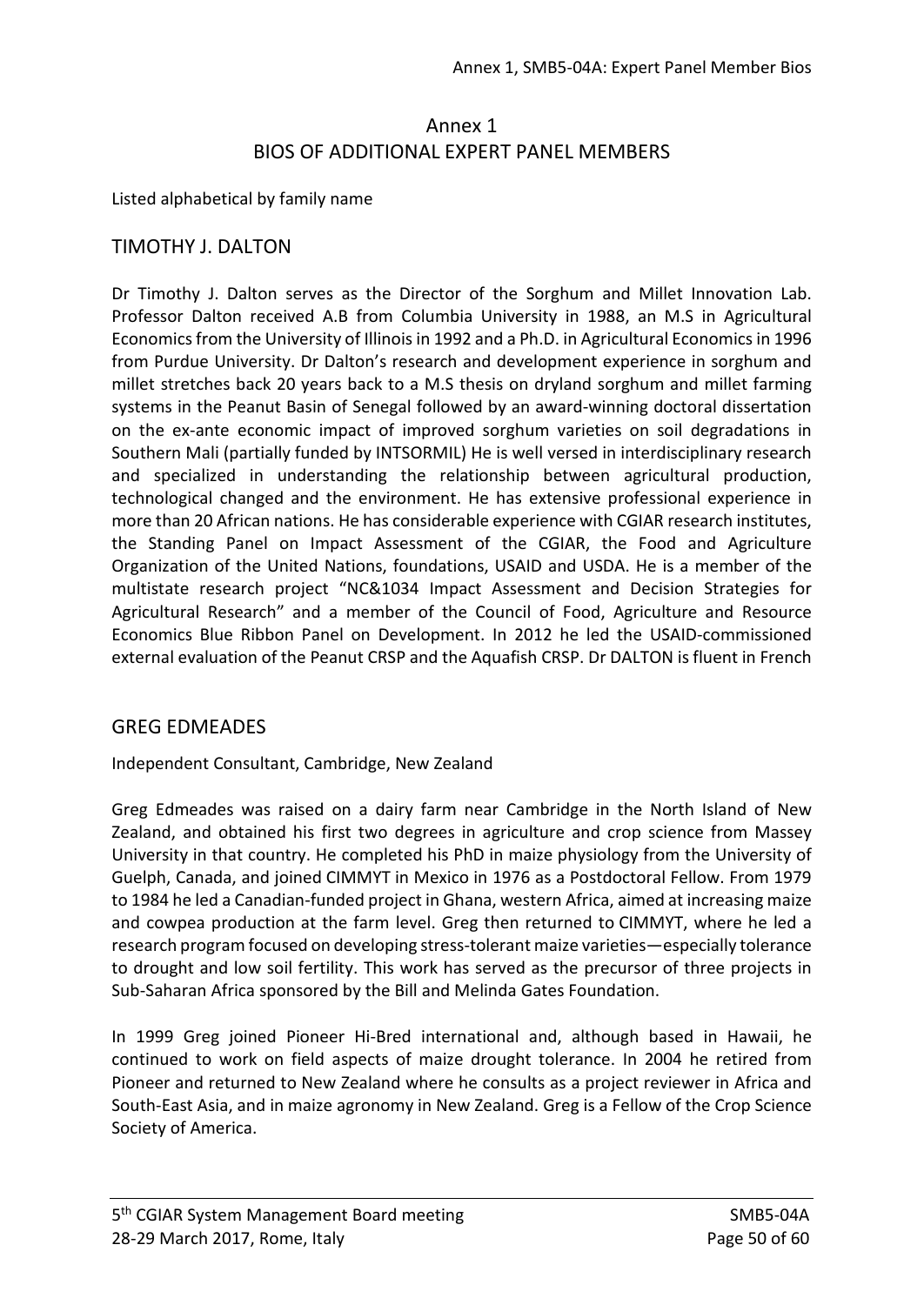# Annex 1 BIOS OF ADDITIONAL EXPERT PANEL MEMBERS

Listed alphabetical by family name

### TIMOTHY J. DALTON

Dr Timothy J. Dalton serves as the Director of the Sorghum and Millet Innovation Lab. Professor Dalton received A.B from Columbia University in 1988, an M.S in Agricultural Economics from the University of Illinois in 1992 and a Ph.D. in Agricultural Economics in 1996 from Purdue University. Dr Dalton's research and development experience in sorghum and millet stretches back 20 years back to a M.S thesis on dryland sorghum and millet farming systems in the Peanut Basin of Senegal followed by an award-winning doctoral dissertation on the ex-ante economic impact of improved sorghum varieties on soil degradations in Southern Mali (partially funded by INTSORMIL) He is well versed in interdisciplinary research and specialized in understanding the relationship between agricultural production, technological changed and the environment. He has extensive professional experience in more than 20 African nations. He has considerable experience with CGIAR research institutes, the Standing Panel on Impact Assessment of the CGIAR, the Food and Agriculture Organization of the United Nations, foundations, USAID and USDA. He is a member of the multistate research project "NC&1034 Impact Assessment and Decision Strategies for Agricultural Research" and a member of the Council of Food, Agriculture and Resource Economics Blue Ribbon Panel on Development. In 2012 he led the USAID-commissioned external evaluation of the Peanut CRSP and the Aquafish CRSP. Dr DALTON is fluent in French

#### GREG EDMEADES

Independent Consultant, Cambridge, New Zealand

Greg Edmeades was raised on a dairy farm near Cambridge in the North Island of New Zealand, and obtained his first two degrees in agriculture and crop science from Massey University in that country. He completed his PhD in maize physiology from the University of Guelph, Canada, and joined CIMMYT in Mexico in 1976 as a Postdoctoral Fellow. From 1979 to 1984 he led a Canadian-funded project in Ghana, western Africa, aimed at increasing maize and cowpea production at the farm level. Greg then returned to CIMMYT, where he led a research program focused on developing stress-tolerant maize varieties—especially tolerance to drought and low soil fertility. This work has served as the precursor of three projects in Sub-Saharan Africa sponsored by the Bill and Melinda Gates Foundation.

In 1999 Greg joined Pioneer Hi-Bred international and, although based in Hawaii, he continued to work on field aspects of maize drought tolerance. In 2004 he retired from Pioneer and returned to New Zealand where he consults as a project reviewer in Africa and South-East Asia, and in maize agronomy in New Zealand. Greg is a Fellow of the Crop Science Society of America.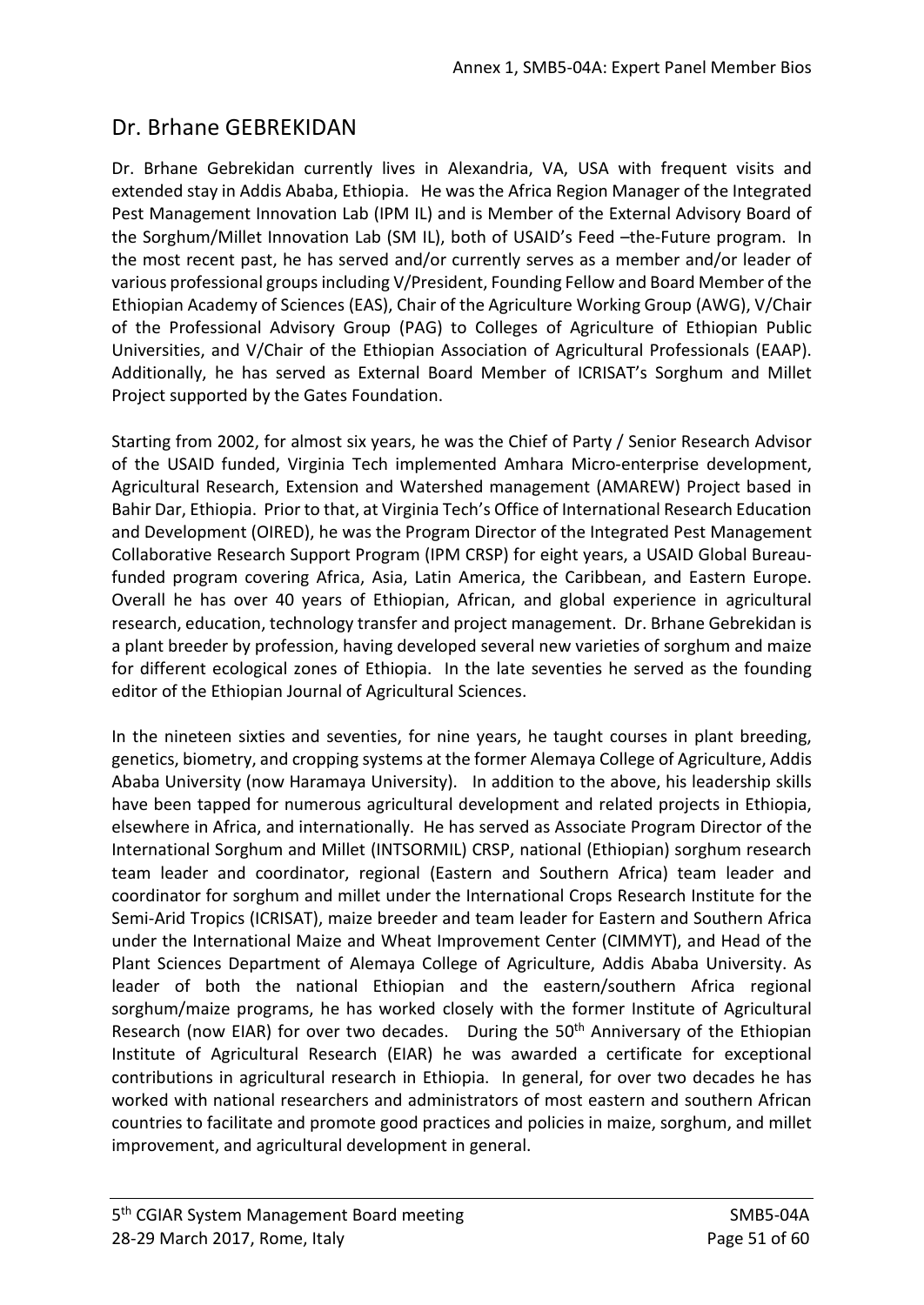# Dr. Brhane GEBREKIDAN

Dr. Brhane Gebrekidan currently lives in Alexandria, VA, USA with frequent visits and extended stay in Addis Ababa, Ethiopia. He was the Africa Region Manager of the Integrated Pest Management Innovation Lab (IPM IL) and is Member of the External Advisory Board of the Sorghum/Millet Innovation Lab (SM IL), both of USAID's Feed –the-Future program. In the most recent past, he has served and/or currently serves as a member and/or leader of various professional groups including V/President, Founding Fellow and Board Member of the Ethiopian Academy of Sciences (EAS), Chair of the Agriculture Working Group (AWG), V/Chair of the Professional Advisory Group (PAG) to Colleges of Agriculture of Ethiopian Public Universities, and V/Chair of the Ethiopian Association of Agricultural Professionals (EAAP). Additionally, he has served as External Board Member of ICRISAT's Sorghum and Millet Project supported by the Gates Foundation.

Starting from 2002, for almost six years, he was the Chief of Party / Senior Research Advisor of the USAID funded, Virginia Tech implemented Amhara Micro-enterprise development, Agricultural Research, Extension and Watershed management (AMAREW) Project based in Bahir Dar, Ethiopia. Prior to that, at Virginia Tech's Office of International Research Education and Development (OIRED), he was the Program Director of the Integrated Pest Management Collaborative Research Support Program (IPM CRSP) for eight years, a USAID Global Bureaufunded program covering Africa, Asia, Latin America, the Caribbean, and Eastern Europe. Overall he has over 40 years of Ethiopian, African, and global experience in agricultural research, education, technology transfer and project management. Dr. Brhane Gebrekidan is a plant breeder by profession, having developed several new varieties of sorghum and maize for different ecological zones of Ethiopia. In the late seventies he served as the founding editor of the Ethiopian Journal of Agricultural Sciences.

In the nineteen sixties and seventies, for nine years, he taught courses in plant breeding, genetics, biometry, and cropping systems at the former Alemaya College of Agriculture, Addis Ababa University (now Haramaya University). In addition to the above, his leadership skills have been tapped for numerous agricultural development and related projects in Ethiopia, elsewhere in Africa, and internationally. He has served as Associate Program Director of the International Sorghum and Millet (INTSORMIL) CRSP, national (Ethiopian) sorghum research team leader and coordinator, regional (Eastern and Southern Africa) team leader and coordinator for sorghum and millet under the International Crops Research Institute for the Semi-Arid Tropics (ICRISAT), maize breeder and team leader for Eastern and Southern Africa under the International Maize and Wheat Improvement Center (CIMMYT), and Head of the Plant Sciences Department of Alemaya College of Agriculture, Addis Ababa University. As leader of both the national Ethiopian and the eastern/southern Africa regional sorghum/maize programs, he has worked closely with the former Institute of Agricultural Research (now EIAR) for over two decades. During the 50<sup>th</sup> Anniversary of the Ethiopian Institute of Agricultural Research (EIAR) he was awarded a certificate for exceptional contributions in agricultural research in Ethiopia. In general, for over two decades he has worked with national researchers and administrators of most eastern and southern African countries to facilitate and promote good practices and policies in maize, sorghum, and millet improvement, and agricultural development in general.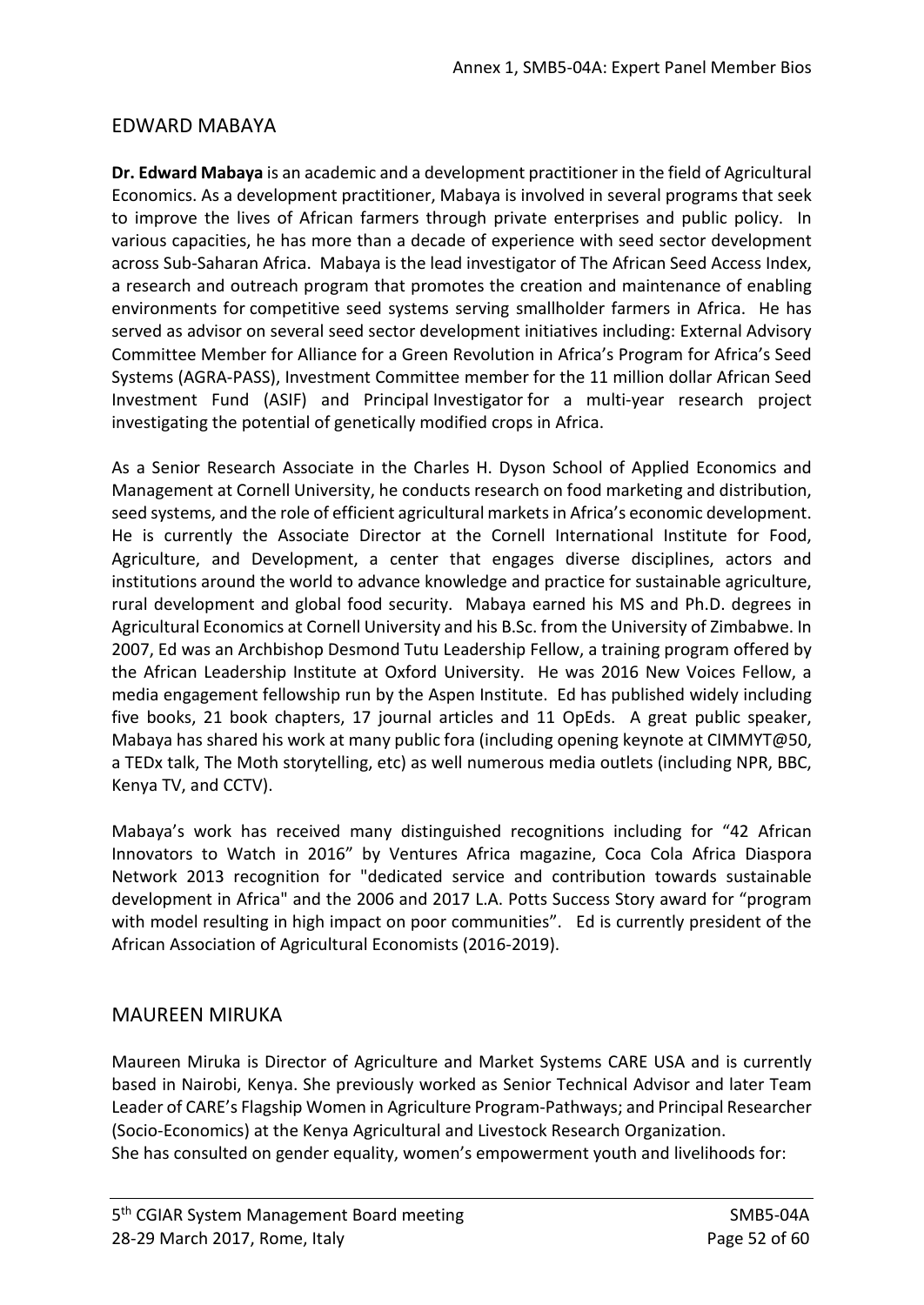# EDWARD MABAYA

**Dr. Edward Mabaya** is an academic and a development practitioner in the field of Agricultural Economics. As a development practitioner, Mabaya is involved in several programs that seek to improve the lives of African farmers through private enterprises and public policy. In various capacities, he has more than a decade of experience with seed sector development across Sub-Saharan Africa. Mabaya is the lead investigator of The African Seed Access Index, a research and outreach program that promotes the creation and maintenance of enabling environments for competitive seed systems serving smallholder farmers in Africa. He has served as advisor on several seed sector development initiatives including: External Advisory Committee Member for Alliance for a Green Revolution in Africa's Program for Africa's Seed Systems (AGRA-PASS), Investment Committee member for the 11 million dollar African Seed Investment Fund (ASIF) and Principal Investigator for a multi-year research project investigating the potential of genetically modified crops in Africa.

As a Senior Research Associate in the Charles H. Dyson School of Applied Economics and Management at Cornell University, he conducts research on food marketing and distribution, seed systems, and the role of efficient agricultural marketsin Africa's economic development. He is currently the Associate Director at the Cornell International Institute for Food, Agriculture, and Development, a center that engages diverse disciplines, actors and institutions around the world to advance knowledge and practice for sustainable agriculture, rural development and global food security. Mabaya earned his MS and Ph.D. degrees in Agricultural Economics at Cornell University and his B.Sc. from the University of Zimbabwe. In 2007, Ed was an Archbishop Desmond Tutu Leadership Fellow, a training program offered by the African Leadership Institute at Oxford University. He was 2016 New Voices Fellow, a media engagement fellowship run by the Aspen Institute. Ed has published widely including five books, 21 book chapters, 17 journal articles and 11 OpEds. A great public speaker, Mabaya has shared his work at many public fora (including opening keynote at CIMMYT@50, a TEDx talk, The Moth storytelling, etc) as well numerous media outlets (including NPR, BBC, Kenya TV, and CCTV).

Mabaya's work has received many distinguished recognitions including for "42 African Innovators to Watch in 2016" by Ventures Africa magazine, Coca Cola Africa Diaspora Network 2013 recognition for "dedicated service and contribution towards sustainable development in Africa" and the 2006 and 2017 L.A. Potts Success Story award for "program with model resulting in high impact on poor communities". Ed is currently president of the African Association of Agricultural Economists (2016-2019).

## MAUREEN MIRUKA

Maureen Miruka is Director of Agriculture and Market Systems CARE USA and is currently based in Nairobi, Kenya. She previously worked as Senior Technical Advisor and later Team Leader of CARE's Flagship Women in Agriculture Program-Pathways; and Principal Researcher (Socio-Economics) at the Kenya Agricultural and Livestock Research Organization. She has consulted on gender equality, women's empowerment youth and livelihoods for: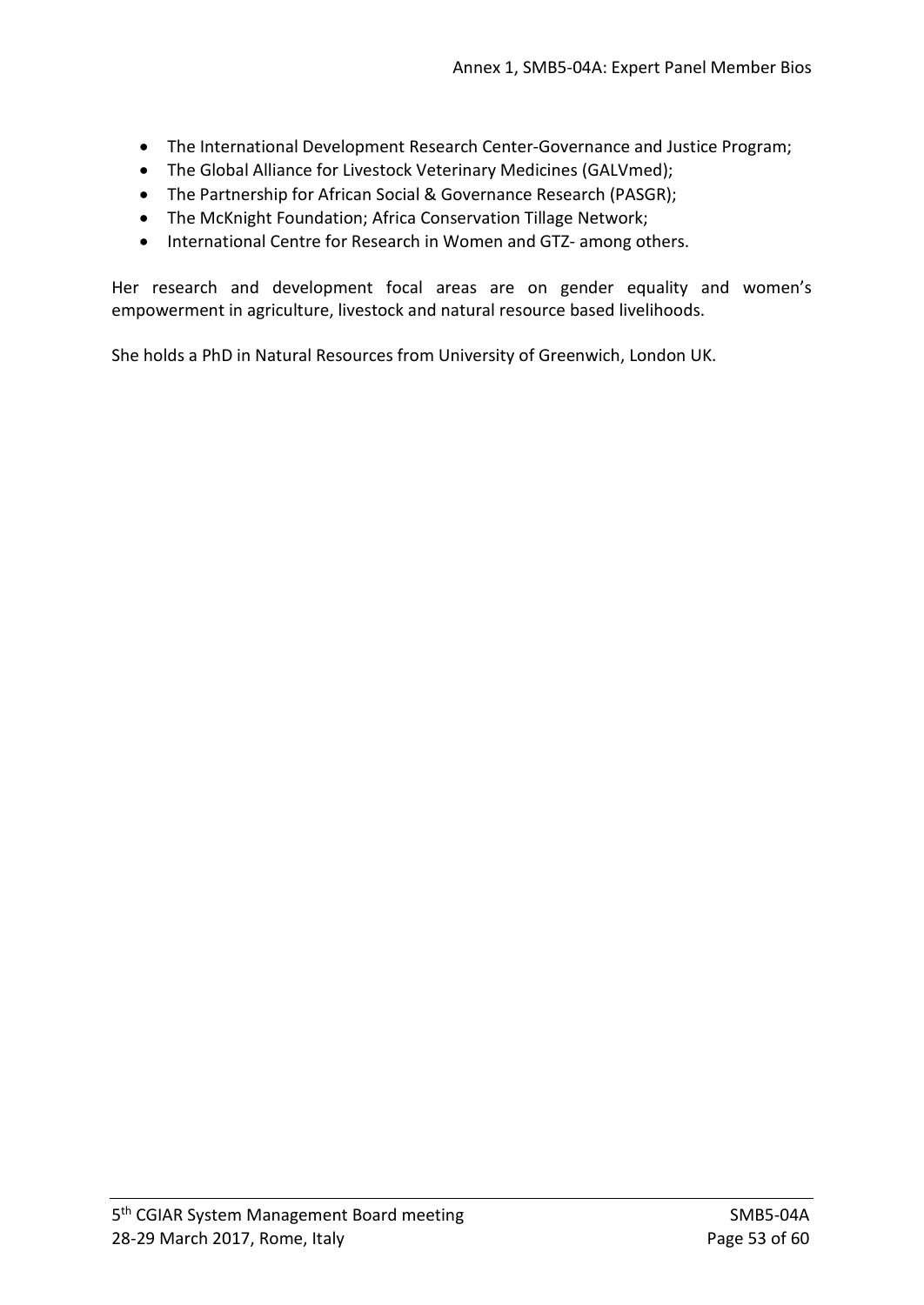- The International Development Research Center-Governance and Justice Program;
- The Global Alliance for Livestock Veterinary Medicines (GALVmed);
- The Partnership for African Social & Governance Research (PASGR);
- The McKnight Foundation; Africa Conservation Tillage Network;
- International Centre for Research in Women and GTZ- among others.

Her research and development focal areas are on gender equality and women's empowerment in agriculture, livestock and natural resource based livelihoods.

She holds a PhD in Natural Resources from University of Greenwich, London UK.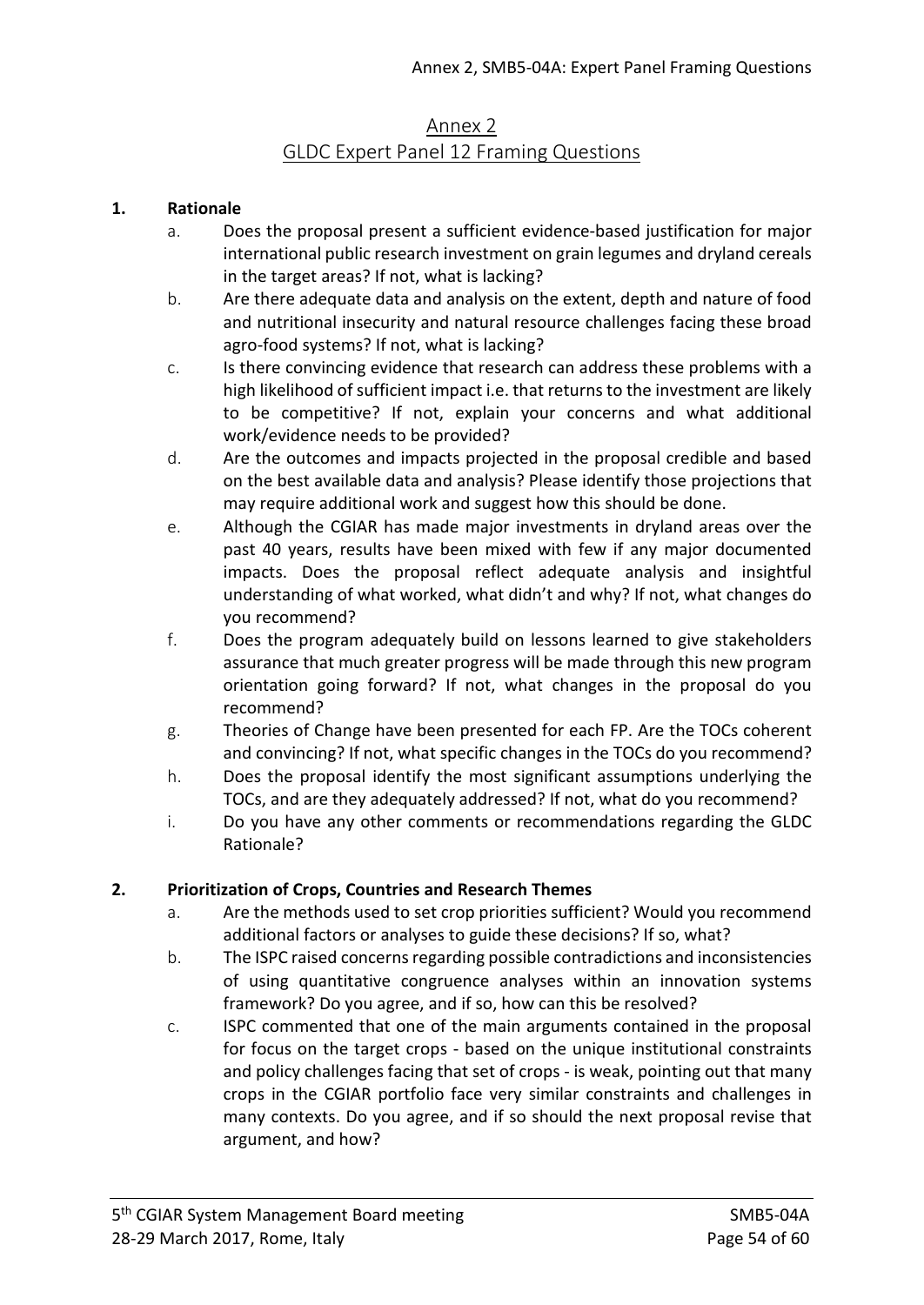# Annex 2 GLDC Expert Panel 12 Framing Questions

### **1. Rationale**

- a. Does the proposal present a sufficient evidence-based justification for major international public research investment on grain legumes and dryland cereals in the target areas? If not, what is lacking?
- b. Are there adequate data and analysis on the extent, depth and nature of food and nutritional insecurity and natural resource challenges facing these broad agro-food systems? If not, what is lacking?
- c. Is there convincing evidence that research can address these problems with a high likelihood of sufficient impact i.e. that returns to the investment are likely to be competitive? If not, explain your concerns and what additional work/evidence needs to be provided?
- d. Are the outcomes and impacts projected in the proposal credible and based on the best available data and analysis? Please identify those projections that may require additional work and suggest how this should be done.
- e. Although the CGIAR has made major investments in dryland areas over the past 40 years, results have been mixed with few if any major documented impacts. Does the proposal reflect adequate analysis and insightful understanding of what worked, what didn't and why? If not, what changes do you recommend?
- f. Does the program adequately build on lessons learned to give stakeholders assurance that much greater progress will be made through this new program orientation going forward? If not, what changes in the proposal do you recommend?
- g. Theories of Change have been presented for each FP. Are the TOCs coherent and convincing? If not, what specific changes in the TOCs do you recommend?
- h. Does the proposal identify the most significant assumptions underlying the TOCs, and are they adequately addressed? If not, what do you recommend?
- i. Do you have any other comments or recommendations regarding the GLDC Rationale?

#### **2. Prioritization of Crops, Countries and Research Themes**

- a. Are the methods used to set crop priorities sufficient? Would you recommend additional factors or analyses to guide these decisions? If so, what?
- b. The ISPC raised concerns regarding possible contradictions and inconsistencies of using quantitative congruence analyses within an innovation systems framework? Do you agree, and if so, how can this be resolved?
- c. ISPC commented that one of the main arguments contained in the proposal for focus on the target crops - based on the unique institutional constraints and policy challenges facing that set of crops - is weak, pointing out that many crops in the CGIAR portfolio face very similar constraints and challenges in many contexts. Do you agree, and if so should the next proposal revise that argument, and how?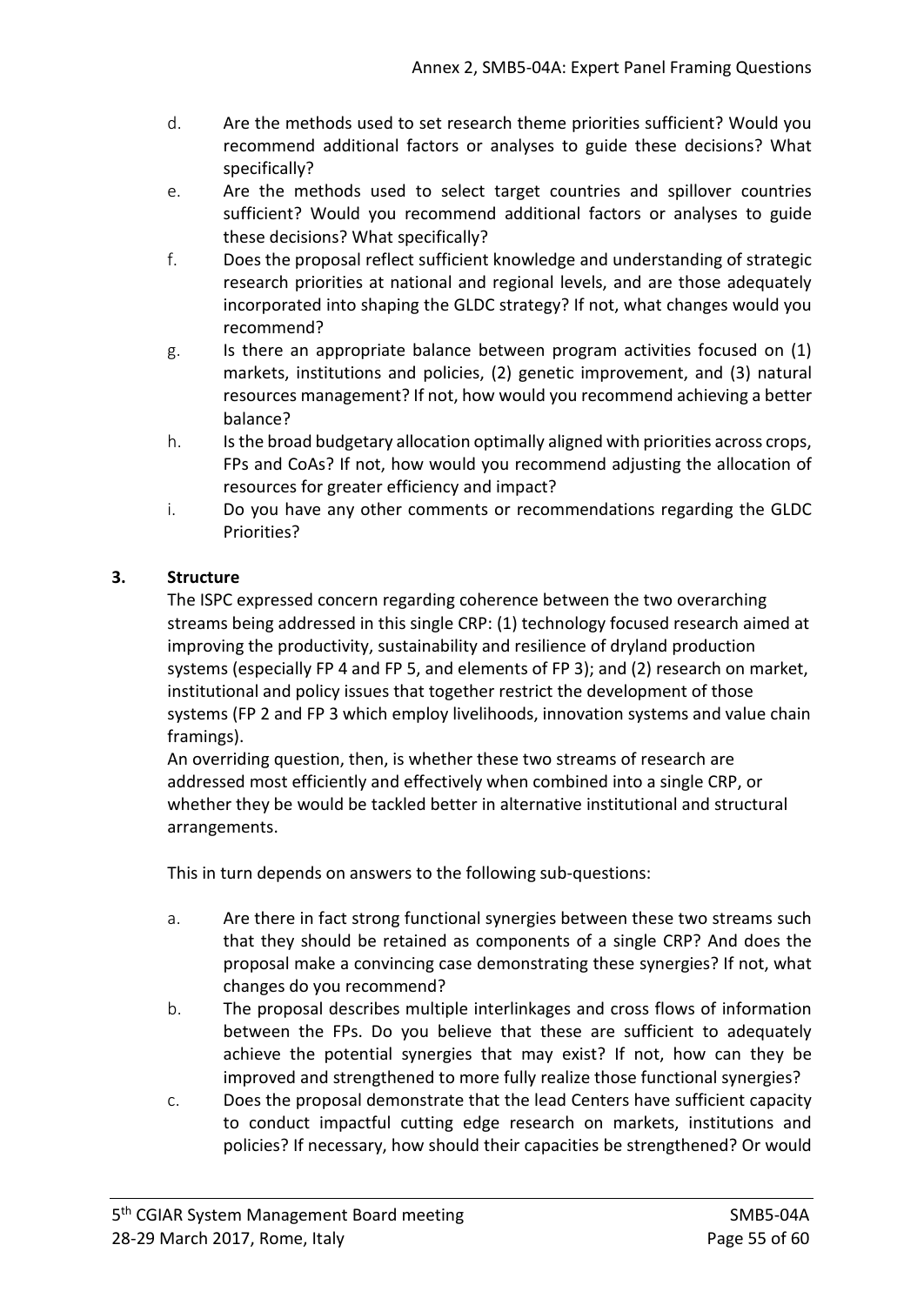- d. Are the methods used to set research theme priorities sufficient? Would you recommend additional factors or analyses to guide these decisions? What specifically?
- e. Are the methods used to select target countries and spillover countries sufficient? Would you recommend additional factors or analyses to guide these decisions? What specifically?
- f. Does the proposal reflect sufficient knowledge and understanding of strategic research priorities at national and regional levels, and are those adequately incorporated into shaping the GLDC strategy? If not, what changes would you recommend?
- g. Is there an appropriate balance between program activities focused on (1) markets, institutions and policies, (2) genetic improvement, and (3) natural resources management? If not, how would you recommend achieving a better balance?
- h. Is the broad budgetary allocation optimally aligned with priorities across crops, FPs and CoAs? If not, how would you recommend adjusting the allocation of resources for greater efficiency and impact?
- i. Do you have any other comments or recommendations regarding the GLDC Priorities?

## **3. Structure**

The ISPC expressed concern regarding coherence between the two overarching streams being addressed in this single CRP: (1) technology focused research aimed at improving the productivity, sustainability and resilience of dryland production systems (especially FP 4 and FP 5, and elements of FP 3); and (2) research on market, institutional and policy issues that together restrict the development of those systems (FP 2 and FP 3 which employ livelihoods, innovation systems and value chain framings).

An overriding question, then, is whether these two streams of research are addressed most efficiently and effectively when combined into a single CRP, or whether they be would be tackled better in alternative institutional and structural arrangements.

This in turn depends on answers to the following sub-questions:

- a. Are there in fact strong functional synergies between these two streams such that they should be retained as components of a single CRP? And does the proposal make a convincing case demonstrating these synergies? If not, what changes do you recommend?
- b. The proposal describes multiple interlinkages and cross flows of information between the FPs. Do you believe that these are sufficient to adequately achieve the potential synergies that may exist? If not, how can they be improved and strengthened to more fully realize those functional synergies?
- c. Does the proposal demonstrate that the lead Centers have sufficient capacity to conduct impactful cutting edge research on markets, institutions and policies? If necessary, how should their capacities be strengthened? Or would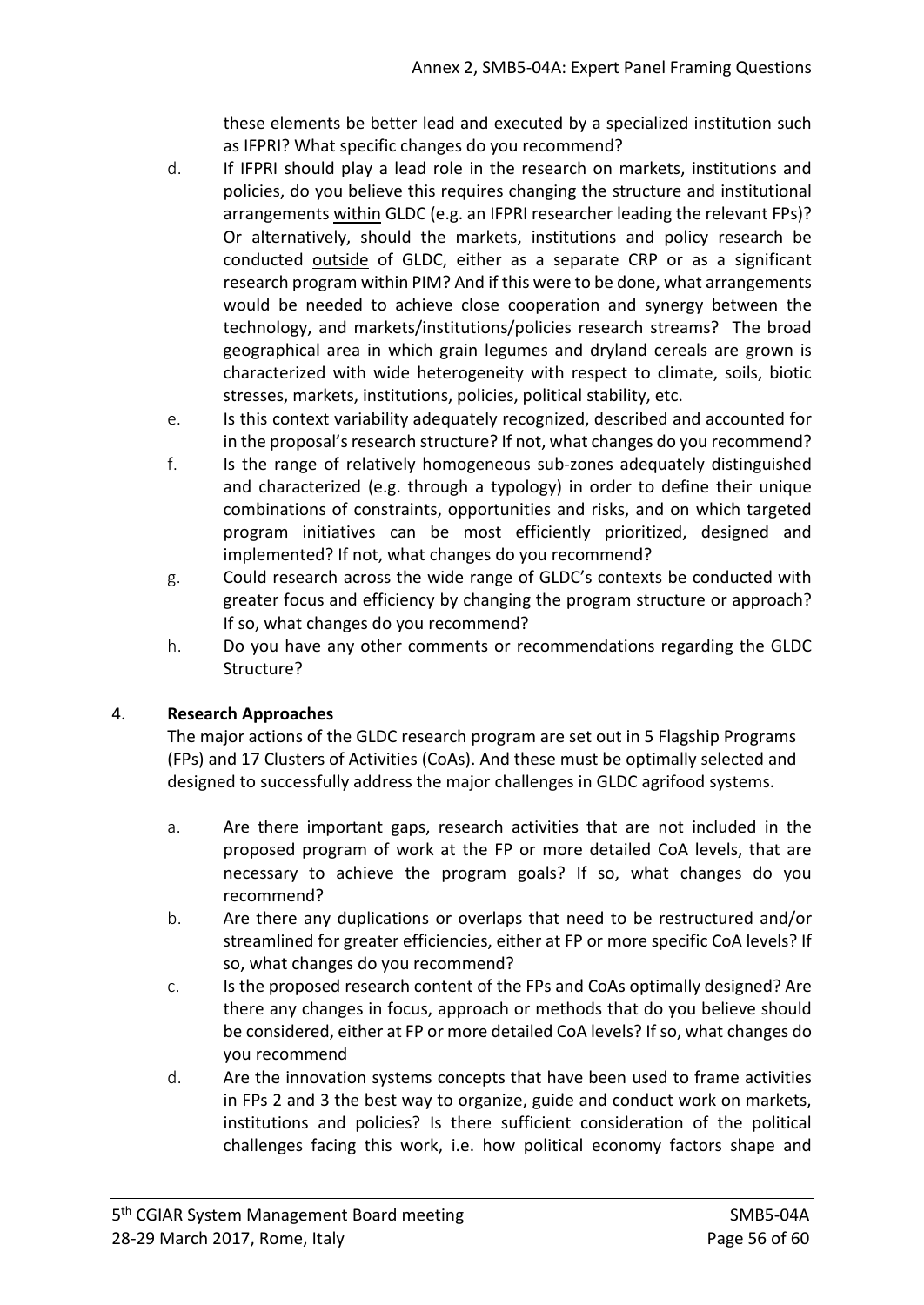these elements be better lead and executed by a specialized institution such as IFPRI? What specific changes do you recommend?

- d. If IFPRI should play a lead role in the research on markets, institutions and policies, do you believe this requires changing the structure and institutional arrangements within GLDC (e.g. an IFPRI researcher leading the relevant FPs)? Or alternatively, should the markets, institutions and policy research be conducted outside of GLDC, either as a separate CRP or as a significant research program within PIM? And if this were to be done, what arrangements would be needed to achieve close cooperation and synergy between the technology, and markets/institutions/policies research streams? The broad geographical area in which grain legumes and dryland cereals are grown is characterized with wide heterogeneity with respect to climate, soils, biotic stresses, markets, institutions, policies, political stability, etc.
- e. Is this context variability adequately recognized, described and accounted for in the proposal's research structure? If not, what changes do you recommend?
- f. Is the range of relatively homogeneous sub-zones adequately distinguished and characterized (e.g. through a typology) in order to define their unique combinations of constraints, opportunities and risks, and on which targeted program initiatives can be most efficiently prioritized, designed and implemented? If not, what changes do you recommend?
- g. Could research across the wide range of GLDC's contexts be conducted with greater focus and efficiency by changing the program structure or approach? If so, what changes do you recommend?
- h. Do you have any other comments or recommendations regarding the GLDC Structure?

## 4. **Research Approaches**

The major actions of the GLDC research program are set out in 5 Flagship Programs (FPs) and 17 Clusters of Activities (CoAs). And these must be optimally selected and designed to successfully address the major challenges in GLDC agrifood systems.

- a. Are there important gaps, research activities that are not included in the proposed program of work at the FP or more detailed CoA levels, that are necessary to achieve the program goals? If so, what changes do you recommend?
- b. Are there any duplications or overlaps that need to be restructured and/or streamlined for greater efficiencies, either at FP or more specific CoA levels? If so, what changes do you recommend?
- c. Is the proposed research content of the FPs and CoAs optimally designed? Are there any changes in focus, approach or methods that do you believe should be considered, either at FP or more detailed CoA levels? If so, what changes do you recommend
- d. Are the innovation systems concepts that have been used to frame activities in FPs 2 and 3 the best way to organize, guide and conduct work on markets, institutions and policies? Is there sufficient consideration of the political challenges facing this work, i.e. how political economy factors shape and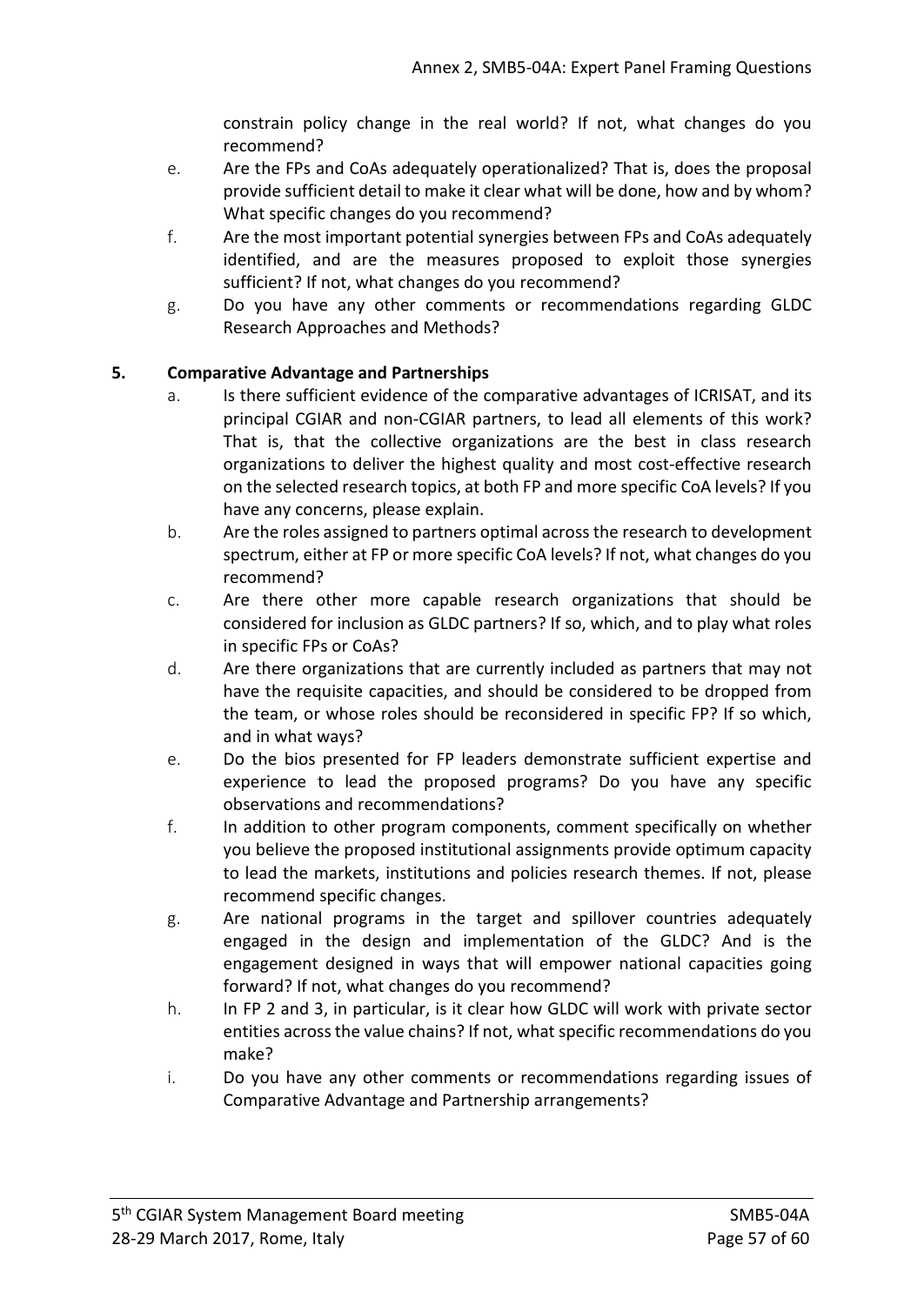constrain policy change in the real world? If not, what changes do you recommend?

- e. Are the FPs and CoAs adequately operationalized? That is, does the proposal provide sufficient detail to make it clear what will be done, how and by whom? What specific changes do you recommend?
- f. Are the most important potential synergies between FPs and CoAs adequately identified, and are the measures proposed to exploit those synergies sufficient? If not, what changes do you recommend?
- g. Do you have any other comments or recommendations regarding GLDC Research Approaches and Methods?

## **5. Comparative Advantage and Partnerships**

- a. Is there sufficient evidence of the comparative advantages of ICRISAT, and its principal CGIAR and non-CGIAR partners, to lead all elements of this work? That is, that the collective organizations are the best in class research organizations to deliver the highest quality and most cost-effective research on the selected research topics, at both FP and more specific CoA levels? If you have any concerns, please explain.
- b. Are the roles assigned to partners optimal across the research to development spectrum, either at FP or more specific CoA levels? If not, what changes do you recommend?
- c. Are there other more capable research organizations that should be considered for inclusion as GLDC partners? If so, which, and to play what roles in specific FPs or CoAs?
- d. Are there organizations that are currently included as partners that may not have the requisite capacities, and should be considered to be dropped from the team, or whose roles should be reconsidered in specific FP? If so which, and in what ways?
- e. Do the bios presented for FP leaders demonstrate sufficient expertise and experience to lead the proposed programs? Do you have any specific observations and recommendations?
- f. In addition to other program components, comment specifically on whether you believe the proposed institutional assignments provide optimum capacity to lead the markets, institutions and policies research themes. If not, please recommend specific changes.
- g. Are national programs in the target and spillover countries adequately engaged in the design and implementation of the GLDC? And is the engagement designed in ways that will empower national capacities going forward? If not, what changes do you recommend?
- h. In FP 2 and 3, in particular, is it clear how GLDC will work with private sector entities acrossthe value chains? If not, what specific recommendations do you make?
- i. Do you have any other comments or recommendations regarding issues of Comparative Advantage and Partnership arrangements?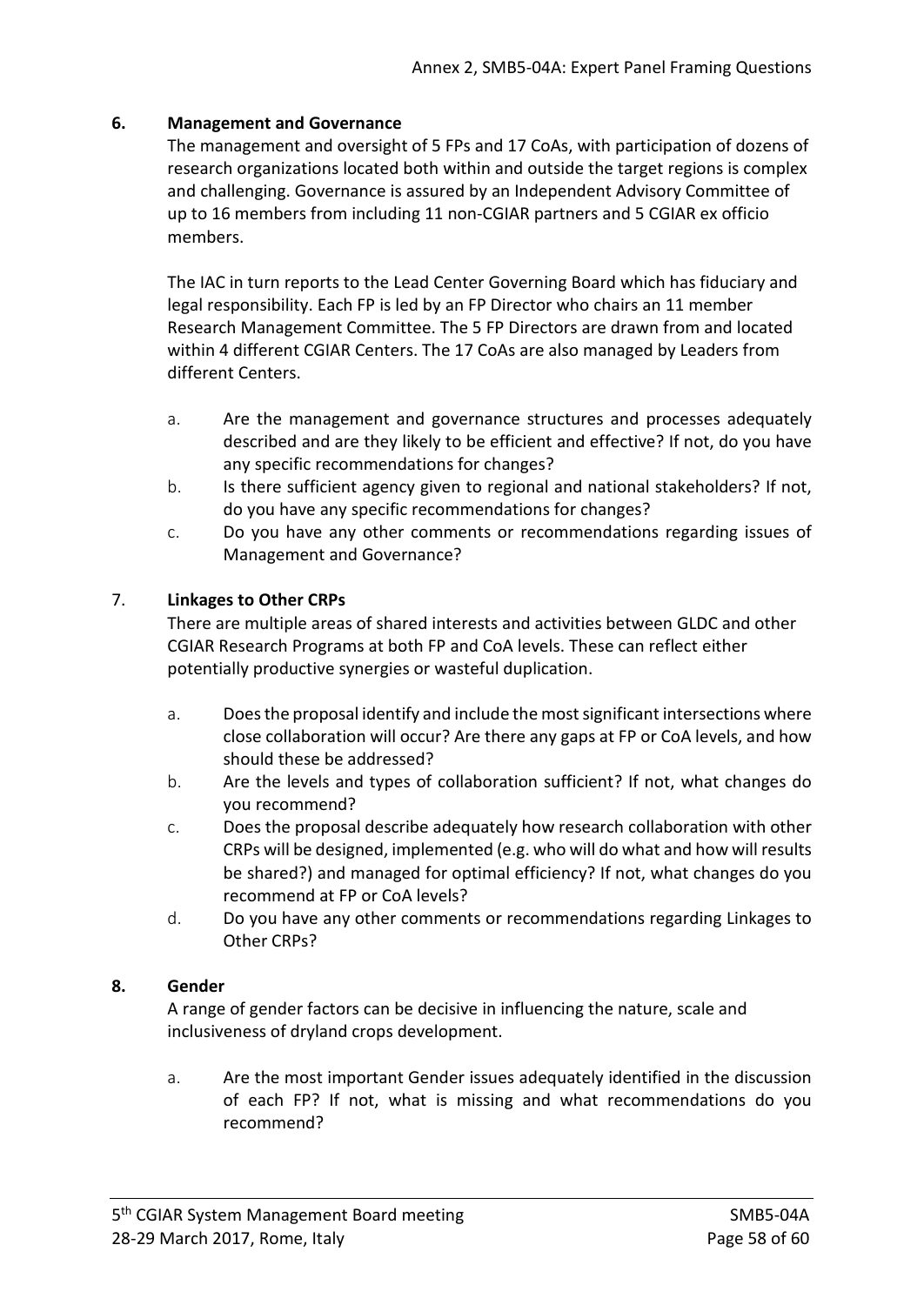#### **6. Management and Governance**

The management and oversight of 5 FPs and 17 CoAs, with participation of dozens of research organizations located both within and outside the target regions is complex and challenging. Governance is assured by an Independent Advisory Committee of up to 16 members from including 11 non-CGIAR partners and 5 CGIAR ex officio members.

The IAC in turn reports to the Lead Center Governing Board which has fiduciary and legal responsibility. Each FP is led by an FP Director who chairs an 11 member Research Management Committee. The 5 FP Directors are drawn from and located within 4 different CGIAR Centers. The 17 CoAs are also managed by Leaders from different Centers.

- a. Are the management and governance structures and processes adequately described and are they likely to be efficient and effective? If not, do you have any specific recommendations for changes?
- b. Is there sufficient agency given to regional and national stakeholders? If not, do you have any specific recommendations for changes?
- c. Do you have any other comments or recommendations regarding issues of Management and Governance?

#### 7. **Linkages to Other CRPs**

There are multiple areas of shared interests and activities between GLDC and other CGIAR Research Programs at both FP and CoA levels. These can reflect either potentially productive synergies or wasteful duplication.

- a. Doesthe proposal identify and include the mostsignificant intersections where close collaboration will occur? Are there any gaps at FP or CoA levels, and how should these be addressed?
- b. Are the levels and types of collaboration sufficient? If not, what changes do you recommend?
- c. Does the proposal describe adequately how research collaboration with other CRPs will be designed, implemented (e.g. who will do what and how will results be shared?) and managed for optimal efficiency? If not, what changes do you recommend at FP or CoA levels?
- d. Do you have any other comments or recommendations regarding Linkages to Other CRPs?

#### **8. Gender**

A range of gender factors can be decisive in influencing the nature, scale and inclusiveness of dryland crops development.

a. Are the most important Gender issues adequately identified in the discussion of each FP? If not, what is missing and what recommendations do you recommend?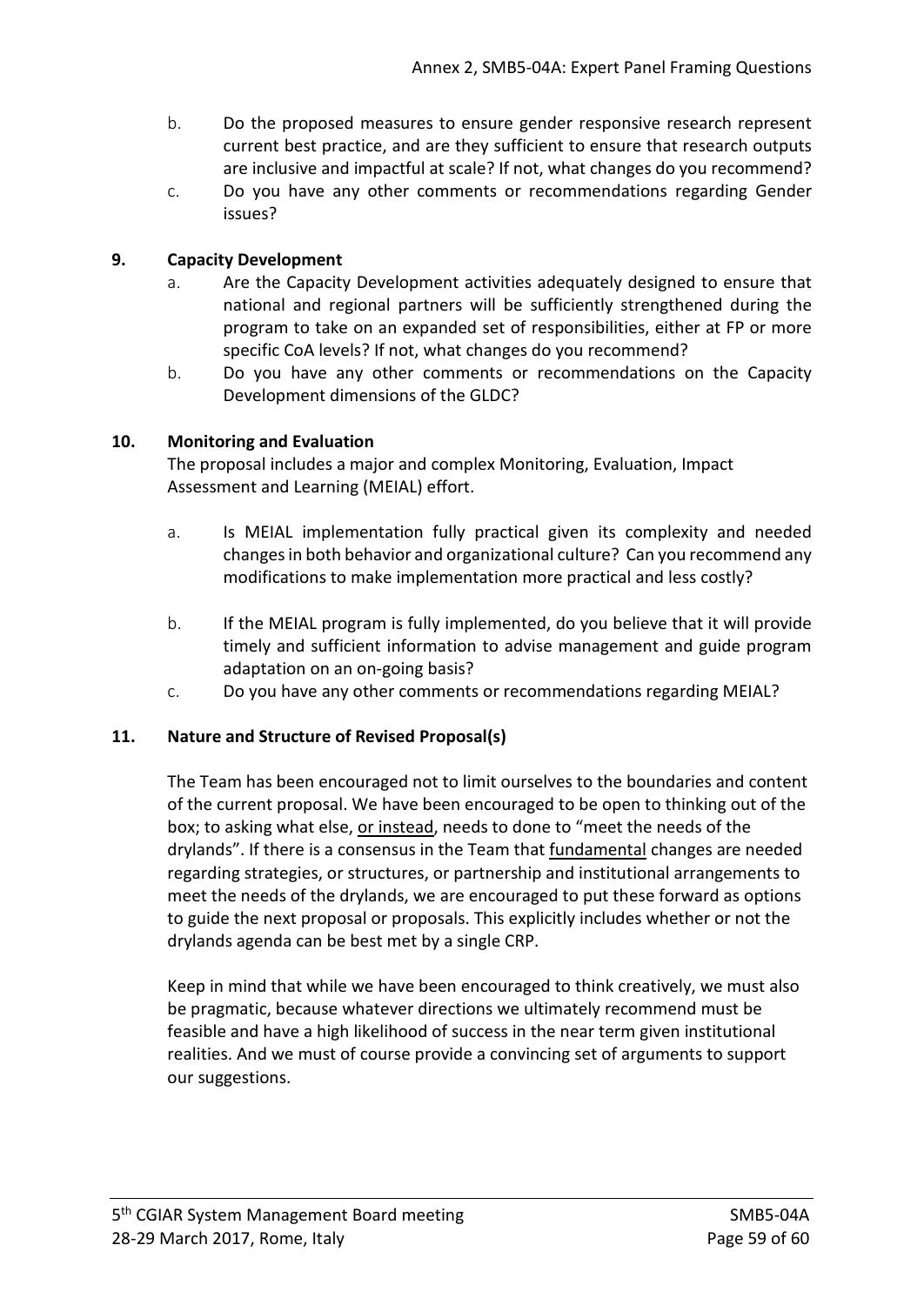- b. Do the proposed measures to ensure gender responsive research represent current best practice, and are they sufficient to ensure that research outputs are inclusive and impactful at scale? If not, what changes do you recommend?
- c. Do you have any other comments or recommendations regarding Gender issues?

## **9. Capacity Development**

- a. Are the Capacity Development activities adequately designed to ensure that national and regional partners will be sufficiently strengthened during the program to take on an expanded set of responsibilities, either at FP or more specific CoA levels? If not, what changes do you recommend?
- b. Do you have any other comments or recommendations on the Capacity Development dimensions of the GLDC?

## **10. Monitoring and Evaluation**

The proposal includes a major and complex Monitoring, Evaluation, Impact Assessment and Learning (MEIAL) effort.

- a. Is MEIAL implementation fully practical given its complexity and needed changesin both behavior and organizational culture? Can you recommend any modifications to make implementation more practical and less costly?
- b. If the MEIAL program is fully implemented, do you believe that it will provide timely and sufficient information to advise management and guide program adaptation on an on-going basis?
- c. Do you have any other comments or recommendations regarding MEIAL?

## **11. Nature and Structure of Revised Proposal(s)**

The Team has been encouraged not to limit ourselves to the boundaries and content of the current proposal. We have been encouraged to be open to thinking out of the box; to asking what else, or instead, needs to done to "meet the needs of the drylands". If there is a consensus in the Team that fundamental changes are needed regarding strategies, or structures, or partnership and institutional arrangements to meet the needs of the drylands, we are encouraged to put these forward as options to guide the next proposal or proposals. This explicitly includes whether or not the drylands agenda can be best met by a single CRP.

Keep in mind that while we have been encouraged to think creatively, we must also be pragmatic, because whatever directions we ultimately recommend must be feasible and have a high likelihood of success in the near term given institutional realities. And we must of course provide a convincing set of arguments to support our suggestions.